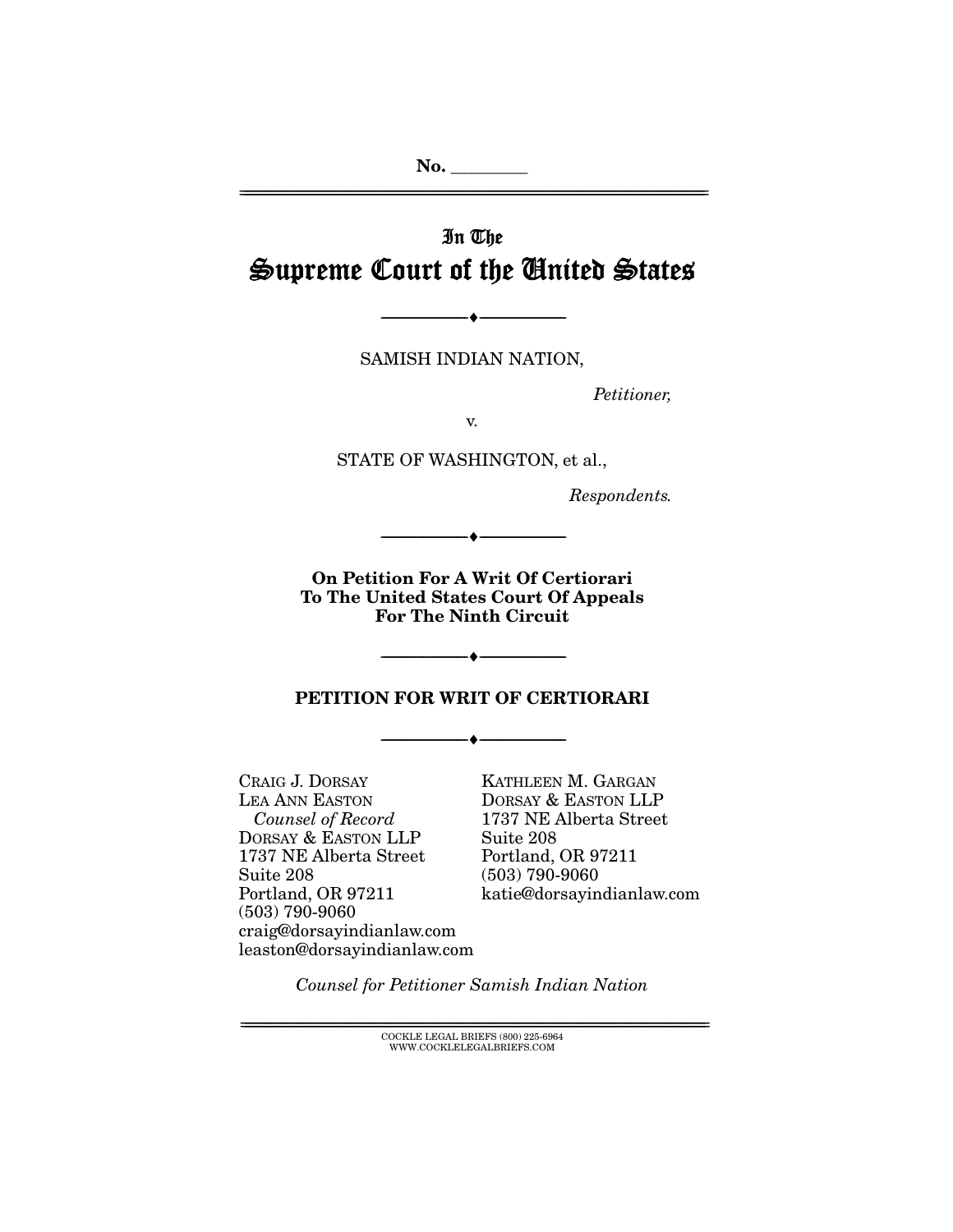**No. \_\_\_\_\_\_\_\_\_**  ================================================================================================================

# In The Supreme Court of the United States

SAMISH INDIAN NATION,

 $\bullet$  -

Petitioner,

v.

STATE OF WASHINGTON, et al.,

Respondents.

**On Petition For A Writ Of Certiorari To The United States Court Of Appeals For The Ninth Circuit** 

--------------------------------- ♦ ---------------------------------

**PETITION FOR WRIT OF CERTIORARI** 

--------------------------------- ♦ ---------------------------------

--------------------------------- ♦ ---------------------------------

CRAIG J. DORSAY LEA ANN EASTON Counsel of Record DORSAY & EASTON LLP 1737 NE Alberta Street Suite 208 Portland, OR 97211 (503) 790-9060 craig@dorsayindianlaw.com leaston@dorsayindianlaw.com

KATHLEEN M. GARGAN DORSAY & EASTON LLP 1737 NE Alberta Street Suite 208 Portland, OR 97211 (503) 790-9060 katie@dorsayindianlaw.com

Counsel for Petitioner Samish Indian Nation

 $\text{COCKLE LEGAL BRIEFS}$  (800) 225-6964 WWW.COCKLELEGALBRIEFS.COM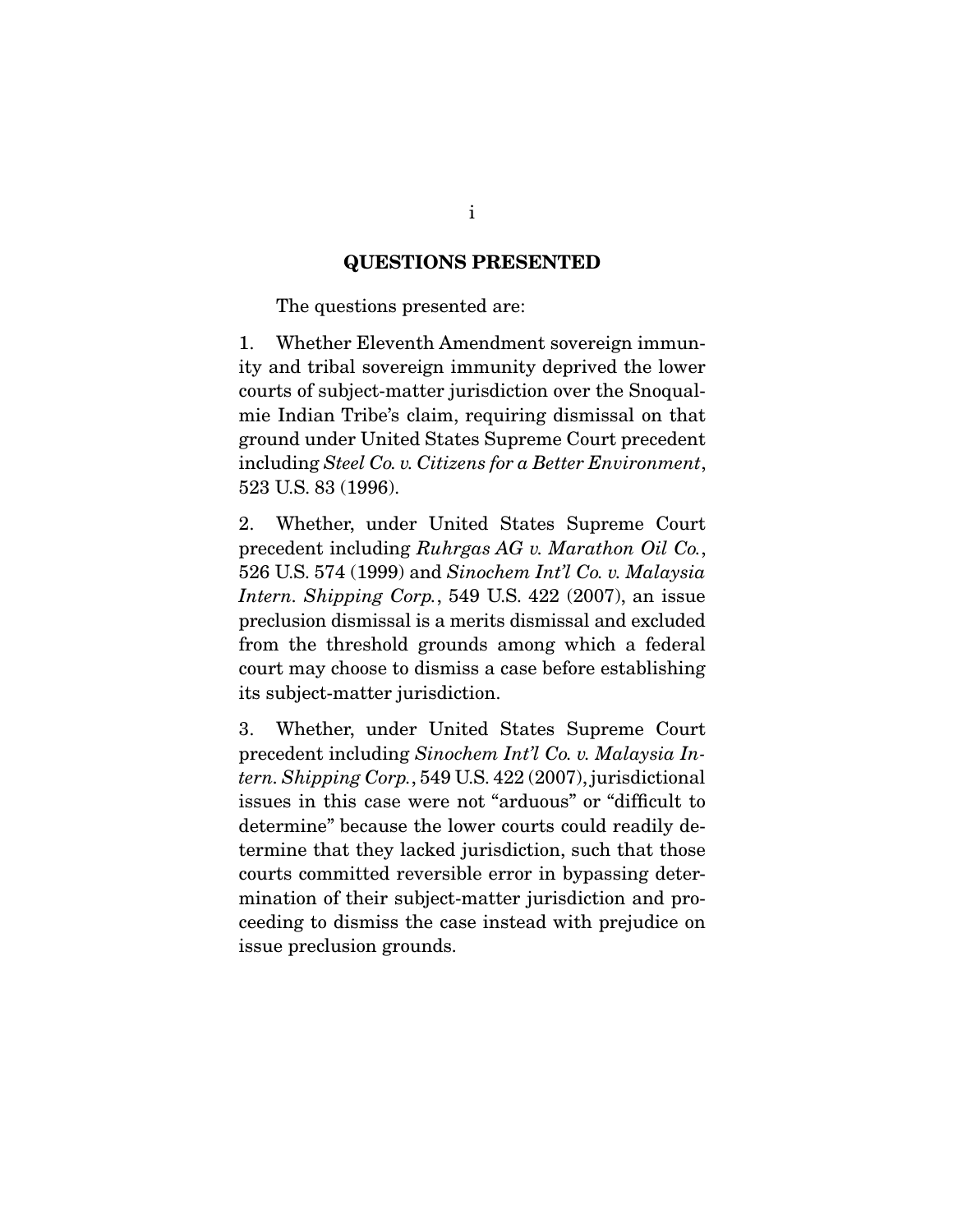#### **QUESTIONS PRESENTED**

The questions presented are:

1. Whether Eleventh Amendment sovereign immunity and tribal sovereign immunity deprived the lower courts of subject-matter jurisdiction over the Snoqualmie Indian Tribe's claim, requiring dismissal on that ground under United States Supreme Court precedent including *Steel Co. v. Citizens for a Better Environment*, 523 U.S. 83 (1996).

2. Whether, under United States Supreme Court precedent including *Ruhrgas AG v. Marathon Oil Co.*, 526 U.S. 574 (1999) and *Sinochem Int'l Co. v. Malaysia Intern. Shipping Corp.*, 549 U.S. 422 (2007), an issue preclusion dismissal is a merits dismissal and excluded from the threshold grounds among which a federal court may choose to dismiss a case before establishing its subject-matter jurisdiction.

3. Whether, under United States Supreme Court precedent including *Sinochem Int'l Co. v. Malaysia Intern. Shipping Corp.*, 549 U.S. 422 (2007), jurisdictional issues in this case were not "arduous" or "difficult to determine" because the lower courts could readily determine that they lacked jurisdiction, such that those courts committed reversible error in bypassing determination of their subject-matter jurisdiction and proceeding to dismiss the case instead with prejudice on issue preclusion grounds.

i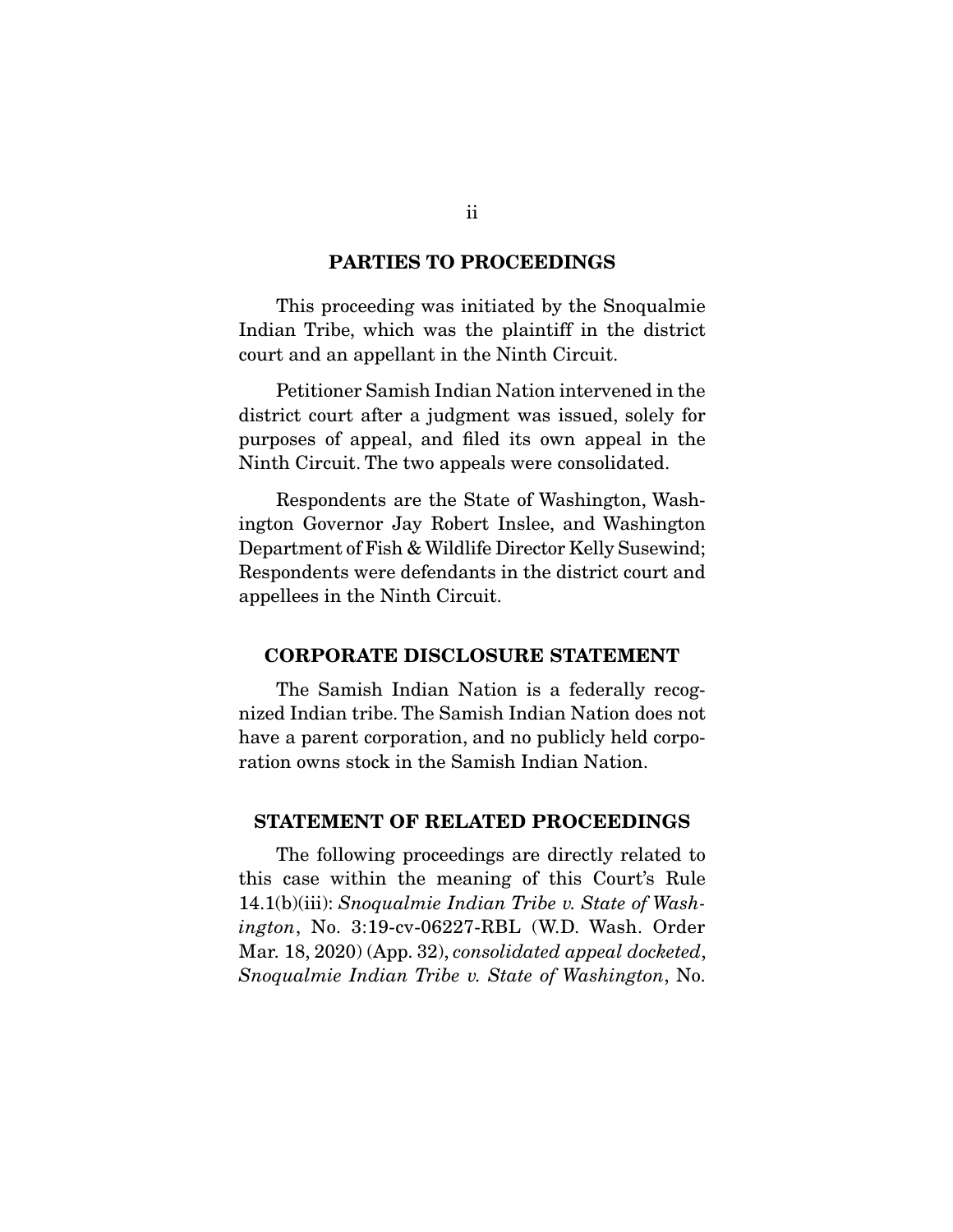#### **PARTIES TO PROCEEDINGS**

 This proceeding was initiated by the Snoqualmie Indian Tribe, which was the plaintiff in the district court and an appellant in the Ninth Circuit.

 Petitioner Samish Indian Nation intervened in the district court after a judgment was issued, solely for purposes of appeal, and filed its own appeal in the Ninth Circuit. The two appeals were consolidated.

 Respondents are the State of Washington, Washington Governor Jay Robert Inslee, and Washington Department of Fish & Wildlife Director Kelly Susewind; Respondents were defendants in the district court and appellees in the Ninth Circuit.

#### **CORPORATE DISCLOSURE STATEMENT**

 The Samish Indian Nation is a federally recognized Indian tribe. The Samish Indian Nation does not have a parent corporation, and no publicly held corporation owns stock in the Samish Indian Nation.

#### **STATEMENT OF RELATED PROCEEDINGS**

 The following proceedings are directly related to this case within the meaning of this Court's Rule 14.1(b)(iii): *Snoqualmie Indian Tribe v. State of Washington*, No. 3:19-cv-06227-RBL (W.D. Wash. Order Mar. 18, 2020) (App. 32), *consolidated appeal docketed*, *Snoqualmie Indian Tribe v. State of Washington*, No.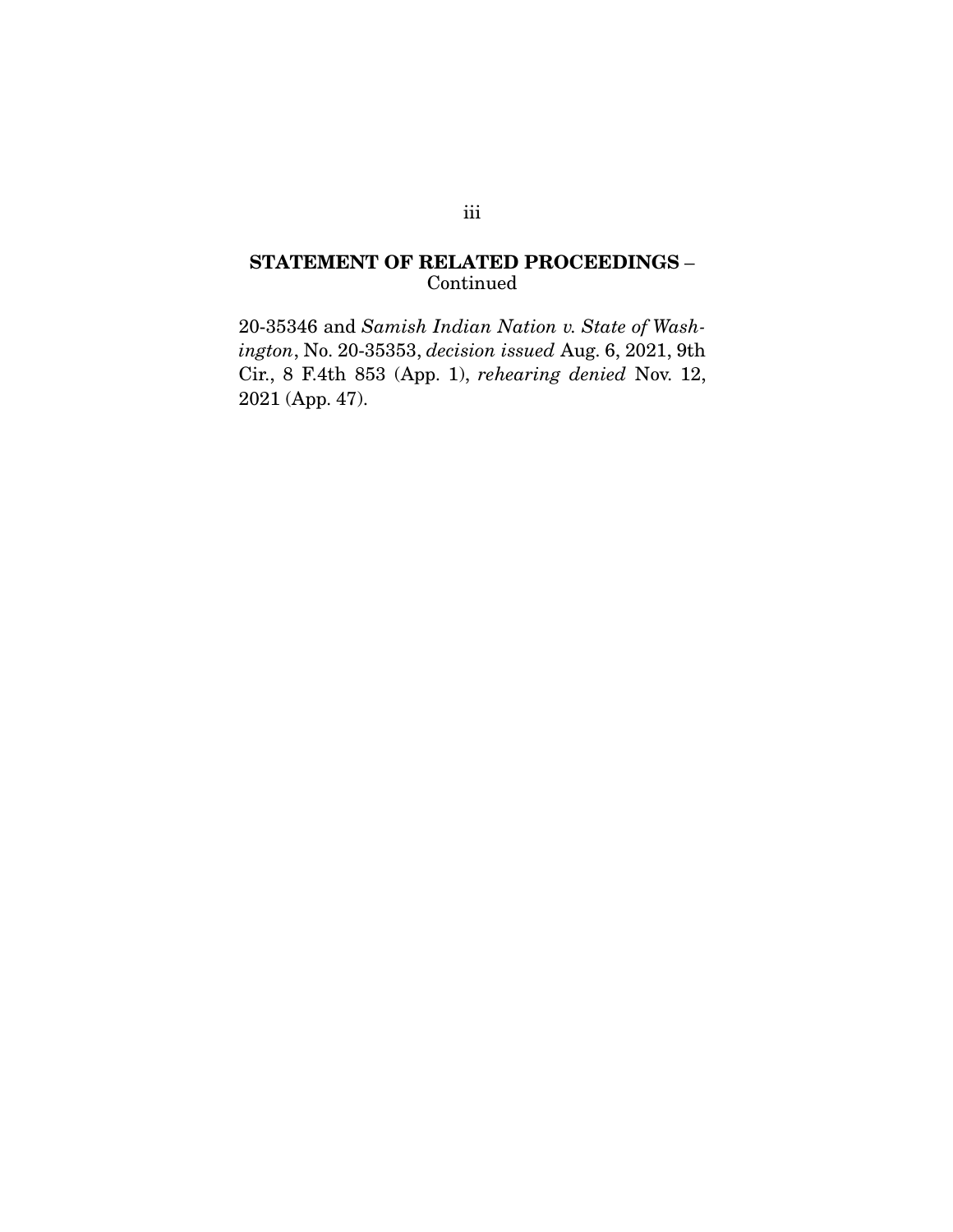## **STATEMENT OF RELATED PROCEEDINGS** – Continued

20-35346 and *Samish Indian Nation v. State of Washington*, No. 20-35353, *decision issued* Aug. 6, 2021, 9th Cir., 8 F.4th 853 (App. 1), *rehearing denied* Nov. 12, 2021 (App. 47).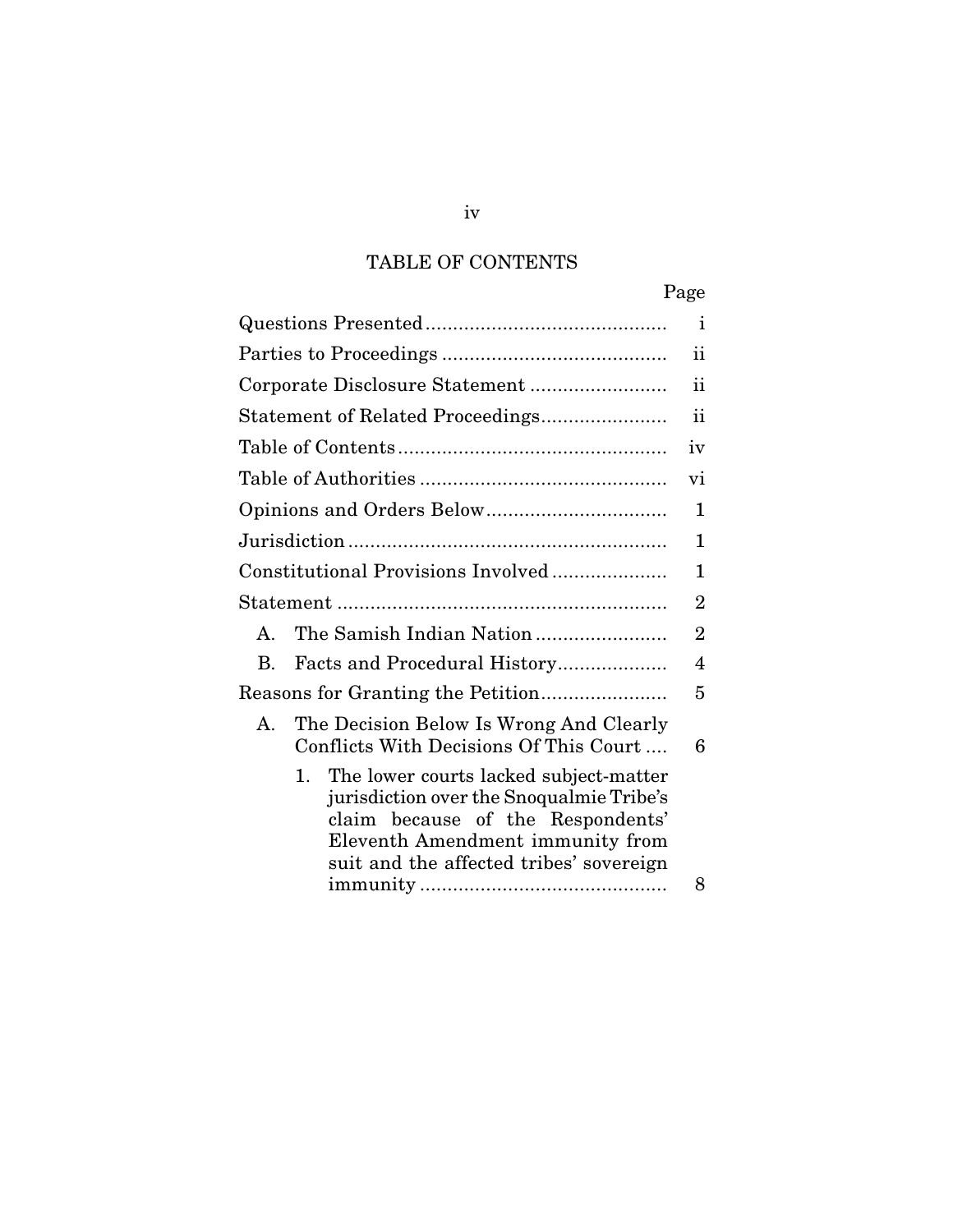# TABLE OF CONTENTS

|                                                                                                                                                                                                                   | Page           |
|-------------------------------------------------------------------------------------------------------------------------------------------------------------------------------------------------------------------|----------------|
|                                                                                                                                                                                                                   | i              |
|                                                                                                                                                                                                                   | ij             |
|                                                                                                                                                                                                                   | ii             |
| Statement of Related Proceedings                                                                                                                                                                                  | $\mathbf{ii}$  |
|                                                                                                                                                                                                                   | iv             |
|                                                                                                                                                                                                                   | Vİ.            |
|                                                                                                                                                                                                                   | 1              |
|                                                                                                                                                                                                                   | 1              |
| Constitutional Provisions Involved                                                                                                                                                                                | 1              |
|                                                                                                                                                                                                                   | $\overline{2}$ |
| The Samish Indian Nation<br>$\mathbf{A}$                                                                                                                                                                          | $\overline{2}$ |
| В.                                                                                                                                                                                                                | 4              |
| Reasons for Granting the Petition                                                                                                                                                                                 | 5              |
| The Decision Below Is Wrong And Clearly<br>А.<br>Conflicts With Decisions Of This Court                                                                                                                           | 6              |
| $1_{-}$<br>The lower courts lacked subject-matter<br>jurisdiction over the Snoqualmie Tribe's<br>claim because of the Respondents'<br>Eleventh Amendment immunity from<br>suit and the affected tribes' sovereign | 8              |

iv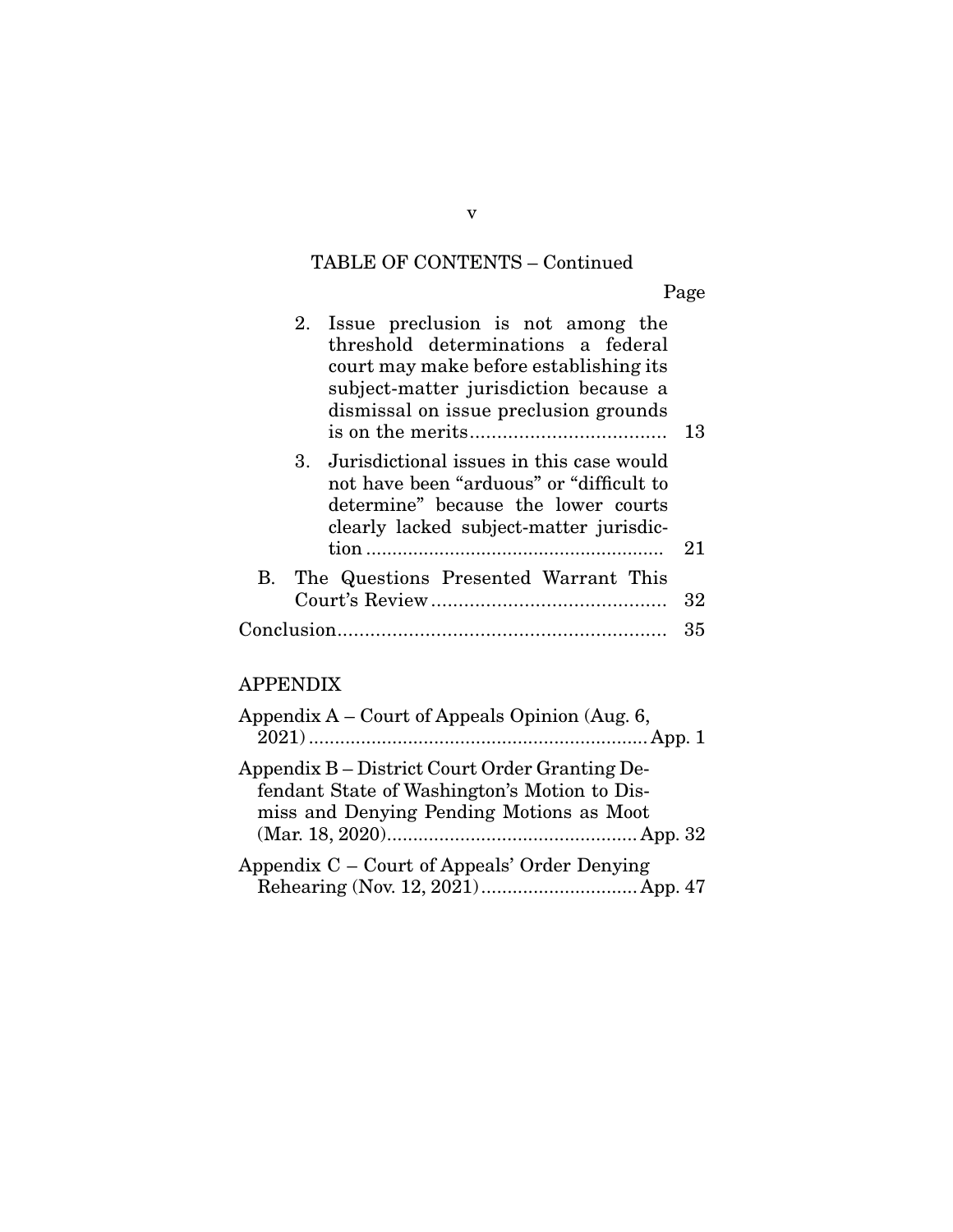# TABLE OF CONTENTS – Continued

Page

| 2. Issue preclusion is not among the<br>threshold determinations a federal<br>court may make before establishing its<br>subject-matter jurisdiction because a<br>dismissal on issue preclusion grounds | 13 |
|--------------------------------------------------------------------------------------------------------------------------------------------------------------------------------------------------------|----|
| 3. Jurisdictional issues in this case would<br>not have been "arduous" or "difficult to<br>determine" because the lower courts<br>clearly lacked subject-matter jurisdic-                              | 21 |
| B. The Questions Presented Warrant This                                                                                                                                                                | 32 |
|                                                                                                                                                                                                        | 35 |

## APPENDIX

| Appendix $A -$ Court of Appeals Opinion (Aug. 6, |
|--------------------------------------------------|
|                                                  |
| Appendix B – District Court Order Granting De-   |
| fendant State of Washington's Motion to Dis-     |
| miss and Denying Pending Motions as Moot         |
|                                                  |
| Appendix C – Court of Appeals' Order Denying     |
|                                                  |

v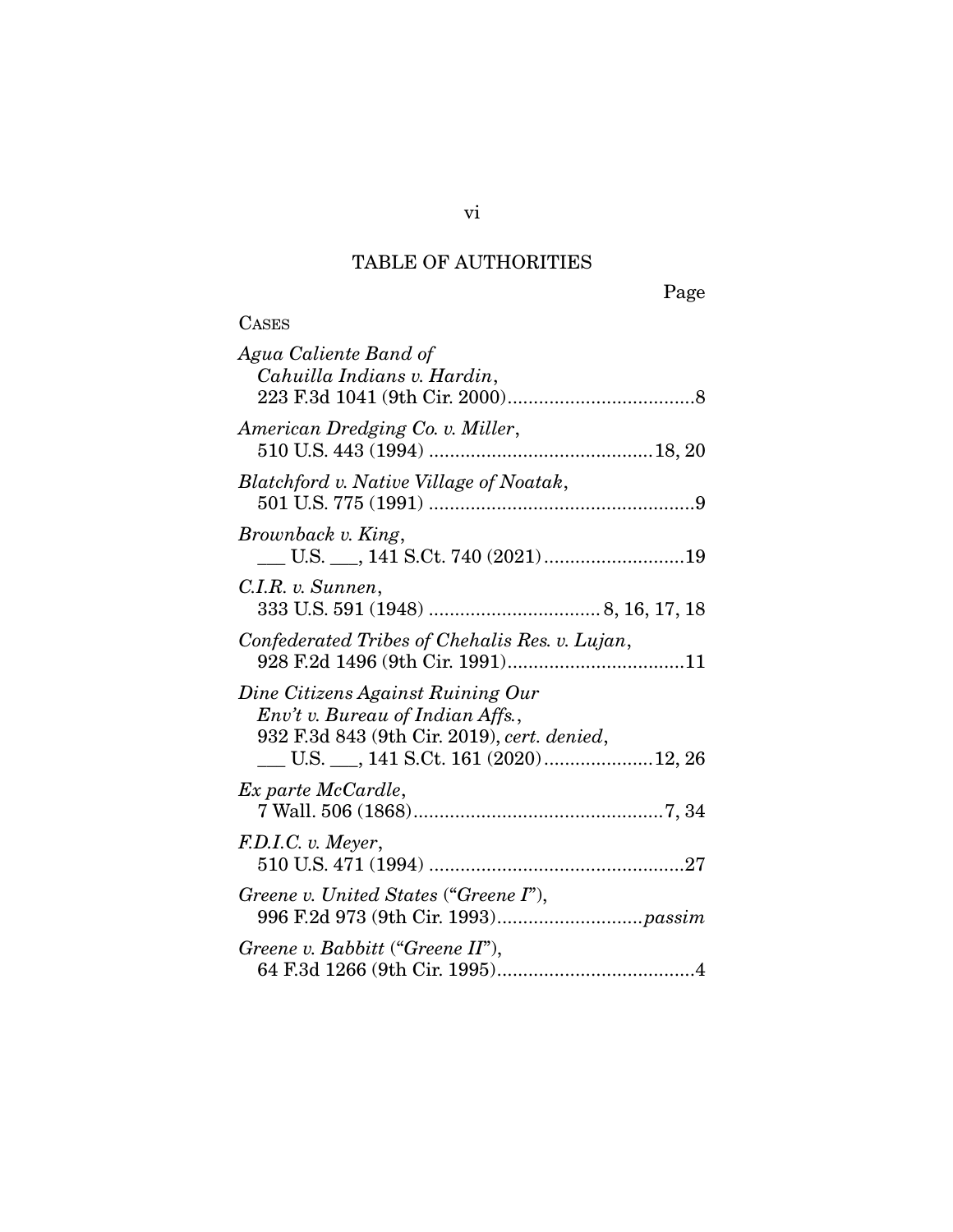# TABLE OF AUTHORITIES

**CASES** 

Page

| Agua Caliente Band of<br>Cahuilla Indians v. Hardin,                                                                 |
|----------------------------------------------------------------------------------------------------------------------|
| American Dredging Co. v. Miller,                                                                                     |
| Blatchford v. Native Village of Noatak,                                                                              |
| Brownback v. King,                                                                                                   |
| C.I.R. v. Sunnen,                                                                                                    |
| Confederated Tribes of Chehalis Res. v. Lujan,                                                                       |
| Dine Citizens Against Ruining Our<br>Env't v. Bureau of Indian Affs.,<br>932 F.3d 843 (9th Cir. 2019), cert. denied, |
| Ex parte McCardle,                                                                                                   |
| F.D.I.C. v. Meyer,                                                                                                   |
| Greene v. United States ("Greene I"),                                                                                |
| Greene v. Babbitt ("Greene II"),                                                                                     |

vi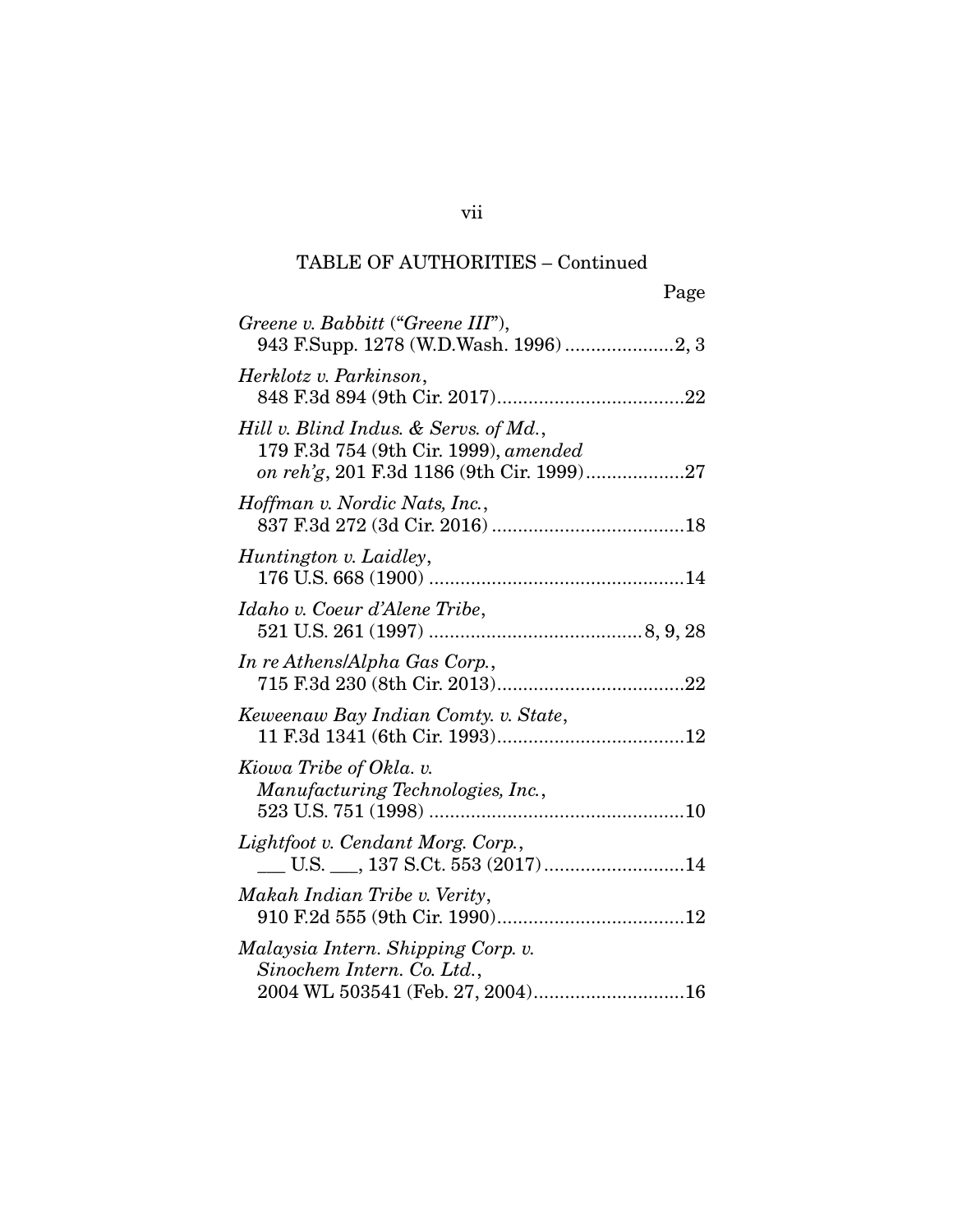| Page                                                                                                                        |
|-----------------------------------------------------------------------------------------------------------------------------|
| Greene v. Babbitt ("Greene III"),                                                                                           |
| Herklotz v. Parkinson,                                                                                                      |
| Hill v. Blind Indus. & Servs. of Md.,<br>179 F.3d 754 (9th Cir. 1999), amended<br>on reh'g, 201 F.3d 1186 (9th Cir. 1999)27 |
| Hoffman v. Nordic Nats, Inc.,                                                                                               |
| Huntington v. Laidley,                                                                                                      |
| Idaho v. Coeur d'Alene Tribe,                                                                                               |
| In re Athens/Alpha Gas Corp.,                                                                                               |
| Keweenaw Bay Indian Comty. v. State,                                                                                        |
| Kiowa Tribe of Okla. v.<br>Manufacturing Technologies, Inc.,<br>523 U.S. 751 (1998)                                         |
| Lightfoot v. Cendant Morg. Corp.,                                                                                           |
| Makah Indian Tribe v. Verity,                                                                                               |
| Malaysia Intern. Shipping Corp. v.<br>Sinochem Intern. Co. Ltd.,<br>2004 WL 503541 (Feb. 27, 2004)16                        |

vii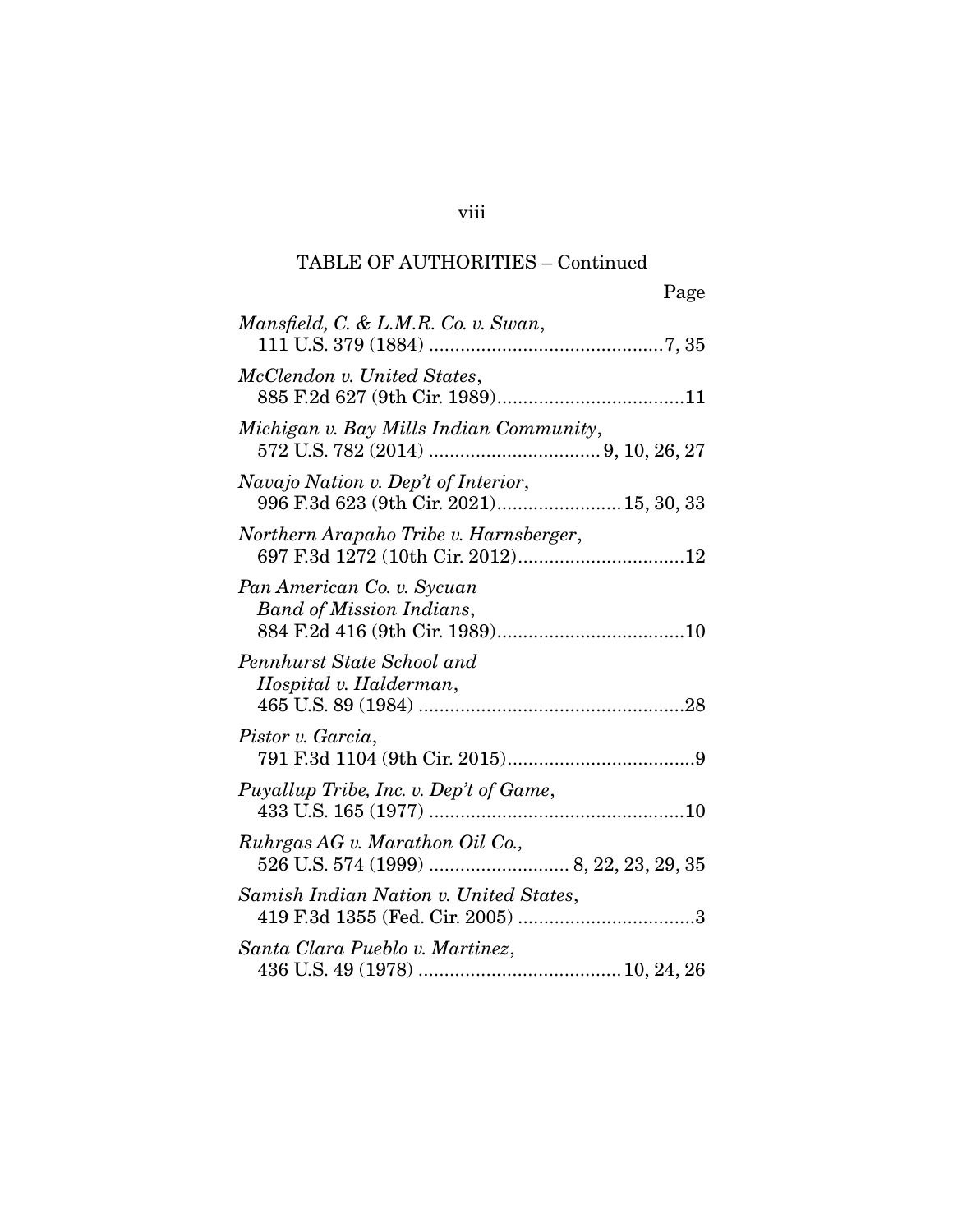| Page                                                                           |
|--------------------------------------------------------------------------------|
| Mansfield, C. & L.M.R. Co. v. Swan,                                            |
| McClendon v. United States,                                                    |
| Michigan v. Bay Mills Indian Community,                                        |
| Navajo Nation v. Dep't of Interior,<br>996 F.3d 623 (9th Cir. 2021) 15, 30, 33 |
| Northern Arapaho Tribe v. Harnsberger,                                         |
| Pan American Co. v. Sycuan<br><b>Band of Mission Indians,</b>                  |
| Pennhurst State School and<br>Hospital v. Halderman,                           |
| Pistor v. Garcia,                                                              |
| Puyallup Tribe, Inc. v. Dep't of Game,                                         |
| Ruhrgas AG v. Marathon Oil Co.,                                                |
| Samish Indian Nation v. United States,                                         |
| Santa Clara Pueblo v. Martinez,                                                |

## viii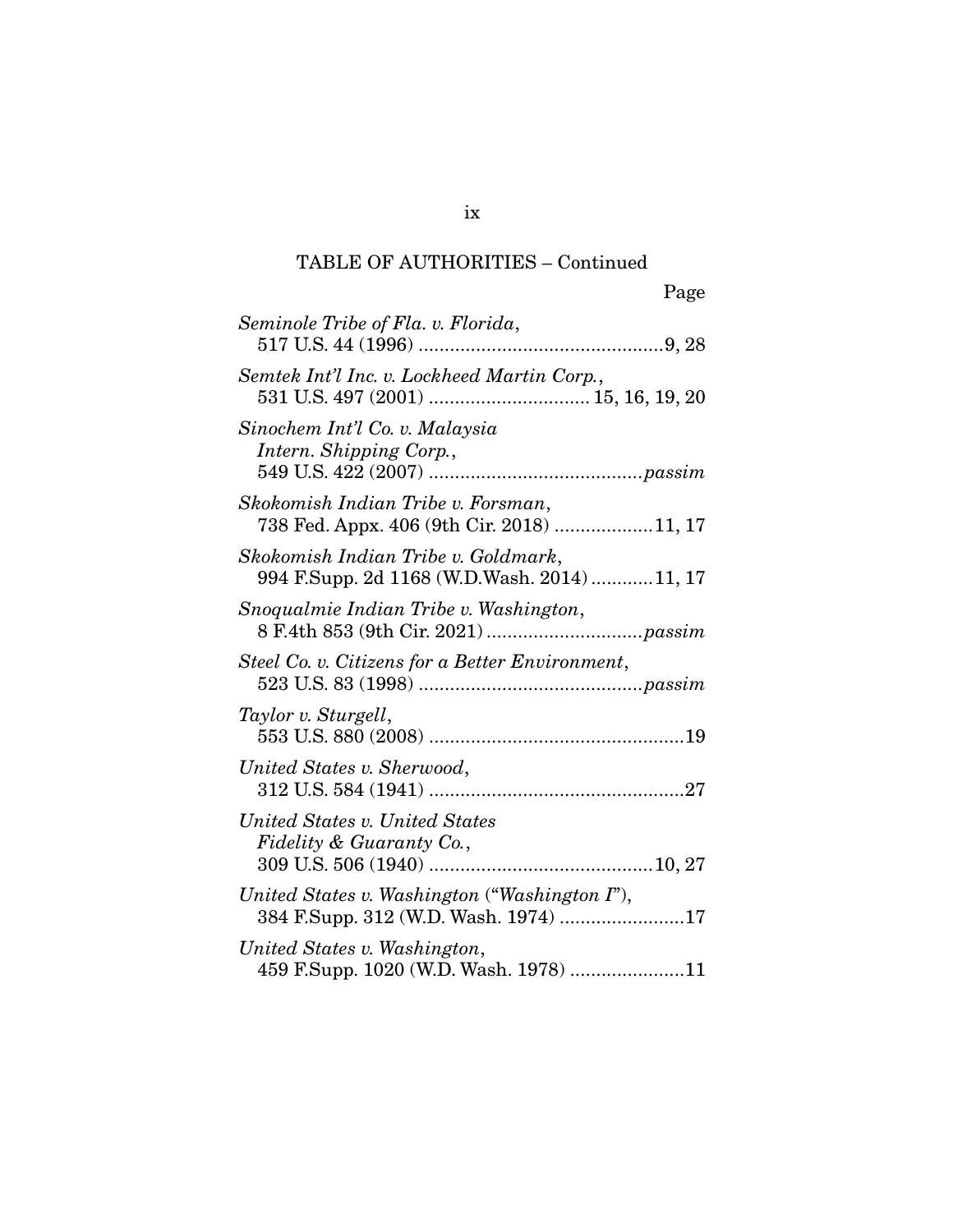| Page                                                                                  |
|---------------------------------------------------------------------------------------|
| Seminole Tribe of Fla. v. Florida,                                                    |
| Semtek Int'l Inc. v. Lockheed Martin Corp.,                                           |
| Sinochem Int'l Co. v. Malaysia<br>Intern. Shipping Corp.,                             |
| Skokomish Indian Tribe v. Forsman,<br>738 Fed. Appx. 406 (9th Cir. 2018) 11, 17       |
| Skokomish Indian Tribe v. Goldmark,<br>994 F.Supp. 2d 1168 (W.D.Wash. 2014) 11, 17    |
| Snoqualmie Indian Tribe v. Washington,                                                |
| Steel Co. v. Citizens for a Better Environment,                                       |
| Taylor v. Sturgell,                                                                   |
| United States v. Sherwood,                                                            |
| United States v. United States<br>Fidelity & Guaranty Co.,                            |
| United States v. Washington ("Washington I"),<br>384 F.Supp. 312 (W.D. Wash. 1974) 17 |
| United States v. Washington,<br>459 F.Supp. 1020 (W.D. Wash. 1978) 11                 |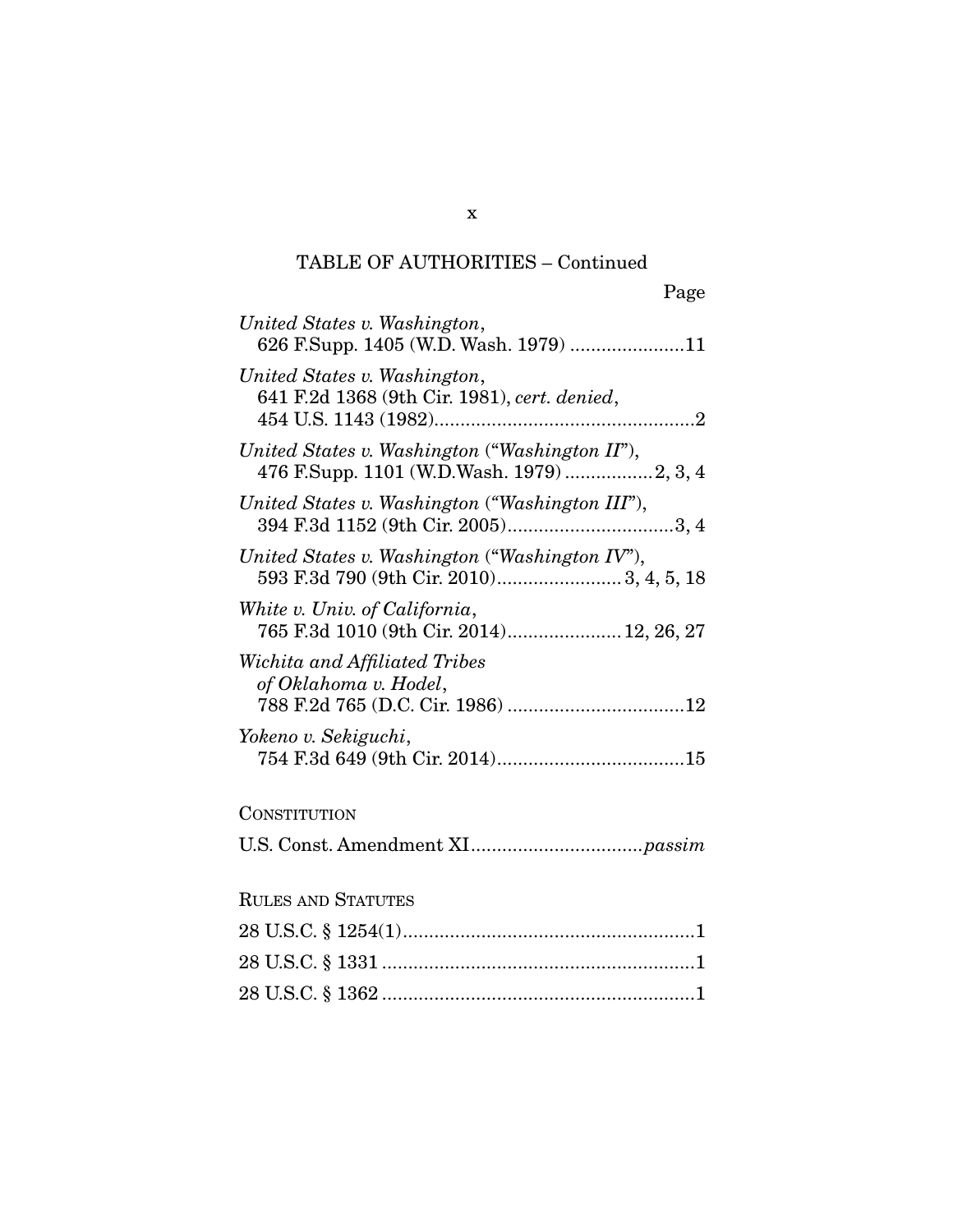| United States v. Washington,<br>626 F.Supp. 1405 (W.D. Wash. 1979) 11                        |
|----------------------------------------------------------------------------------------------|
| United States v. Washington,<br>641 F.2d 1368 (9th Cir. 1981), cert. denied,                 |
| United States v. Washington ("Washington II"),<br>476 F.Supp. 1101 (W.D.Wash. 1979)  2, 3, 4 |
| United States v. Washington ("Washington III"),                                              |
| United States v. Washington ("Washington IV"),                                               |
| White v. Univ. of California,<br>765 F.3d 1010 (9th Cir. 2014) 12, 26, 27                    |
| Wichita and Affiliated Tribes<br>of Oklahoma v. Hodel,                                       |
| Yokeno v. Sekiguchi,                                                                         |
| CONSTITUTION                                                                                 |
|                                                                                              |
| <b>RULES AND STATUTES</b>                                                                    |
|                                                                                              |
|                                                                                              |
|                                                                                              |

x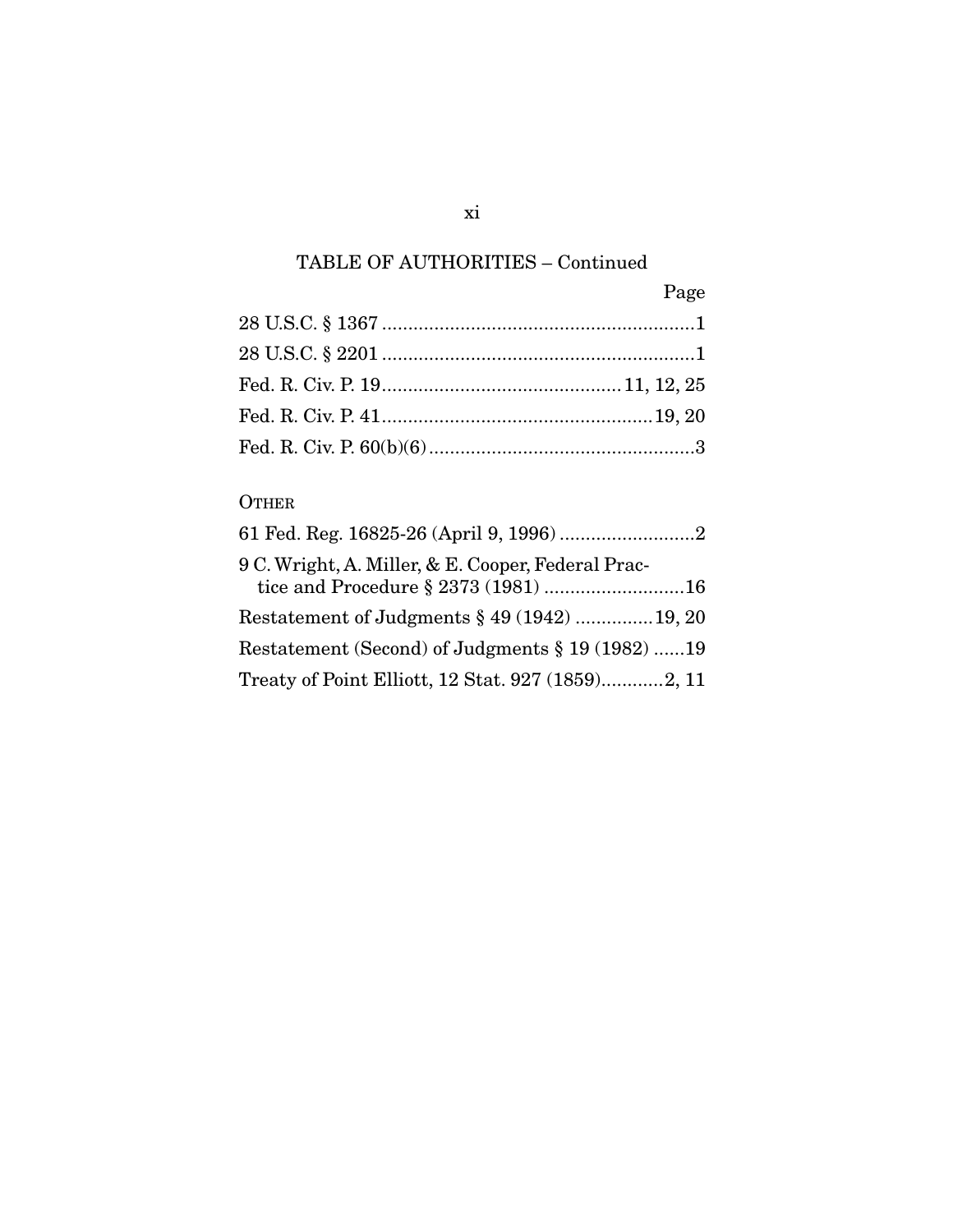| Page |
|------|
|      |
|      |
|      |
|      |
|      |

## **OTHER**

| 9 C. Wright, A. Miller, & E. Cooper, Federal Prac-<br>tice and Procedure § 2373 (1981) 16 |
|-------------------------------------------------------------------------------------------|
| Restatement of Judgments § 49 (1942) 19, 20                                               |
| Restatement (Second) of Judgments § 19 (1982) 19                                          |
| Treaty of Point Elliott, 12 Stat. 927 (1859)2, 11                                         |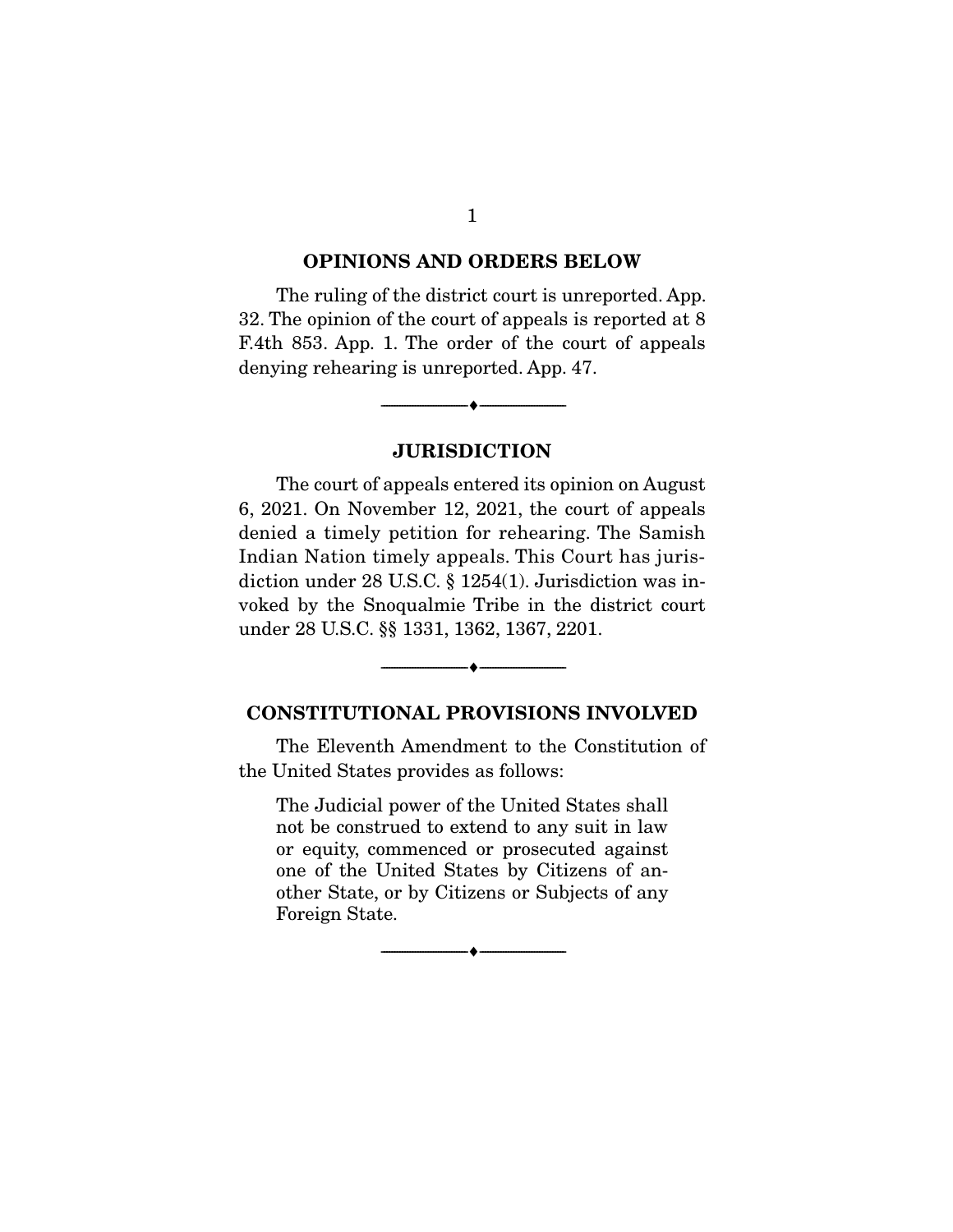#### **OPINIONS AND ORDERS BELOW**

The ruling of the district court is unreported. App. 32. The opinion of the court of appeals is reported at 8 F.4th 853. App. 1. The order of the court of appeals denying rehearing is unreported. App. 47.

### **JURISDICTION**

--------------------------------- ♦ ---------------------------------

The court of appeals entered its opinion on August 6, 2021. On November 12, 2021, the court of appeals denied a timely petition for rehearing. The Samish Indian Nation timely appeals. This Court has jurisdiction under 28 U.S.C. § 1254(1). Jurisdiction was invoked by the Snoqualmie Tribe in the district court under 28 U.S.C. §§ 1331, 1362, 1367, 2201.

### **CONSTITUTIONAL PROVISIONS INVOLVED**

 $\overbrace{\hspace{2.5cm}}^{\bullet}$   $\overbrace{\hspace{2.5cm}}^{\bullet}$ 

 The Eleventh Amendment to the Constitution of the United States provides as follows:

The Judicial power of the United States shall not be construed to extend to any suit in law or equity, commenced or prosecuted against one of the United States by Citizens of another State, or by Citizens or Subjects of any Foreign State.

 $\overbrace{\hspace{2.5cm}}^{\bullet}$   $\overbrace{\hspace{2.5cm}}^{\bullet}$ 

1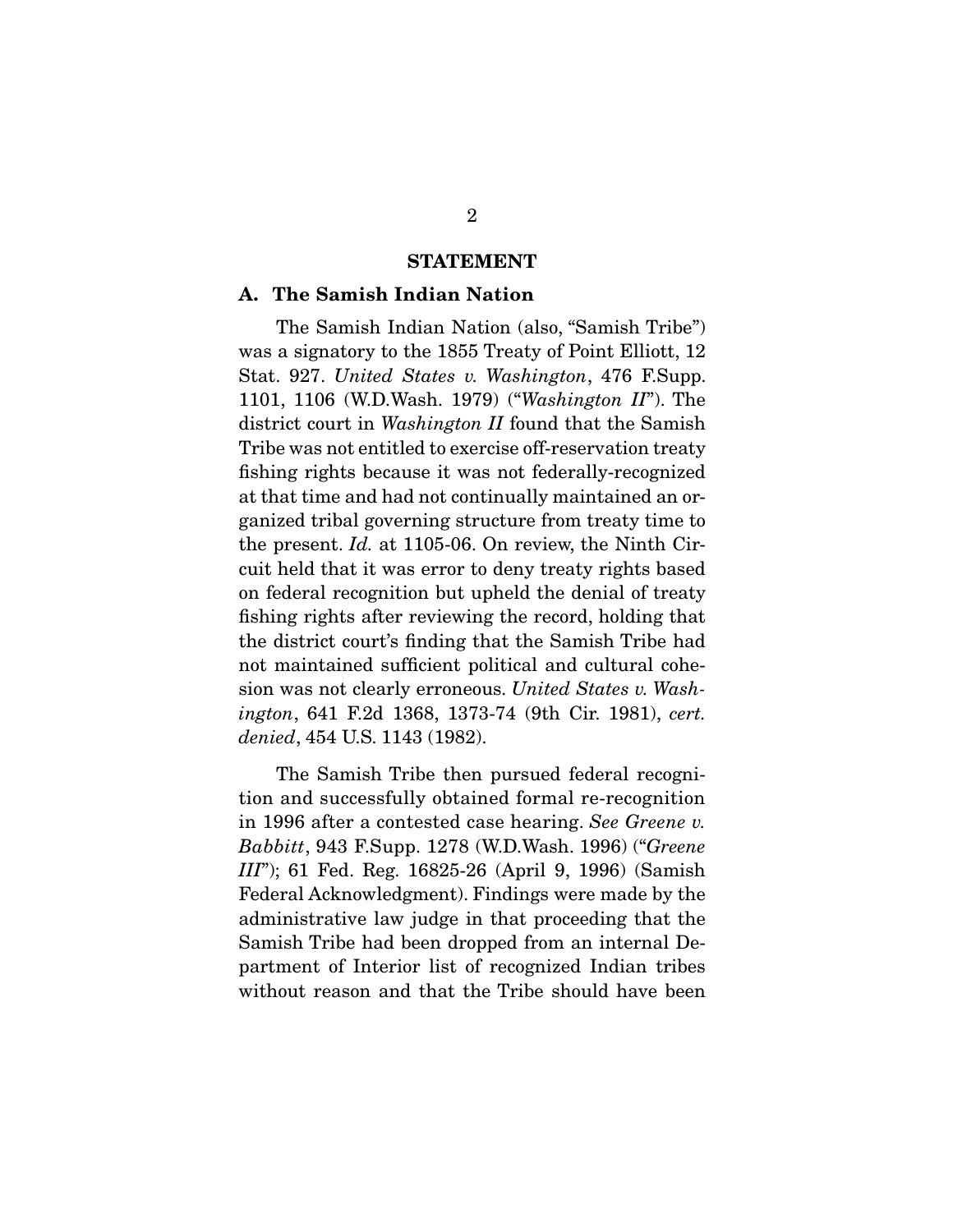#### **STATEMENT**

#### **A. The Samish Indian Nation**

The Samish Indian Nation (also, "Samish Tribe") was a signatory to the 1855 Treaty of Point Elliott, 12 Stat. 927. United States v. Washington, 476 F.Supp. 1101, 1106 (W.D.Wash. 1979) ("Washington II"). The district court in *Washington II* found that the Samish Tribe was not entitled to exercise off-reservation treaty fishing rights because it was not federally-recognized at that time and had not continually maintained an organized tribal governing structure from treaty time to the present. Id. at 1105-06. On review, the Ninth Circuit held that it was error to deny treaty rights based on federal recognition but upheld the denial of treaty fishing rights after reviewing the record, holding that the district court's finding that the Samish Tribe had not maintained sufficient political and cultural cohesion was not clearly erroneous. United States v. Washington, 641 F.2d 1368, 1373-74 (9th Cir. 1981), cert. denied, 454 U.S. 1143 (1982).

 The Samish Tribe then pursued federal recognition and successfully obtained formal re-recognition in 1996 after a contested case hearing. See Greene v. Babbitt, 943 F.Supp. 1278 (W.D.Wash. 1996) ("Greene III"); 61 Fed. Reg. 16825-26 (April 9, 1996) (Samish Federal Acknowledgment). Findings were made by the administrative law judge in that proceeding that the Samish Tribe had been dropped from an internal Department of Interior list of recognized Indian tribes without reason and that the Tribe should have been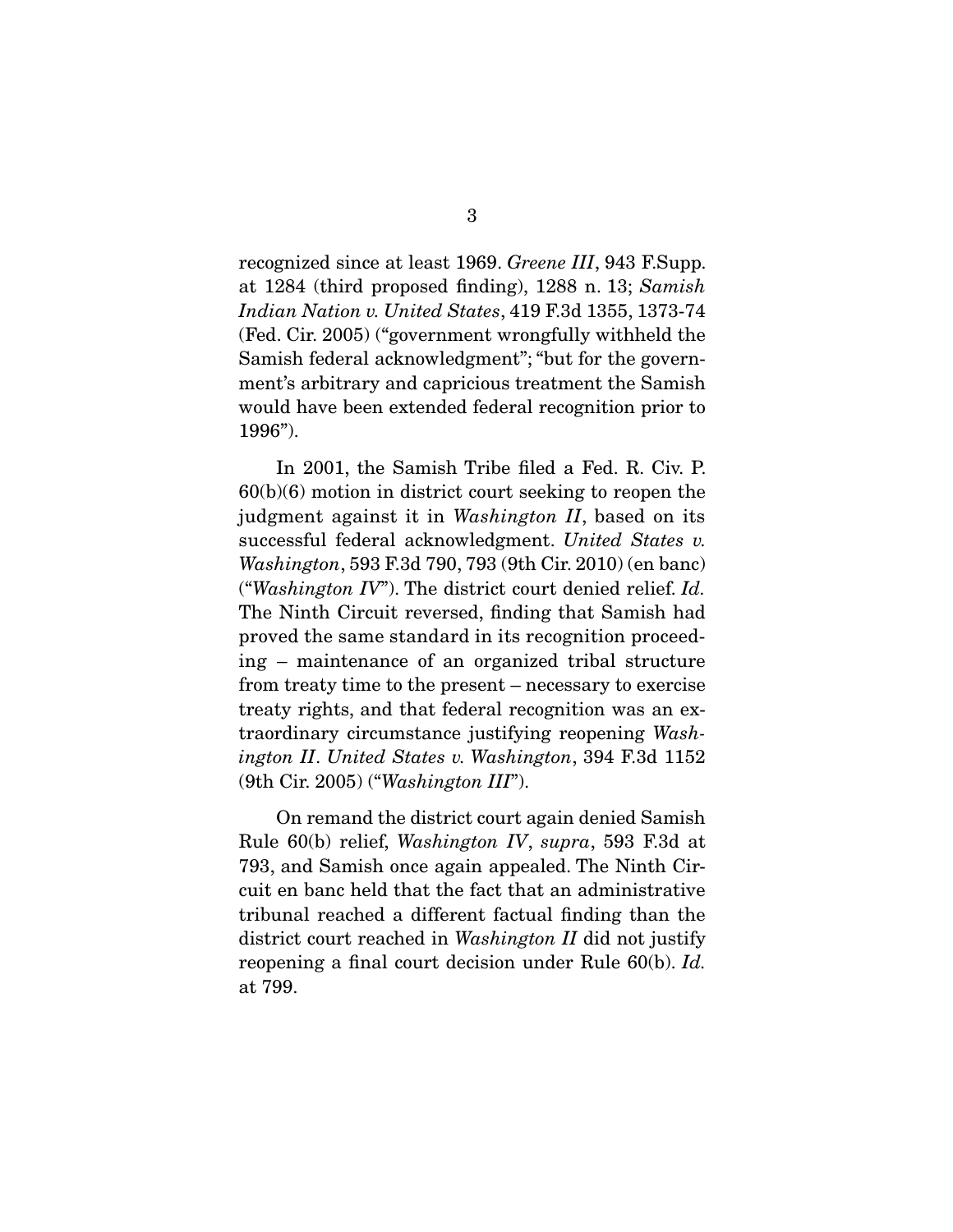recognized since at least 1969. Greene III, 943 F.Supp. at 1284 (third proposed finding), 1288 n. 13; Samish Indian Nation v. United States, 419 F.3d 1355, 1373-74 (Fed. Cir. 2005) ("government wrongfully withheld the Samish federal acknowledgment"; "but for the government's arbitrary and capricious treatment the Samish would have been extended federal recognition prior to 1996").

 In 2001, the Samish Tribe filed a Fed. R. Civ. P. 60(b)(6) motion in district court seeking to reopen the judgment against it in Washington II, based on its successful federal acknowledgment. United States v. Washington, 593 F.3d 790, 793 (9th Cir. 2010) (en banc) ("Washington  $IV$ "). The district court denied relief. Id. The Ninth Circuit reversed, finding that Samish had proved the same standard in its recognition proceeding – maintenance of an organized tribal structure from treaty time to the present – necessary to exercise treaty rights, and that federal recognition was an extraordinary circumstance justifying reopening Washington II. United States v. Washington, 394 F.3d 1152 (9th Cir. 2005) ("Washington III").

 On remand the district court again denied Samish Rule 60(b) relief, Washington IV, supra, 593 F.3d at 793, and Samish once again appealed. The Ninth Circuit en banc held that the fact that an administrative tribunal reached a different factual finding than the district court reached in Washington II did not justify reopening a final court decision under Rule 60(b). Id. at 799.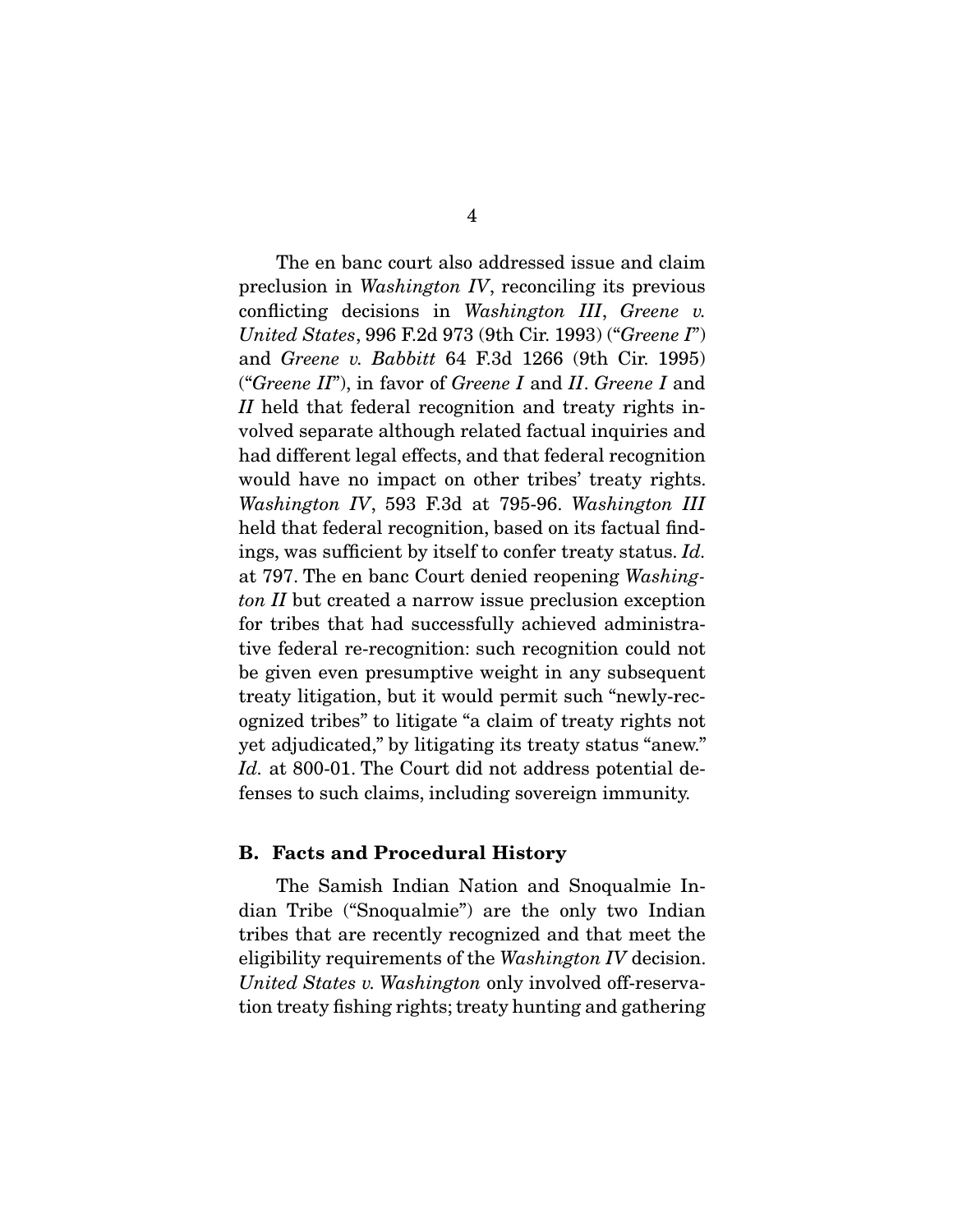The en banc court also addressed issue and claim preclusion in Washington IV, reconciling its previous conflicting decisions in Washington III, Greene v. United States, 996 F.2d 973 (9th Cir. 1993) ("Greene I") and Greene v. Babbitt 64 F.3d 1266 (9th Cir. 1995) ("Greene  $II$ "), in favor of Greene I and II. Greene I and II held that federal recognition and treaty rights involved separate although related factual inquiries and had different legal effects, and that federal recognition would have no impact on other tribes' treaty rights. Washington IV, 593 F.3d at 795-96. Washington III held that federal recognition, based on its factual findings, was sufficient by itself to confer treaty status. Id. at 797. The en banc Court denied reopening Washington II but created a narrow issue preclusion exception for tribes that had successfully achieved administrative federal re-recognition: such recognition could not be given even presumptive weight in any subsequent treaty litigation, but it would permit such "newly-recognized tribes" to litigate "a claim of treaty rights not yet adjudicated," by litigating its treaty status "anew." Id. at 800-01. The Court did not address potential defenses to such claims, including sovereign immunity.

#### **B. Facts and Procedural History**

The Samish Indian Nation and Snoqualmie Indian Tribe ("Snoqualmie") are the only two Indian tribes that are recently recognized and that meet the eligibility requirements of the Washington IV decision. United States v. Washington only involved off-reservation treaty fishing rights; treaty hunting and gathering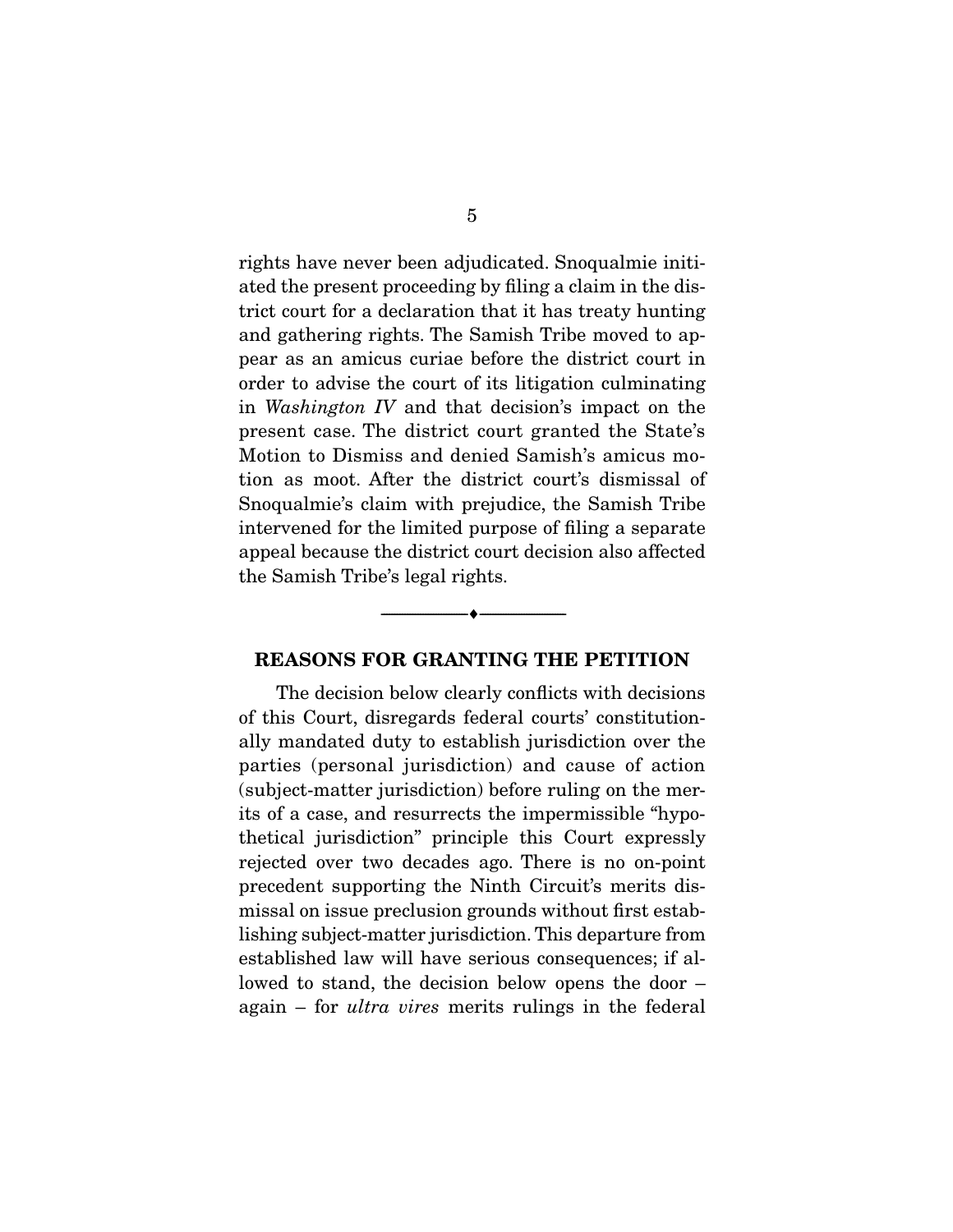rights have never been adjudicated. Snoqualmie initiated the present proceeding by filing a claim in the district court for a declaration that it has treaty hunting and gathering rights. The Samish Tribe moved to appear as an amicus curiae before the district court in order to advise the court of its litigation culminating in Washington IV and that decision's impact on the present case. The district court granted the State's Motion to Dismiss and denied Samish's amicus motion as moot. After the district court's dismissal of Snoqualmie's claim with prejudice, the Samish Tribe intervened for the limited purpose of filing a separate appeal because the district court decision also affected the Samish Tribe's legal rights.

#### **REASONS FOR GRANTING THE PETITION**

 $\overbrace{\hspace{2.5cm}}^{\bullet}$   $\overbrace{\hspace{2.5cm}}^{\bullet}$ 

The decision below clearly conflicts with decisions of this Court, disregards federal courts' constitutionally mandated duty to establish jurisdiction over the parties (personal jurisdiction) and cause of action (subject-matter jurisdiction) before ruling on the merits of a case, and resurrects the impermissible "hypothetical jurisdiction" principle this Court expressly rejected over two decades ago. There is no on-point precedent supporting the Ninth Circuit's merits dismissal on issue preclusion grounds without first establishing subject-matter jurisdiction. This departure from established law will have serious consequences; if allowed to stand, the decision below opens the door – again – for ultra vires merits rulings in the federal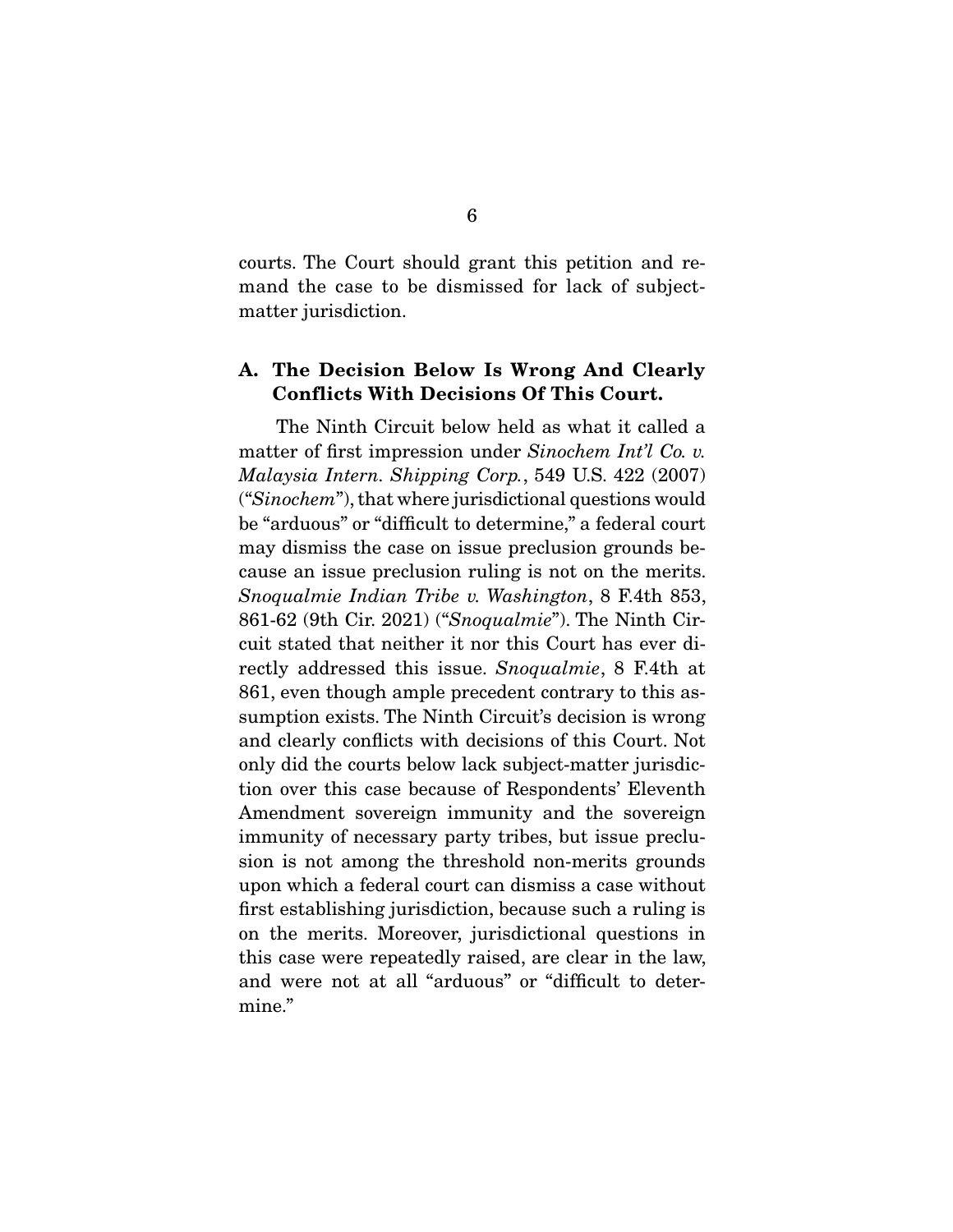courts. The Court should grant this petition and remand the case to be dismissed for lack of subjectmatter jurisdiction.

### **A. The Decision Below Is Wrong And Clearly Conflicts With Decisions Of This Court.**

The Ninth Circuit below held as what it called a matter of first impression under Sinochem Int'l Co. v. Malaysia Intern. Shipping Corp., 549 U.S. 422 (2007) ("Sinochem"), that where jurisdictional questions would be "arduous" or "difficult to determine," a federal court may dismiss the case on issue preclusion grounds because an issue preclusion ruling is not on the merits. Snoqualmie Indian Tribe v. Washington, 8 F.4th 853, 861-62 (9th Cir. 2021) ("Snoqualmie"). The Ninth Circuit stated that neither it nor this Court has ever directly addressed this issue. Snoqualmie, 8 F.4th at 861, even though ample precedent contrary to this assumption exists. The Ninth Circuit's decision is wrong and clearly conflicts with decisions of this Court. Not only did the courts below lack subject-matter jurisdiction over this case because of Respondents' Eleventh Amendment sovereign immunity and the sovereign immunity of necessary party tribes, but issue preclusion is not among the threshold non-merits grounds upon which a federal court can dismiss a case without first establishing jurisdiction, because such a ruling is on the merits. Moreover, jurisdictional questions in this case were repeatedly raised, are clear in the law, and were not at all "arduous" or "difficult to determine."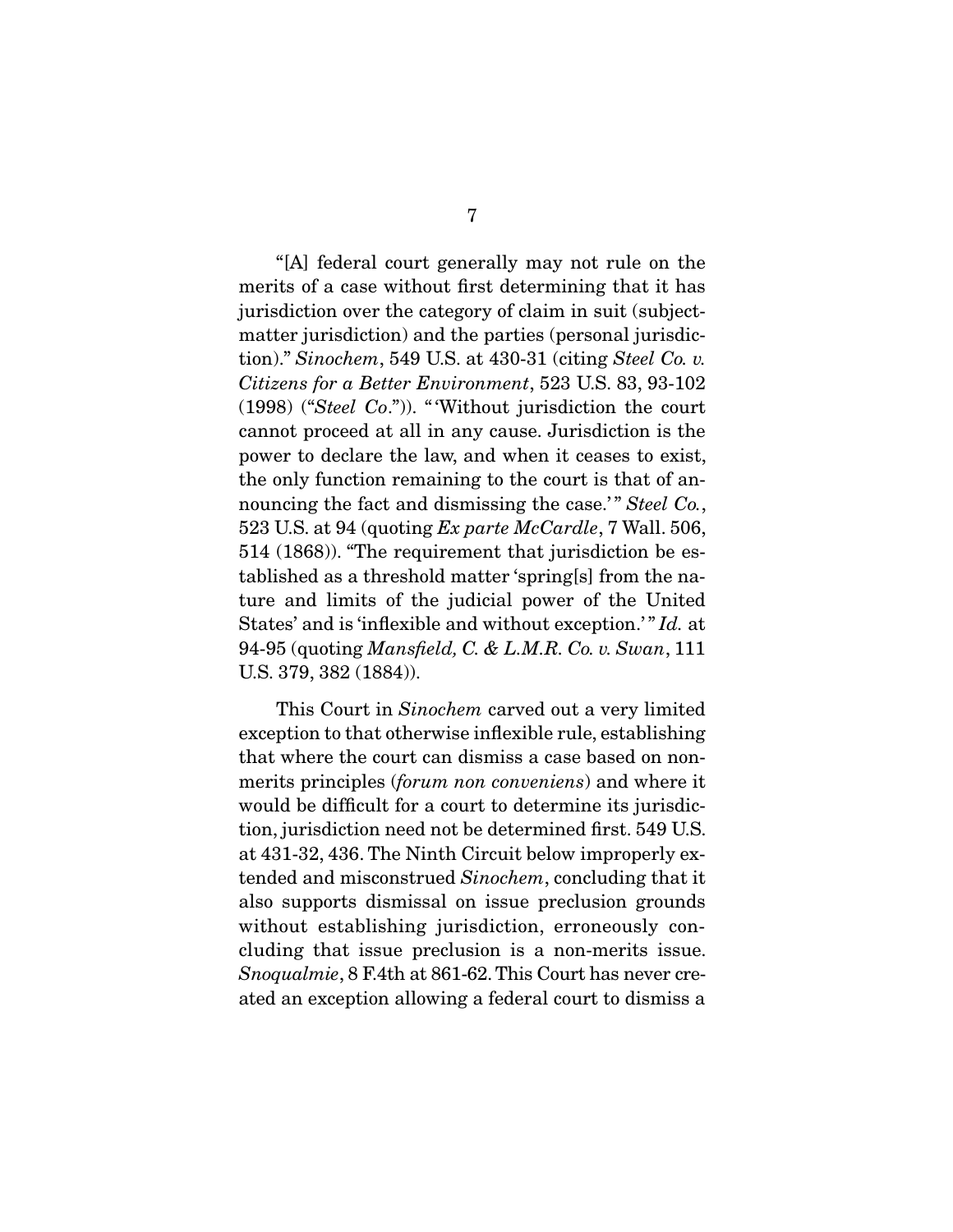"[A] federal court generally may not rule on the merits of a case without first determining that it has jurisdiction over the category of claim in suit (subjectmatter jurisdiction) and the parties (personal jurisdiction)." Sinochem, 549 U.S. at 430-31 (citing Steel Co. v. Citizens for a Better Environment, 523 U.S. 83, 93-102 (1998) ("Steel Co.")). " 'Without jurisdiction the court cannot proceed at all in any cause. Jurisdiction is the power to declare the law, and when it ceases to exist, the only function remaining to the court is that of announcing the fact and dismissing the case.'" Steel Co., 523 U.S. at 94 (quoting  $Ex$  parte McCardle, 7 Wall. 506, 514 (1868)). "The requirement that jurisdiction be established as a threshold matter 'spring[s] from the nature and limits of the judicial power of the United States' and is 'inflexible and without exception.'" Id. at 94-95 (quoting Mansfield, C. & L.M.R. Co. v. Swan, 111 U.S. 379, 382 (1884)).

 This Court in Sinochem carved out a very limited exception to that otherwise inflexible rule, establishing that where the court can dismiss a case based on nonmerits principles (forum non conveniens) and where it would be difficult for a court to determine its jurisdiction, jurisdiction need not be determined first. 549 U.S. at 431-32, 436. The Ninth Circuit below improperly extended and misconstrued Sinochem, concluding that it also supports dismissal on issue preclusion grounds without establishing jurisdiction, erroneously concluding that issue preclusion is a non-merits issue. Snoqualmie, 8 F.4th at 861-62. This Court has never created an exception allowing a federal court to dismiss a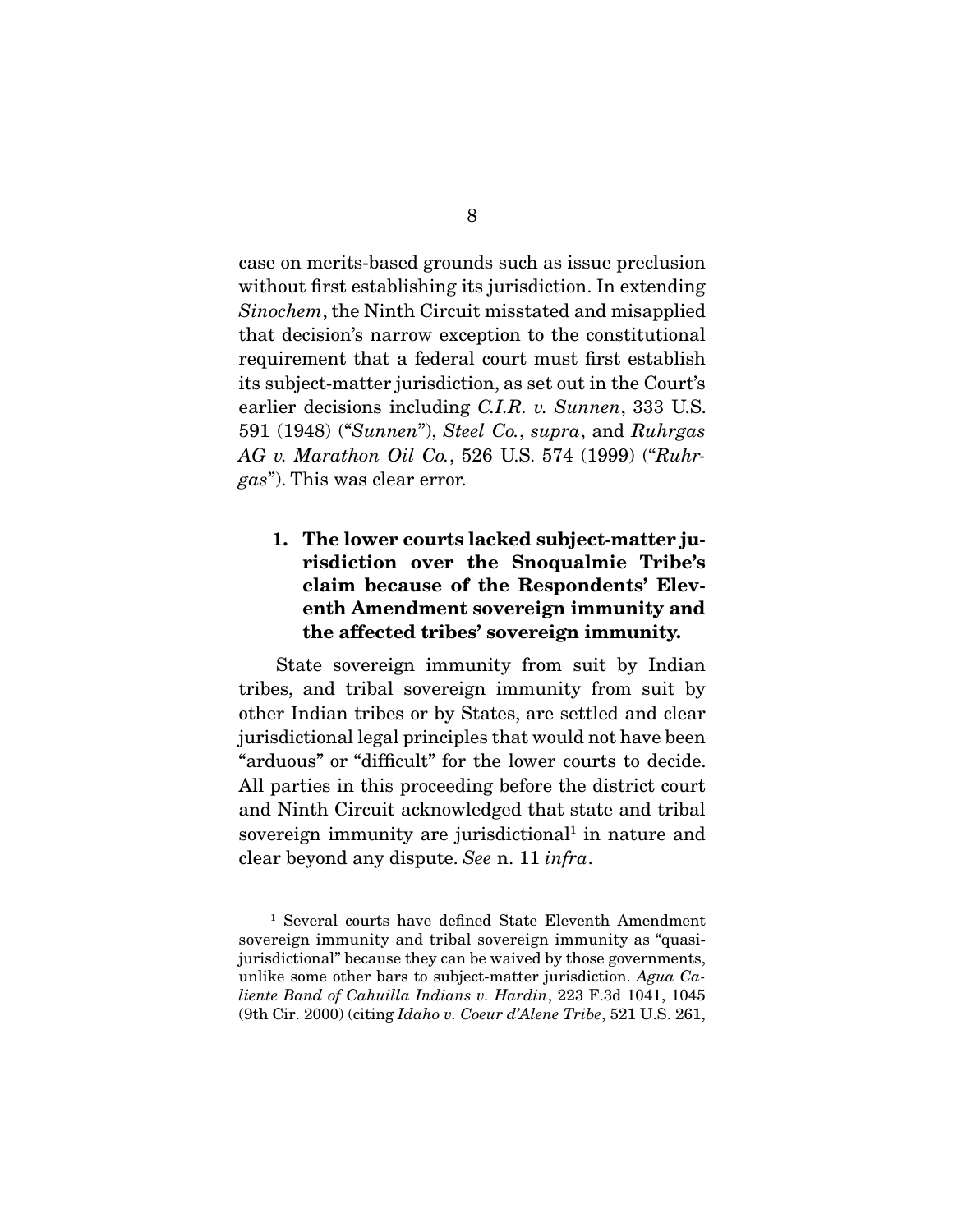case on merits-based grounds such as issue preclusion without first establishing its jurisdiction. In extending Sinochem, the Ninth Circuit misstated and misapplied that decision's narrow exception to the constitutional requirement that a federal court must first establish its subject-matter jurisdiction, as set out in the Court's earlier decisions including C.I.R. v. Sunnen, 333 U.S. 591 (1948) ("Sunnen"), Steel Co., supra, and Ruhrgas AG v. Marathon Oil Co., 526 U.S. 574 (1999) ("Ruhrgas"). This was clear error.

## **1. The lower courts lacked subject-matter jurisdiction over the Snoqualmie Tribe's claim because of the Respondents' Eleventh Amendment sovereign immunity and the affected tribes' sovereign immunity.**

State sovereign immunity from suit by Indian tribes, and tribal sovereign immunity from suit by other Indian tribes or by States, are settled and clear jurisdictional legal principles that would not have been "arduous" or "difficult" for the lower courts to decide. All parties in this proceeding before the district court and Ninth Circuit acknowledged that state and tribal sovereign immunity are jurisdictional<sup>1</sup> in nature and clear beyond any dispute. See n. 11 infra.

<sup>1</sup> Several courts have defined State Eleventh Amendment sovereign immunity and tribal sovereign immunity as "quasijurisdictional" because they can be waived by those governments, unlike some other bars to subject-matter jurisdiction. Agua Caliente Band of Cahuilla Indians v. Hardin, 223 F.3d 1041, 1045 (9th Cir. 2000) (citing Idaho v. Coeur d'Alene Tribe, 521 U.S. 261,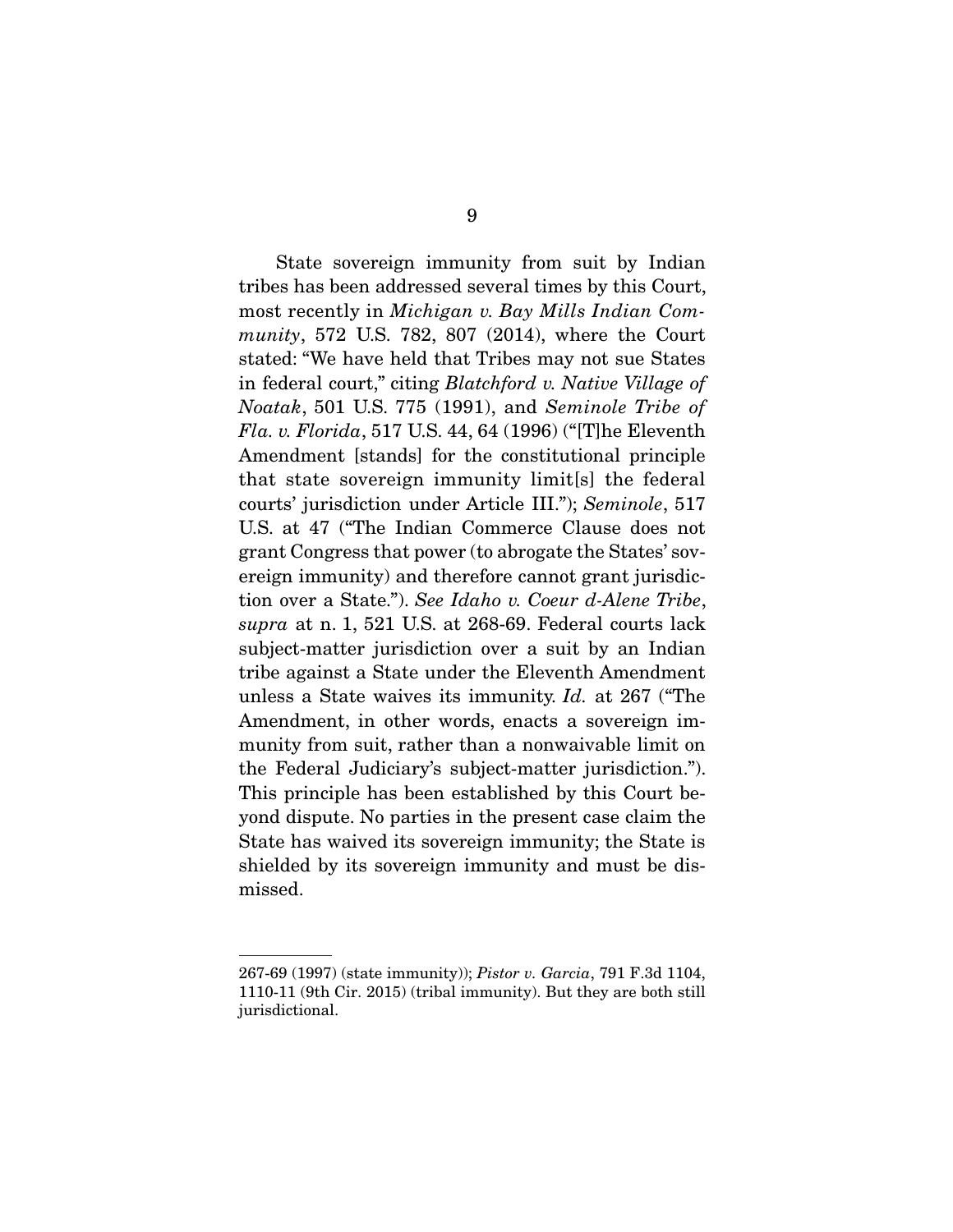State sovereign immunity from suit by Indian tribes has been addressed several times by this Court, most recently in Michigan v. Bay Mills Indian Community, 572 U.S. 782, 807 (2014), where the Court stated: "We have held that Tribes may not sue States in federal court," citing Blatchford v. Native Village of Noatak, 501 U.S. 775 (1991), and Seminole Tribe of *Fla. v. Florida*, 517 U.S. 44, 64 (1996) ("[T]he Eleventh Amendment [stands] for the constitutional principle that state sovereign immunity limit[s] the federal courts' jurisdiction under Article III."); Seminole, 517 U.S. at 47 ("The Indian Commerce Clause does not grant Congress that power (to abrogate the States' sovereign immunity) and therefore cannot grant jurisdiction over a State."). See Idaho v. Coeur d-Alene Tribe, supra at n. 1, 521 U.S. at 268-69. Federal courts lack subject-matter jurisdiction over a suit by an Indian tribe against a State under the Eleventh Amendment unless a State waives its immunity. Id. at 267 ("The Amendment, in other words, enacts a sovereign immunity from suit, rather than a nonwaivable limit on the Federal Judiciary's subject-matter jurisdiction."). This principle has been established by this Court beyond dispute. No parties in the present case claim the State has waived its sovereign immunity; the State is shielded by its sovereign immunity and must be dismissed.

<sup>267-69 (1997) (</sup>state immunity)); Pistor v. Garcia, 791 F.3d 1104, 1110-11 (9th Cir. 2015) (tribal immunity). But they are both still jurisdictional.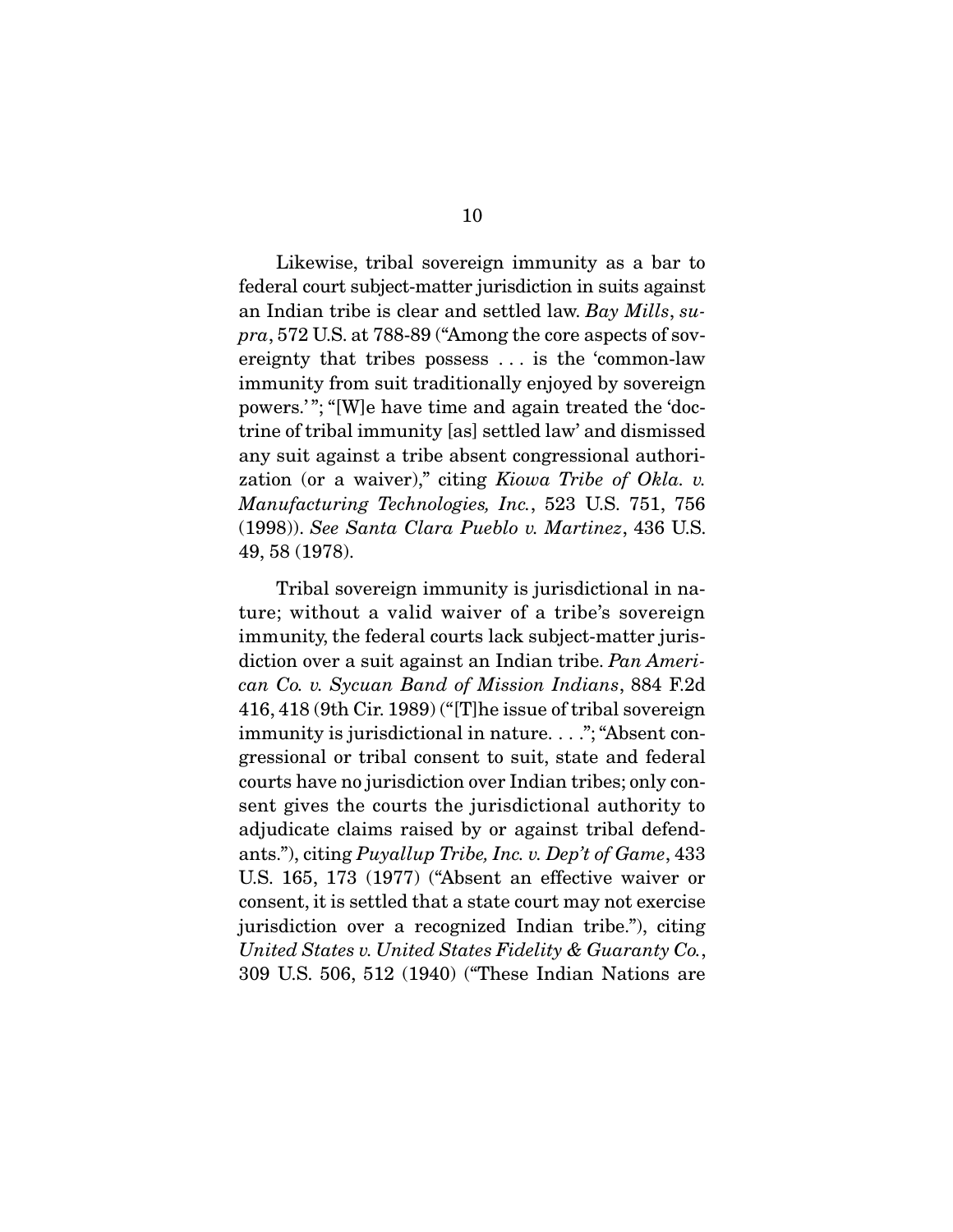Likewise, tribal sovereign immunity as a bar to federal court subject-matter jurisdiction in suits against an Indian tribe is clear and settled law. Bay Mills, supra, 572 U.S. at 788-89 ("Among the core aspects of sovereignty that tribes possess . . . is the 'common-law immunity from suit traditionally enjoyed by sovereign powers.' "; "[W]e have time and again treated the 'doctrine of tribal immunity [as] settled law' and dismissed any suit against a tribe absent congressional authorization (or a waiver)," citing Kiowa Tribe of Okla. v. Manufacturing Technologies, Inc., 523 U.S. 751, 756 (1998)). See Santa Clara Pueblo v. Martinez, 436 U.S. 49, 58 (1978).

 Tribal sovereign immunity is jurisdictional in nature; without a valid waiver of a tribe's sovereign immunity, the federal courts lack subject-matter jurisdiction over a suit against an Indian tribe. Pan American Co. v. Sycuan Band of Mission Indians, 884 F.2d 416, 418 (9th Cir. 1989) ("[T]he issue of tribal sovereign immunity is jurisdictional in nature. . . ."; "Absent congressional or tribal consent to suit, state and federal courts have no jurisdiction over Indian tribes; only consent gives the courts the jurisdictional authority to adjudicate claims raised by or against tribal defendants."), citing Puyallup Tribe, Inc. v. Dep't of Game, 433 U.S. 165, 173 (1977) ("Absent an effective waiver or consent, it is settled that a state court may not exercise jurisdiction over a recognized Indian tribe."), citing United States v. United States Fidelity & Guaranty Co., 309 U.S. 506, 512 (1940) ("These Indian Nations are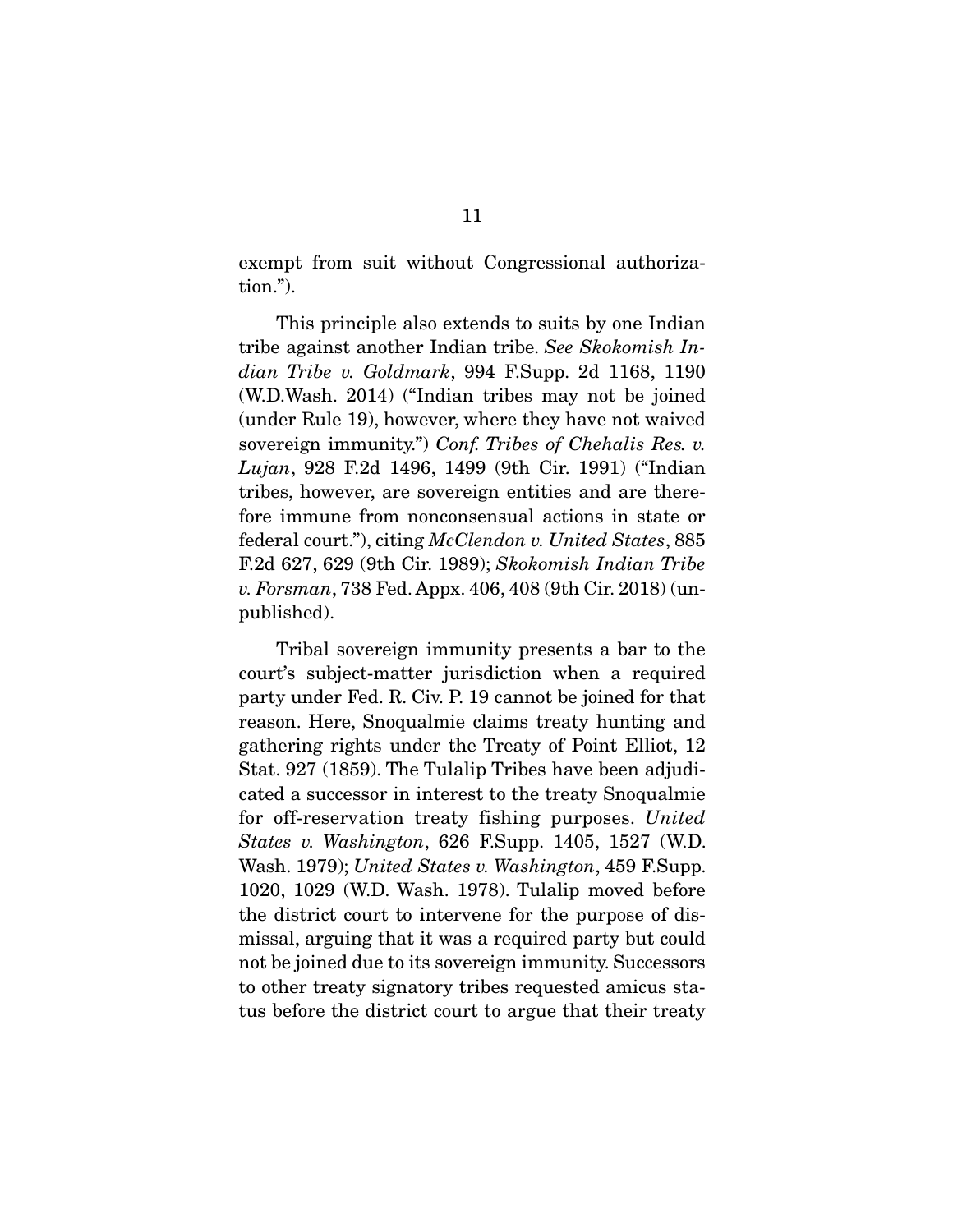exempt from suit without Congressional authorization.").

 This principle also extends to suits by one Indian tribe against another Indian tribe. See Skokomish Indian Tribe v. Goldmark, 994 F.Supp. 2d 1168, 1190 (W.D.Wash. 2014) ("Indian tribes may not be joined (under Rule 19), however, where they have not waived sovereign immunity.") Conf. Tribes of Chehalis Res. v. Lujan, 928 F.2d 1496, 1499 (9th Cir. 1991) ("Indian tribes, however, are sovereign entities and are therefore immune from nonconsensual actions in state or federal court."), citing McClendon v. United States, 885 F.2d 627, 629 (9th Cir. 1989); Skokomish Indian Tribe v. Forsman, 738 Fed. Appx. 406, 408 (9th Cir. 2018) (unpublished).

 Tribal sovereign immunity presents a bar to the court's subject-matter jurisdiction when a required party under Fed. R. Civ. P. 19 cannot be joined for that reason. Here, Snoqualmie claims treaty hunting and gathering rights under the Treaty of Point Elliot, 12 Stat. 927 (1859). The Tulalip Tribes have been adjudicated a successor in interest to the treaty Snoqualmie for off-reservation treaty fishing purposes. United States v. Washington, 626 F.Supp. 1405, 1527 (W.D. Wash. 1979); United States v. Washington, 459 F.Supp. 1020, 1029 (W.D. Wash. 1978). Tulalip moved before the district court to intervene for the purpose of dismissal, arguing that it was a required party but could not be joined due to its sovereign immunity. Successors to other treaty signatory tribes requested amicus status before the district court to argue that their treaty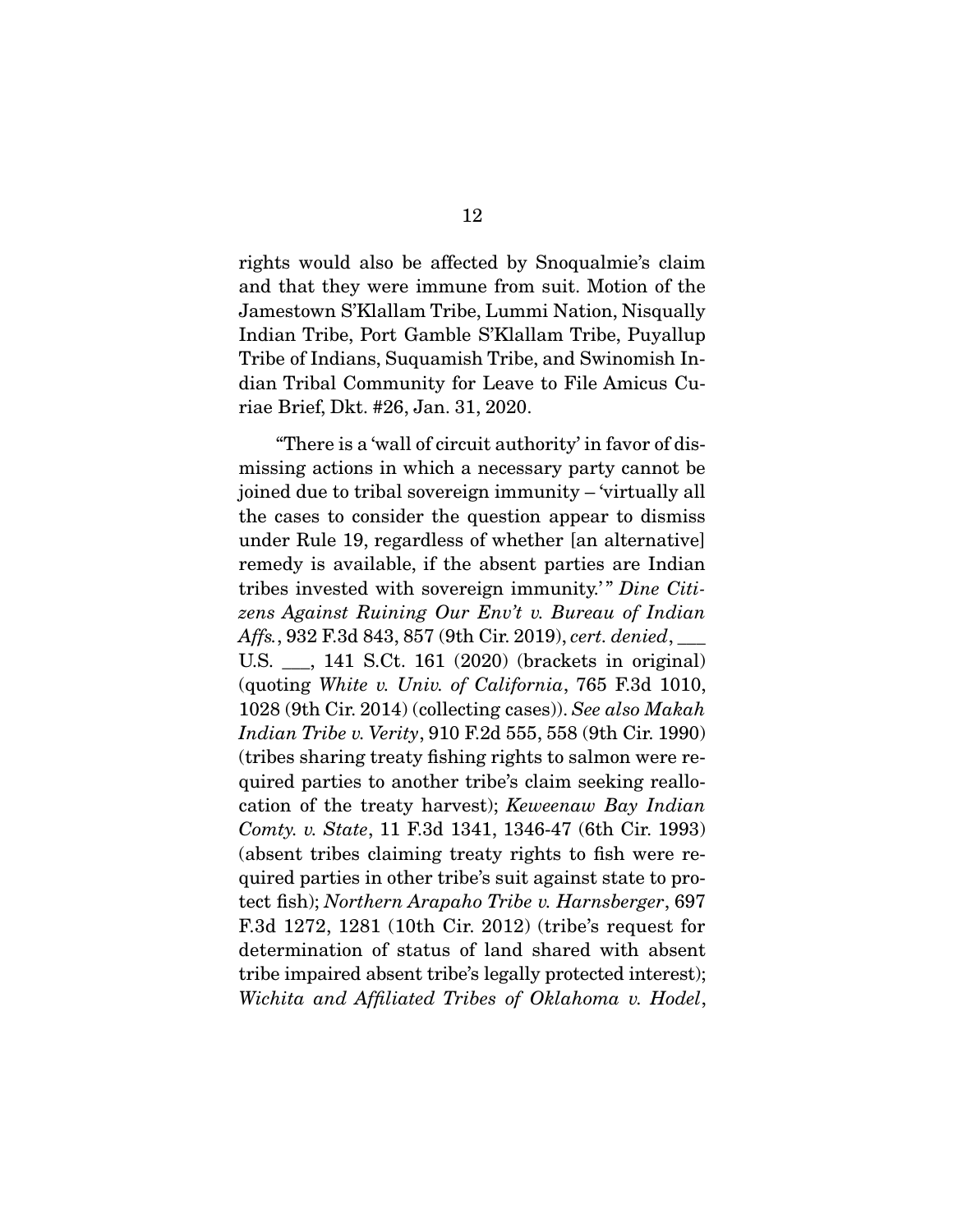rights would also be affected by Snoqualmie's claim and that they were immune from suit. Motion of the Jamestown S'Klallam Tribe, Lummi Nation, Nisqually Indian Tribe, Port Gamble S'Klallam Tribe, Puyallup Tribe of Indians, Suquamish Tribe, and Swinomish Indian Tribal Community for Leave to File Amicus Curiae Brief, Dkt. #26, Jan. 31, 2020.

 "There is a 'wall of circuit authority' in favor of dismissing actions in which a necessary party cannot be joined due to tribal sovereign immunity – 'virtually all the cases to consider the question appear to dismiss under Rule 19, regardless of whether [an alternative] remedy is available, if the absent parties are Indian tribes invested with sovereign immunity.'" Dine Citizens Against Ruining Our Env't v. Bureau of Indian Affs., 932 F.3d 843, 857 (9th Cir. 2019), cert. denied, \_\_\_ U.S. \_\_\_, 141 S.Ct. 161 (2020) (brackets in original) (quoting White v. Univ. of California, 765 F.3d 1010, 1028 (9th Cir. 2014) (collecting cases)). See also Makah Indian Tribe v. Verity, 910 F.2d 555, 558 (9th Cir. 1990) (tribes sharing treaty fishing rights to salmon were required parties to another tribe's claim seeking reallocation of the treaty harvest); Keweenaw Bay Indian Comty. v. State, 11 F.3d 1341, 1346-47 (6th Cir. 1993) (absent tribes claiming treaty rights to fish were required parties in other tribe's suit against state to protect fish); Northern Arapaho Tribe v. Harnsberger, 697 F.3d 1272, 1281 (10th Cir. 2012) (tribe's request for determination of status of land shared with absent tribe impaired absent tribe's legally protected interest); Wichita and Affiliated Tribes of Oklahoma v. Hodel,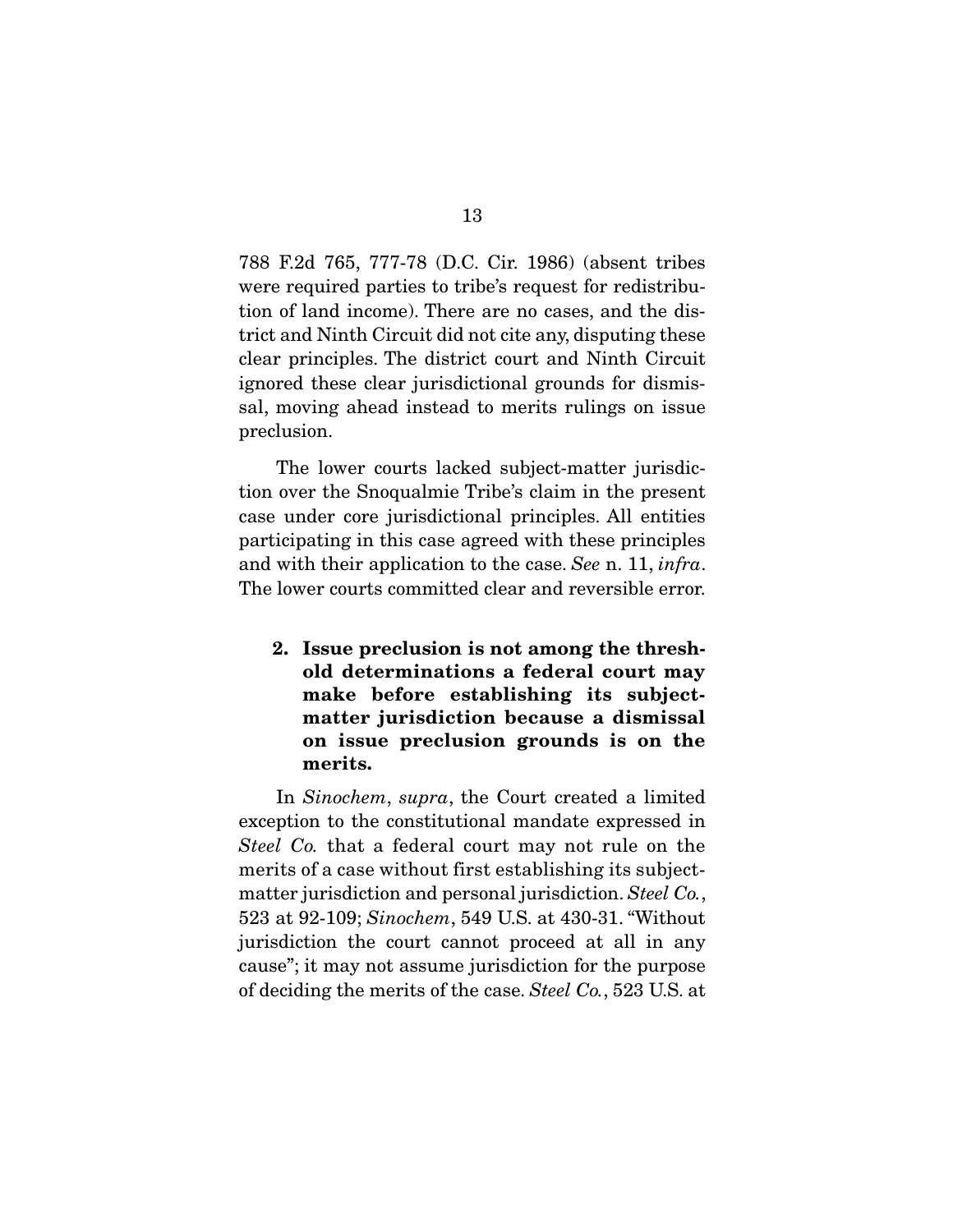788 F.2d 765, 777-78 (D.C. Cir. 1986) (absent tribes were required parties to tribe's request for redistribution of land income). There are no cases, and the district and Ninth Circuit did not cite any, disputing these clear principles. The district court and Ninth Circuit ignored these clear jurisdictional grounds for dismissal, moving ahead instead to merits rulings on issue preclusion.

 The lower courts lacked subject-matter jurisdiction over the Snoqualmie Tribe's claim in the present case under core jurisdictional principles. All entities participating in this case agreed with these principles and with their application to the case. See n. 11, infra. The lower courts committed clear and reversible error.

**2. Issue preclusion is not among the threshold determinations a federal court may make before establishing its subjectmatter jurisdiction because a dismissal on issue preclusion grounds is on the merits.** 

 In Sinochem, supra, the Court created a limited exception to the constitutional mandate expressed in Steel Co. that a federal court may not rule on the merits of a case without first establishing its subjectmatter jurisdiction and personal jurisdiction. Steel Co., 523 at 92-109; Sinochem, 549 U.S. at 430-31. "Without jurisdiction the court cannot proceed at all in any cause"; it may not assume jurisdiction for the purpose of deciding the merits of the case. Steel Co., 523 U.S. at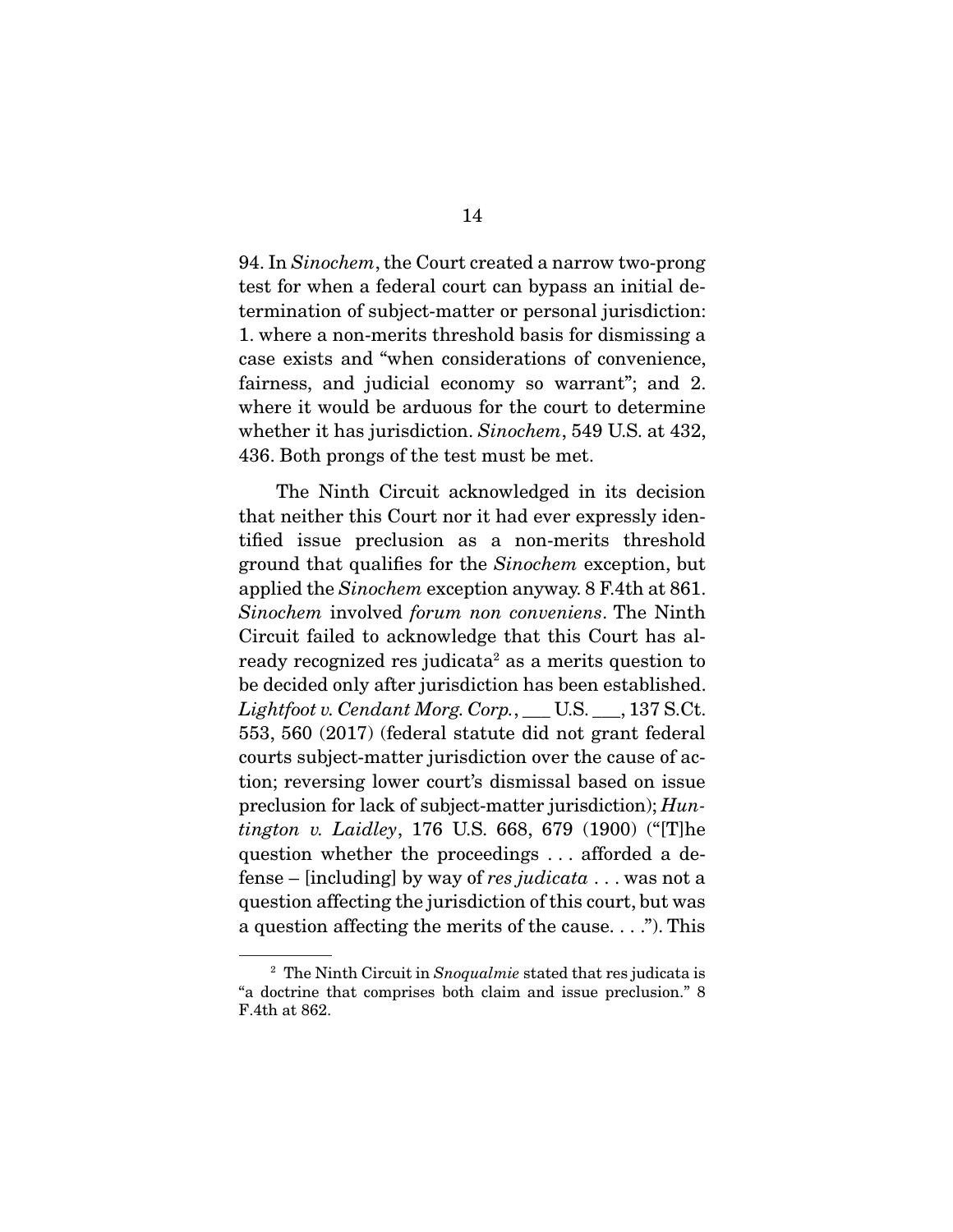94. In Sinochem, the Court created a narrow two-prong test for when a federal court can bypass an initial determination of subject-matter or personal jurisdiction: 1. where a non-merits threshold basis for dismissing a case exists and "when considerations of convenience, fairness, and judicial economy so warrant"; and 2. where it would be arduous for the court to determine whether it has jurisdiction. Sinochem, 549 U.S. at 432, 436. Both prongs of the test must be met.

 The Ninth Circuit acknowledged in its decision that neither this Court nor it had ever expressly identified issue preclusion as a non-merits threshold ground that qualifies for the Sinochem exception, but applied the Sinochem exception anyway. 8 F.4th at 861. Sinochem involved forum non conveniens. The Ninth Circuit failed to acknowledge that this Court has already recognized res judicata<sup>2</sup> as a merits question to be decided only after jurisdiction has been established.  $Lightfoot$  v.  $Cendant$  Morg.  $Corp.$ ,  $\rule{1em}{0.15mm}$  U.S.  $\rule{1em}{0.15mm}$  U.S.  $\rule{1em}{0.15mm}$  U.S. 553, 560 (2017) (federal statute did not grant federal courts subject-matter jurisdiction over the cause of action; reversing lower court's dismissal based on issue preclusion for lack of subject-matter jurisdiction); Huntington v. Laidley, 176 U.S. 668, 679 (1900) ("[T]he question whether the proceedings . . . afforded a defense – [including] by way of res judicata  $\dots$  was not a question affecting the jurisdiction of this court, but was a question affecting the merits of the cause. . . ."). This

 $2$  The Ninth Circuit in Snoqualmie stated that res judicata is "a doctrine that comprises both claim and issue preclusion." 8 F.4th at 862.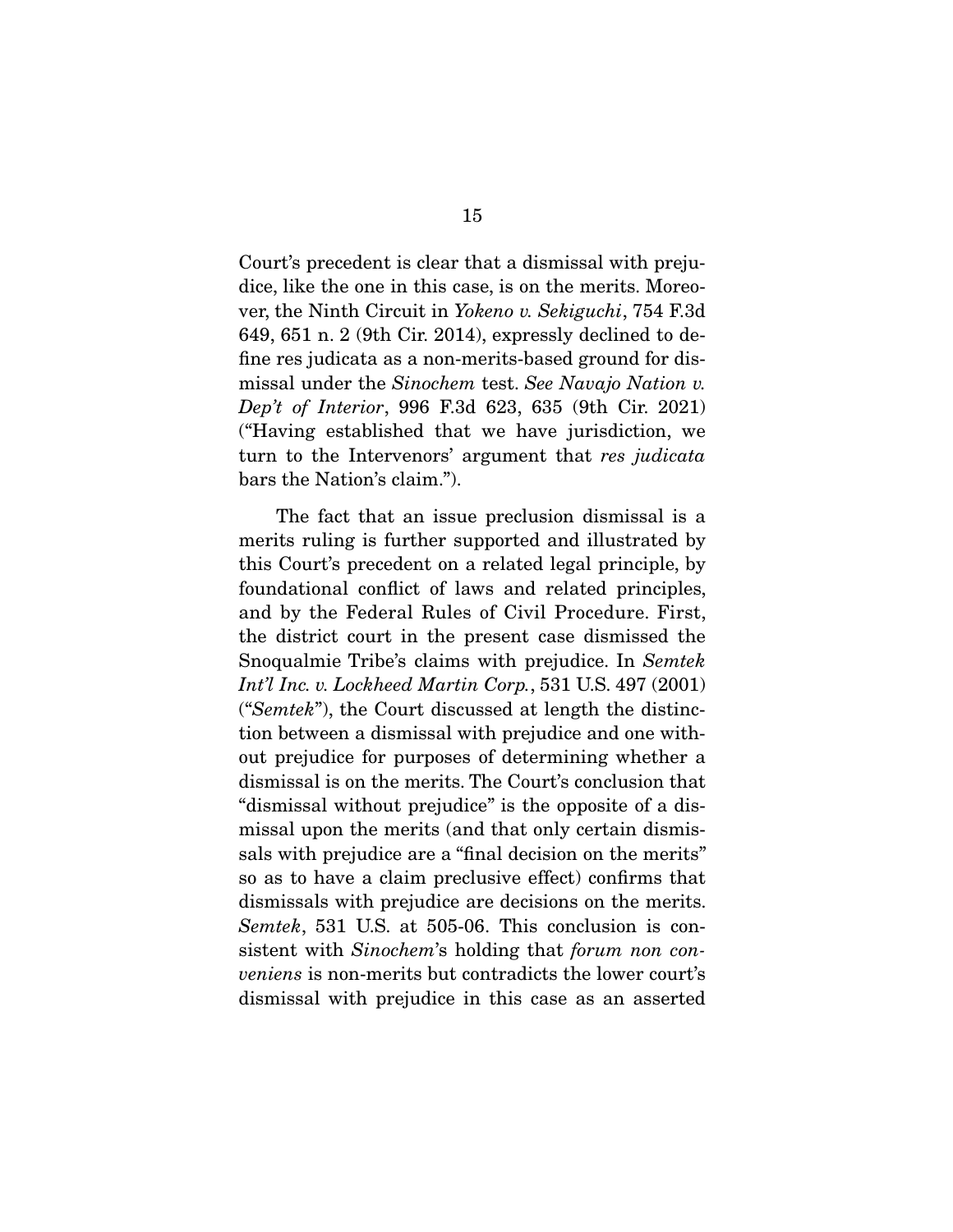Court's precedent is clear that a dismissal with prejudice, like the one in this case, is on the merits. Moreover, the Ninth Circuit in Yokeno v. Sekiguchi, 754 F.3d 649, 651 n. 2 (9th Cir. 2014), expressly declined to define res judicata as a non-merits-based ground for dismissal under the Sinochem test. See Navajo Nation v. Dep't of Interior, 996 F.3d 623, 635 (9th Cir. 2021) ("Having established that we have jurisdiction, we turn to the Intervenors' argument that res judicata bars the Nation's claim.").

 The fact that an issue preclusion dismissal is a merits ruling is further supported and illustrated by this Court's precedent on a related legal principle, by foundational conflict of laws and related principles, and by the Federal Rules of Civil Procedure. First, the district court in the present case dismissed the Snoqualmie Tribe's claims with prejudice. In Semtek Int'l Inc. v. Lockheed Martin Corp., 531 U.S. 497 (2001) ("Semtek"), the Court discussed at length the distinction between a dismissal with prejudice and one without prejudice for purposes of determining whether a dismissal is on the merits. The Court's conclusion that "dismissal without prejudice" is the opposite of a dismissal upon the merits (and that only certain dismissals with prejudice are a "final decision on the merits" so as to have a claim preclusive effect) confirms that dismissals with prejudice are decisions on the merits. Semtek, 531 U.S. at 505-06. This conclusion is consistent with Sinochem's holding that forum non conveniens is non-merits but contradicts the lower court's dismissal with prejudice in this case as an asserted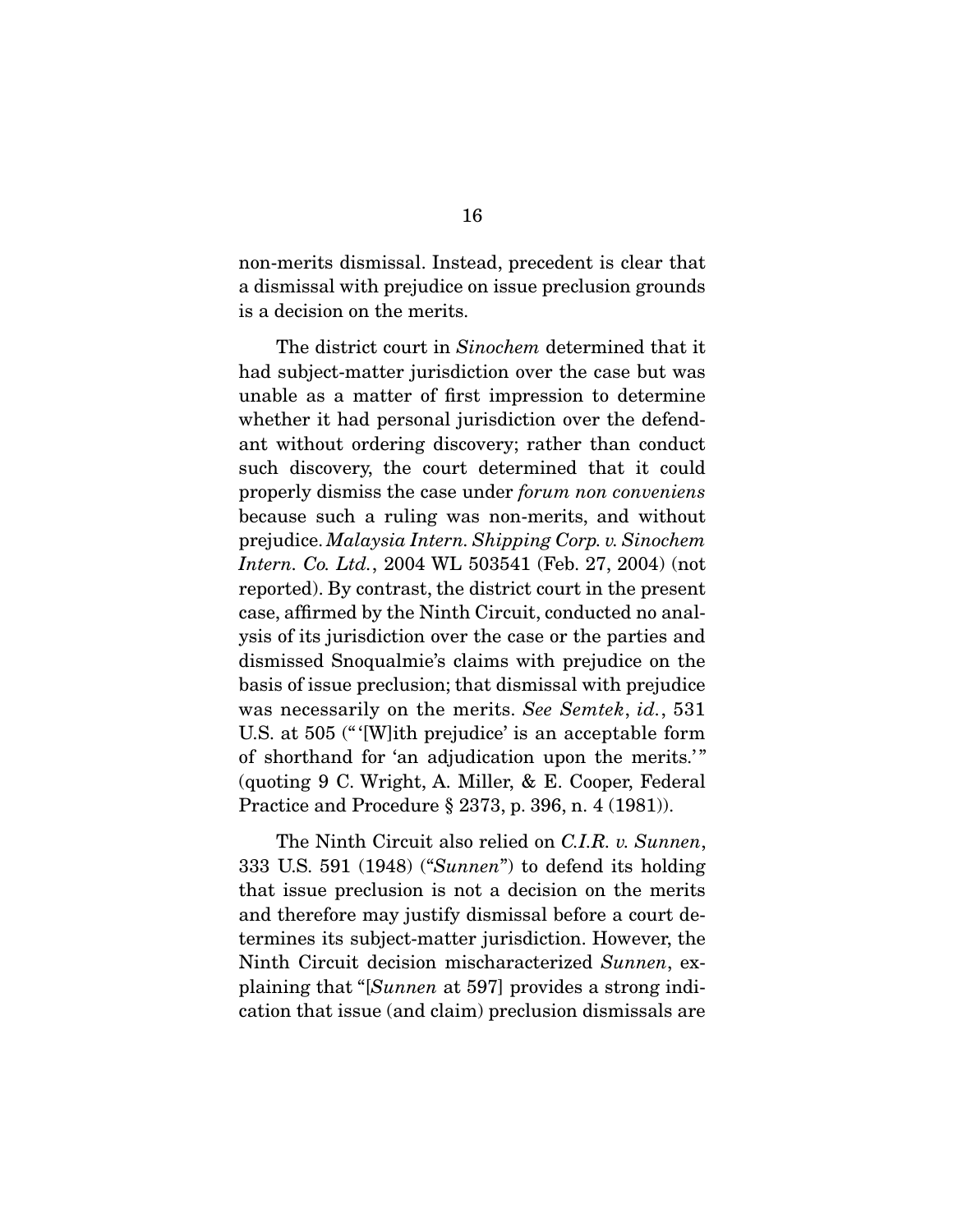non-merits dismissal. Instead, precedent is clear that a dismissal with prejudice on issue preclusion grounds is a decision on the merits.

 The district court in Sinochem determined that it had subject-matter jurisdiction over the case but was unable as a matter of first impression to determine whether it had personal jurisdiction over the defendant without ordering discovery; rather than conduct such discovery, the court determined that it could properly dismiss the case under forum non conveniens because such a ruling was non-merits, and without prejudice. Malaysia Intern. Shipping Corp. v. Sinochem Intern. Co. Ltd., 2004 WL 503541 (Feb. 27, 2004) (not reported). By contrast, the district court in the present case, affirmed by the Ninth Circuit, conducted no analysis of its jurisdiction over the case or the parties and dismissed Snoqualmie's claims with prejudice on the basis of issue preclusion; that dismissal with prejudice was necessarily on the merits. See Semtek, id., 531 U.S. at 505 (" '[W]ith prejudice' is an acceptable form of shorthand for 'an adjudication upon the merits.'" (quoting 9 C. Wright, A. Miller, & E. Cooper, Federal Practice and Procedure § 2373, p. 396, n. 4 (1981)).

The Ninth Circuit also relied on C.I.R. v. Sunnen, 333 U.S. 591 (1948) ("Sunnen") to defend its holding that issue preclusion is not a decision on the merits and therefore may justify dismissal before a court determines its subject-matter jurisdiction. However, the Ninth Circuit decision mischaracterized Sunnen, explaining that "[Sunnen at 597] provides a strong indication that issue (and claim) preclusion dismissals are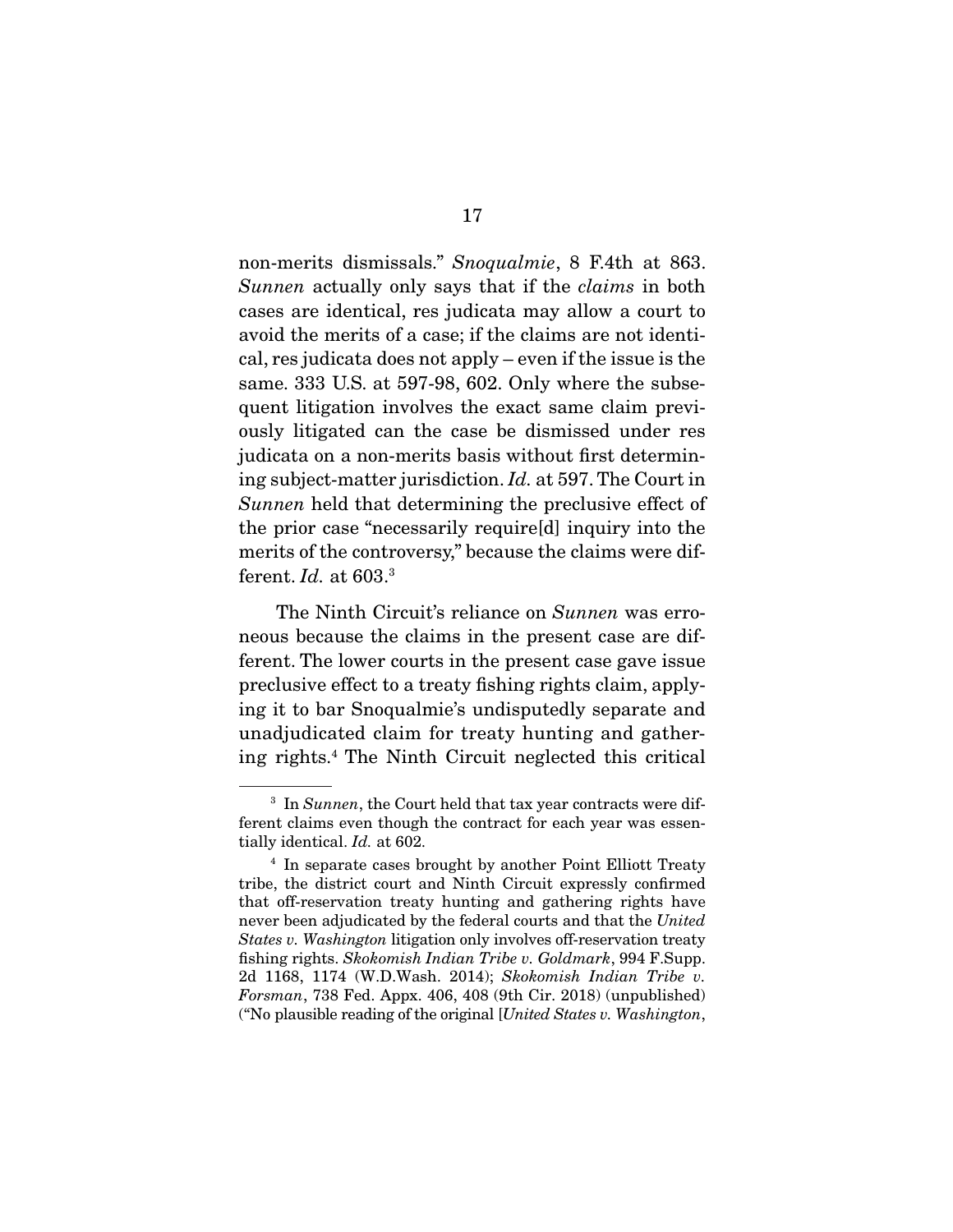non-merits dismissals." Snoqualmie, 8 F.4th at 863. Sunnen actually only says that if the *claims* in both cases are identical, res judicata may allow a court to avoid the merits of a case; if the claims are not identical, res judicata does not apply – even if the issue is the same. 333 U.S. at 597-98, 602. Only where the subsequent litigation involves the exact same claim previously litigated can the case be dismissed under res judicata on a non-merits basis without first determining subject-matter jurisdiction. Id. at 597. The Court in Sunnen held that determining the preclusive effect of the prior case "necessarily require[d] inquiry into the merits of the controversy," because the claims were different.  $Id.$  at 603. $3$ 

The Ninth Circuit's reliance on Sunnen was erroneous because the claims in the present case are different. The lower courts in the present case gave issue preclusive effect to a treaty fishing rights claim, applying it to bar Snoqualmie's undisputedly separate and unadjudicated claim for treaty hunting and gathering rights.4 The Ninth Circuit neglected this critical

 $3$  In Sunnen, the Court held that tax year contracts were different claims even though the contract for each year was essentially identical. Id. at 602.

<sup>4</sup> In separate cases brought by another Point Elliott Treaty tribe, the district court and Ninth Circuit expressly confirmed that off-reservation treaty hunting and gathering rights have never been adjudicated by the federal courts and that the United States v. Washington litigation only involves off-reservation treaty fishing rights. Skokomish Indian Tribe v. Goldmark, 994 F.Supp. 2d 1168, 1174 (W.D.Wash. 2014); Skokomish Indian Tribe v. Forsman, 738 Fed. Appx. 406, 408 (9th Cir. 2018) (unpublished) ("No plausible reading of the original [United States v. Washington,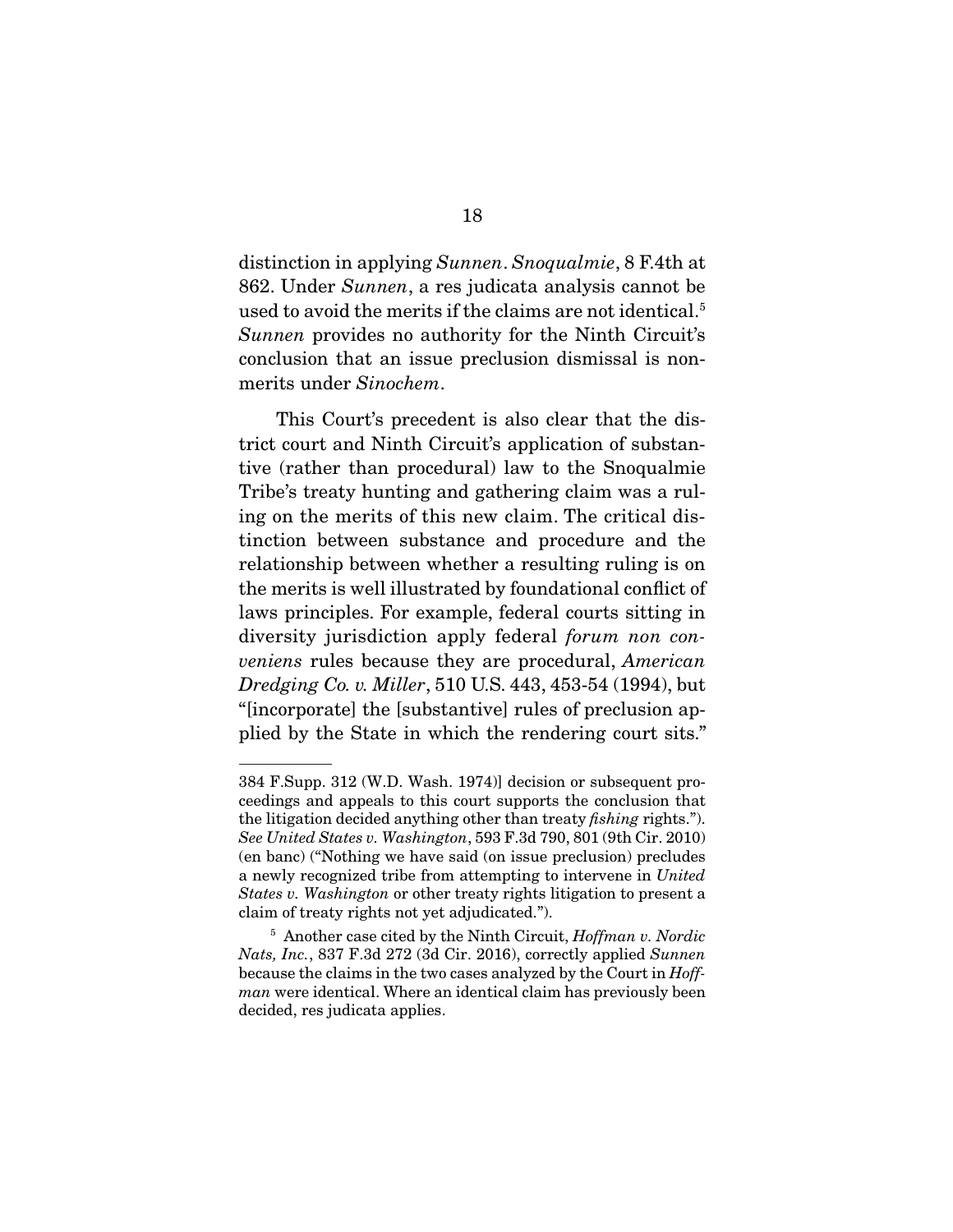distinction in applying Sunnen. Snoqualmie, 8 F.4th at 862. Under Sunnen, a res judicata analysis cannot be used to avoid the merits if the claims are not identical.<sup>5</sup> Sunnen provides no authority for the Ninth Circuit's conclusion that an issue preclusion dismissal is nonmerits under Sinochem.

 This Court's precedent is also clear that the district court and Ninth Circuit's application of substantive (rather than procedural) law to the Snoqualmie Tribe's treaty hunting and gathering claim was a ruling on the merits of this new claim. The critical distinction between substance and procedure and the relationship between whether a resulting ruling is on the merits is well illustrated by foundational conflict of laws principles. For example, federal courts sitting in diversity jurisdiction apply federal *forum non con*veniens rules because they are procedural, American Dredging Co. v. Miller, 510 U.S. 443, 453-54 (1994), but "[incorporate] the [substantive] rules of preclusion applied by the State in which the rendering court sits."

<sup>384</sup> F.Supp. 312 (W.D. Wash. 1974)] decision or subsequent proceedings and appeals to this court supports the conclusion that the litigation decided anything other than treaty fishing rights."). See United States v. Washington, 593 F.3d 790, 801 (9th Cir. 2010) (en banc) ("Nothing we have said (on issue preclusion) precludes a newly recognized tribe from attempting to intervene in United States v. Washington or other treaty rights litigation to present a claim of treaty rights not yet adjudicated.").

 $5$  Another case cited by the Ninth Circuit, *Hoffman v. Nordic* Nats, Inc., 837 F.3d 272 (3d Cir. 2016), correctly applied Sunnen because the claims in the two cases analyzed by the Court in Hoffman were identical. Where an identical claim has previously been decided, res judicata applies.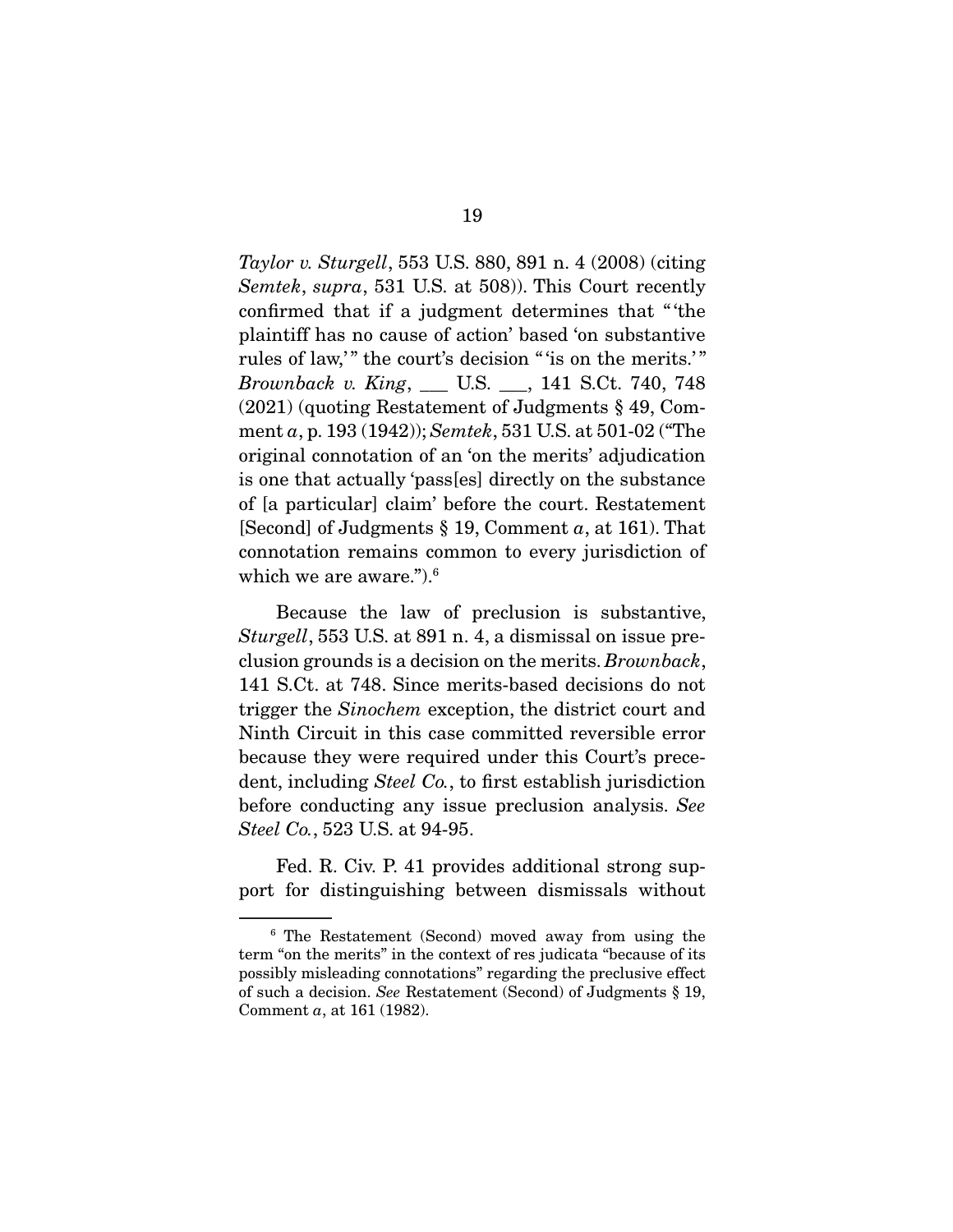Taylor v. Sturgell, 553 U.S. 880, 891 n. 4 (2008) (citing Semtek, supra, 531 U.S. at 508). This Court recently confirmed that if a judgment determines that " 'the plaintiff has no cause of action' based 'on substantive rules of law," the court's decision " 'is on the merits.'" Brownback v. King, \_\_\_ U.S. \_\_\_, 141 S.Ct. 740, 748 (2021) (quoting Restatement of Judgments § 49, Comment a, p. 193 (1942)); Semtek, 531 U.S. at 501-02 ("The original connotation of an 'on the merits' adjudication is one that actually 'pass[es] directly on the substance of [a particular] claim' before the court. Restatement [Second] of Judgments  $\S 19$ , Comment a, at 161). That connotation remains common to every jurisdiction of which we are aware.").6

 Because the law of preclusion is substantive, Sturgell, 553 U.S. at 891 n. 4, a dismissal on issue preclusion grounds is a decision on the merits. Brownback, 141 S.Ct. at 748. Since merits-based decisions do not trigger the Sinochem exception, the district court and Ninth Circuit in this case committed reversible error because they were required under this Court's precedent, including *Steel Co.*, to first establish jurisdiction before conducting any issue preclusion analysis. See Steel Co., 523 U.S. at 94-95.

 Fed. R. Civ. P. 41 provides additional strong support for distinguishing between dismissals without

<sup>6</sup> The Restatement (Second) moved away from using the term "on the merits" in the context of res judicata "because of its possibly misleading connotations" regarding the preclusive effect of such a decision. See Restatement (Second) of Judgments § 19, Comment a, at 161 (1982).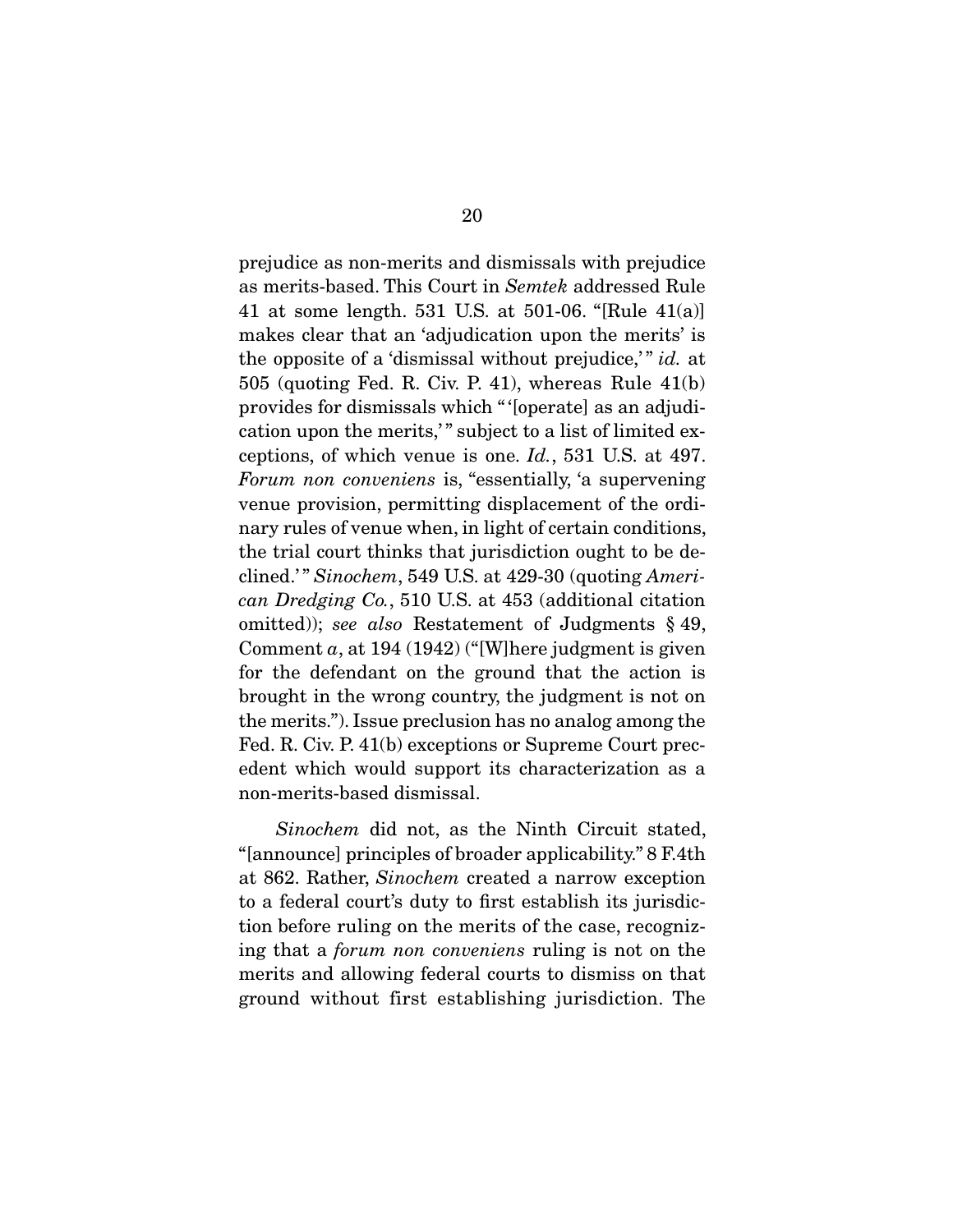prejudice as non-merits and dismissals with prejudice as merits-based. This Court in Semtek addressed Rule 41 at some length. 531 U.S. at 501-06. "[Rule 41(a)] makes clear that an 'adjudication upon the merits' is the opposite of a 'dismissal without prejudice,'" id. at 505 (quoting Fed. R. Civ. P. 41), whereas Rule 41(b) provides for dismissals which " '[operate] as an adjudication upon the merits," subject to a list of limited exceptions, of which venue is one. Id., 531 U.S. at 497. Forum non conveniens is, "essentially, 'a supervening venue provision, permitting displacement of the ordinary rules of venue when, in light of certain conditions, the trial court thinks that jurisdiction ought to be declined.'" Sinochem, 549 U.S. at  $429-30$  (quoting American Dredging Co., 510 U.S. at 453 (additional citation omitted)); see also Restatement of Judgments  $\S$  49, Comment  $a$ , at 194 (1942) ("[W]here judgment is given for the defendant on the ground that the action is brought in the wrong country, the judgment is not on the merits."). Issue preclusion has no analog among the Fed. R. Civ. P. 41(b) exceptions or Supreme Court precedent which would support its characterization as a non-merits-based dismissal.

Sinochem did not, as the Ninth Circuit stated, "[announce] principles of broader applicability." 8 F.4th at 862. Rather, Sinochem created a narrow exception to a federal court's duty to first establish its jurisdiction before ruling on the merits of the case, recognizing that a forum non conveniens ruling is not on the merits and allowing federal courts to dismiss on that ground without first establishing jurisdiction. The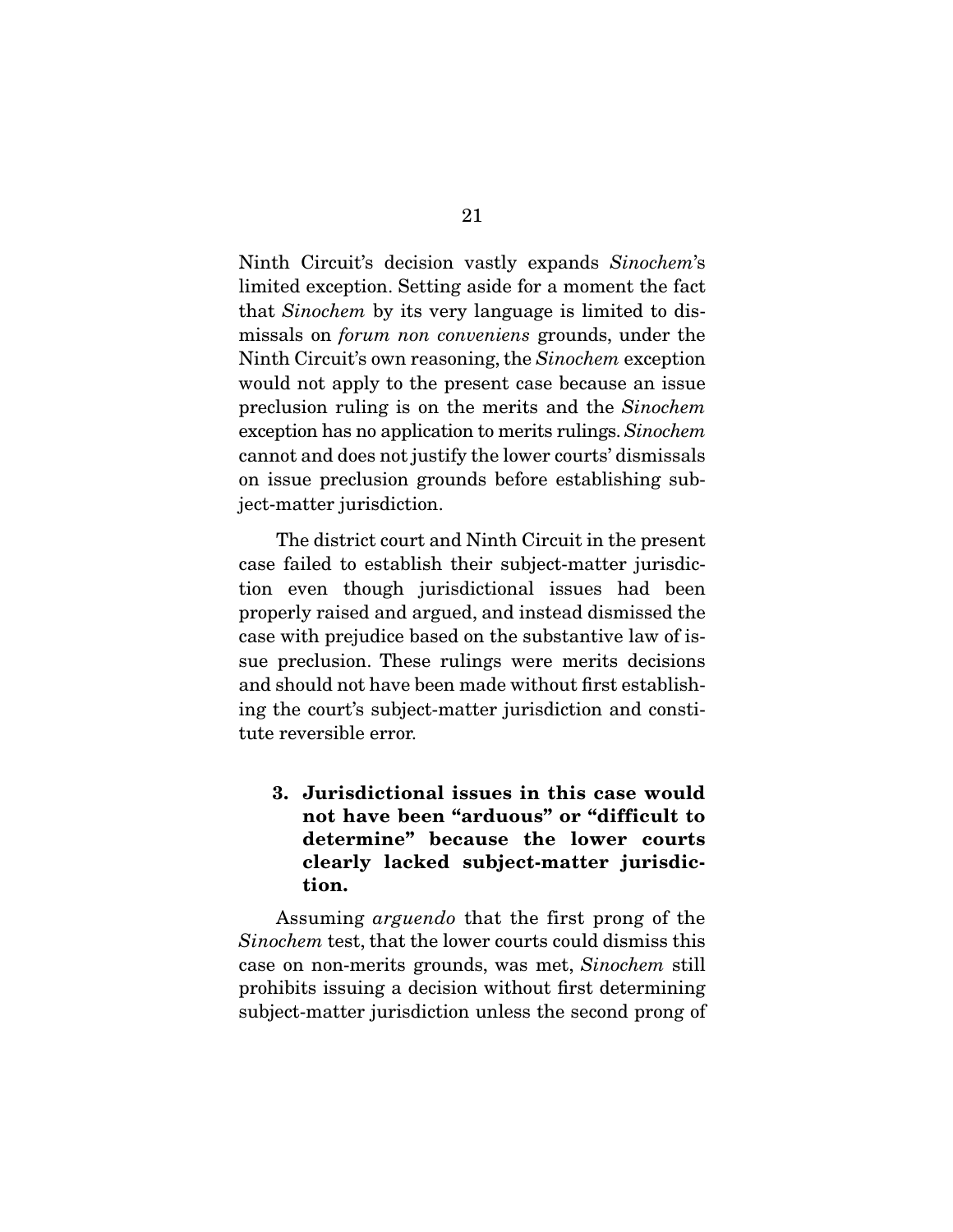Ninth Circuit's decision vastly expands Sinochem's limited exception. Setting aside for a moment the fact that Sinochem by its very language is limited to dismissals on forum non conveniens grounds, under the Ninth Circuit's own reasoning, the Sinochem exception would not apply to the present case because an issue preclusion ruling is on the merits and the Sinochem exception has no application to merits rulings. Sinochem cannot and does not justify the lower courts' dismissals on issue preclusion grounds before establishing subject-matter jurisdiction.

 The district court and Ninth Circuit in the present case failed to establish their subject-matter jurisdiction even though jurisdictional issues had been properly raised and argued, and instead dismissed the case with prejudice based on the substantive law of issue preclusion. These rulings were merits decisions and should not have been made without first establishing the court's subject-matter jurisdiction and constitute reversible error.

**3. Jurisdictional issues in this case would not have been "arduous" or "difficult to determine" because the lower courts clearly lacked subject-matter jurisdiction.** 

Assuming arguendo that the first prong of the Sinochem test, that the lower courts could dismiss this case on non-merits grounds, was met, Sinochem still prohibits issuing a decision without first determining subject-matter jurisdiction unless the second prong of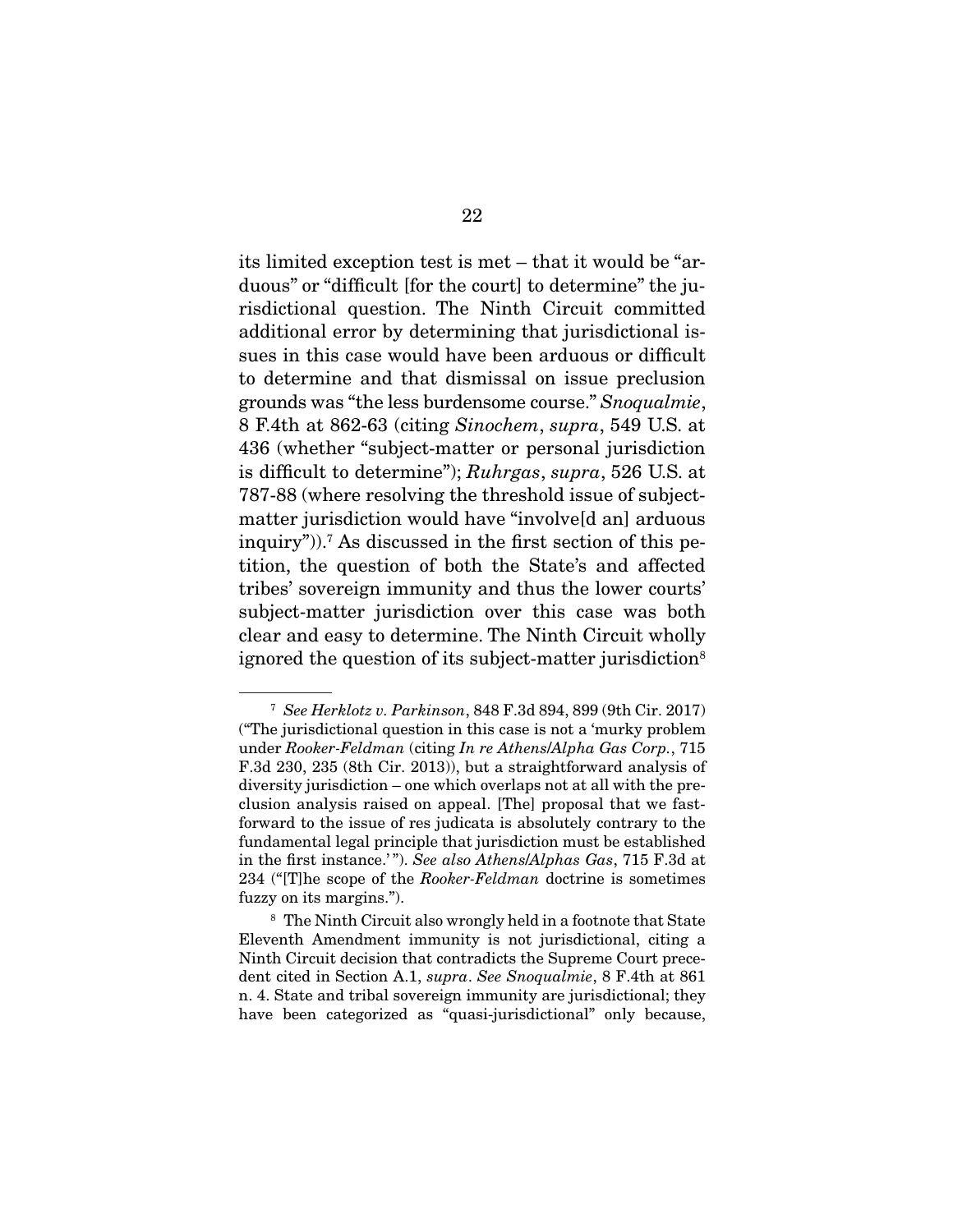its limited exception test is met – that it would be "arduous" or "difficult [for the court] to determine" the jurisdictional question. The Ninth Circuit committed additional error by determining that jurisdictional issues in this case would have been arduous or difficult to determine and that dismissal on issue preclusion grounds was "the less burdensome course." Snoqualmie, 8 F.4th at 862-63 (citing Sinochem, supra, 549 U.S. at 436 (whether "subject-matter or personal jurisdiction is difficult to determine"); Ruhrgas, supra, 526 U.S. at 787-88 (where resolving the threshold issue of subjectmatter jurisdiction would have "involve[d an] arduous inquiry")).7 As discussed in the first section of this petition, the question of both the State's and affected tribes' sovereign immunity and thus the lower courts' subject-matter jurisdiction over this case was both clear and easy to determine. The Ninth Circuit wholly ignored the question of its subject-matter jurisdiction<sup>8</sup>

<sup>7</sup> See Herklotz v. Parkinson, 848 F.3d 894, 899 (9th Cir. 2017) ("The jurisdictional question in this case is not a 'murky problem under Rooker-Feldman (citing In re Athens/Alpha Gas Corp., 715 F.3d 230, 235 (8th Cir. 2013)), but a straightforward analysis of diversity jurisdiction – one which overlaps not at all with the preclusion analysis raised on appeal. [The] proposal that we fastforward to the issue of res judicata is absolutely contrary to the fundamental legal principle that jurisdiction must be established in the first instance.'"). See also Athens/Alphas Gas, 715 F.3d at 234 ("The scope of the Rooker-Feldman doctrine is sometimes fuzzy on its margins.").

<sup>8</sup> The Ninth Circuit also wrongly held in a footnote that State Eleventh Amendment immunity is not jurisdictional, citing a Ninth Circuit decision that contradicts the Supreme Court precedent cited in Section A.1, supra. See Snoqualmie, 8 F.4th at 861 n. 4. State and tribal sovereign immunity are jurisdictional; they have been categorized as "quasi-jurisdictional" only because,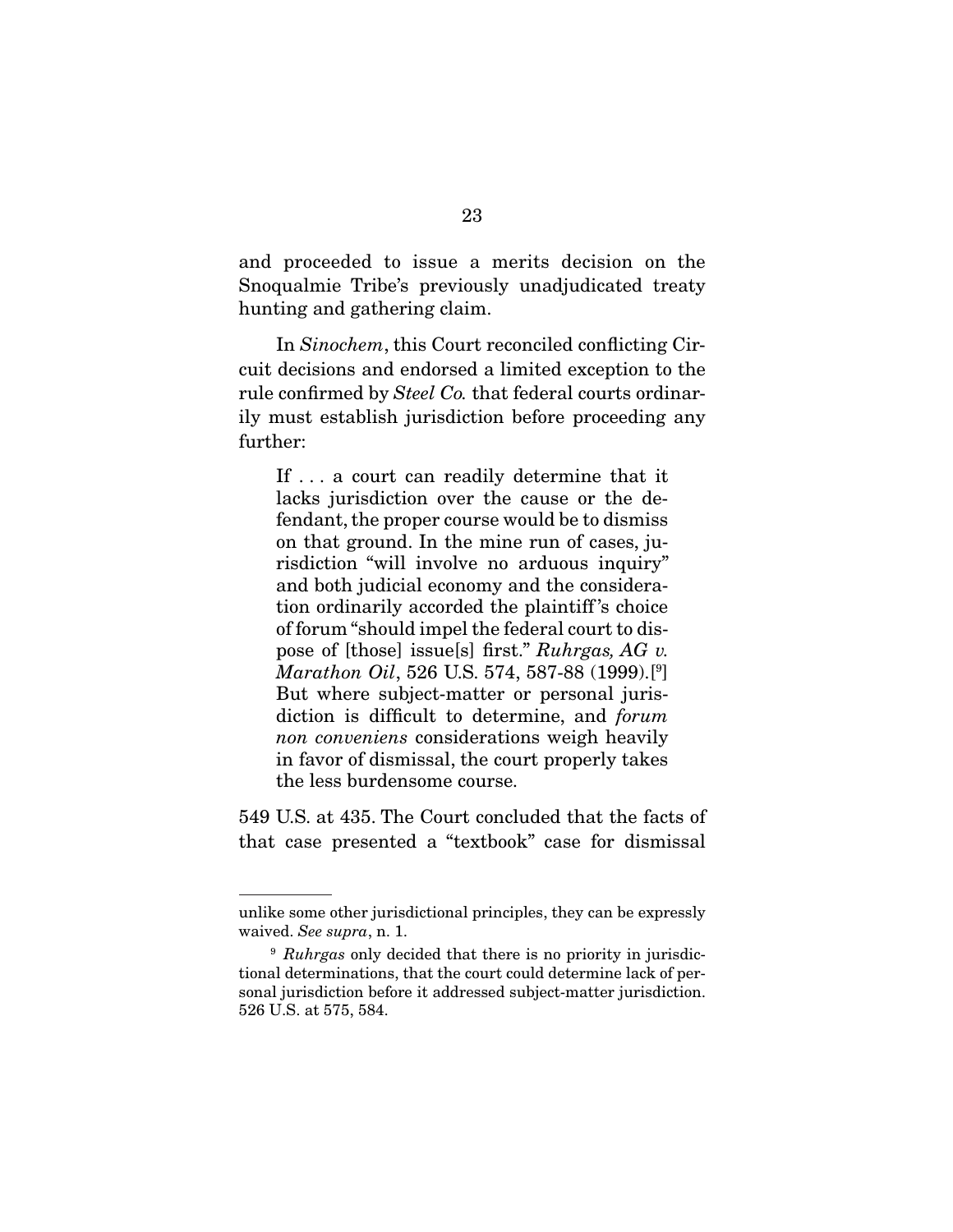and proceeded to issue a merits decision on the Snoqualmie Tribe's previously unadjudicated treaty hunting and gathering claim.

 In Sinochem, this Court reconciled conflicting Circuit decisions and endorsed a limited exception to the rule confirmed by Steel Co. that federal courts ordinarily must establish jurisdiction before proceeding any further:

If . . . a court can readily determine that it lacks jurisdiction over the cause or the defendant, the proper course would be to dismiss on that ground. In the mine run of cases, jurisdiction "will involve no arduous inquiry" and both judicial economy and the consideration ordinarily accorded the plaintiff 's choice of forum "should impel the federal court to dispose of [those] issue[s] first." Ruhrgas, AG v. Marathon Oil, 526 U.S. 574, 587-88 (1999).[9 ] But where subject-matter or personal jurisdiction is difficult to determine, and forum non conveniens considerations weigh heavily in favor of dismissal, the court properly takes the less burdensome course.

549 U.S. at 435. The Court concluded that the facts of that case presented a "textbook" case for dismissal

unlike some other jurisdictional principles, they can be expressly waived. See supra, n. 1.

 $9$  Ruhrgas only decided that there is no priority in jurisdictional determinations, that the court could determine lack of personal jurisdiction before it addressed subject-matter jurisdiction. 526 U.S. at 575, 584.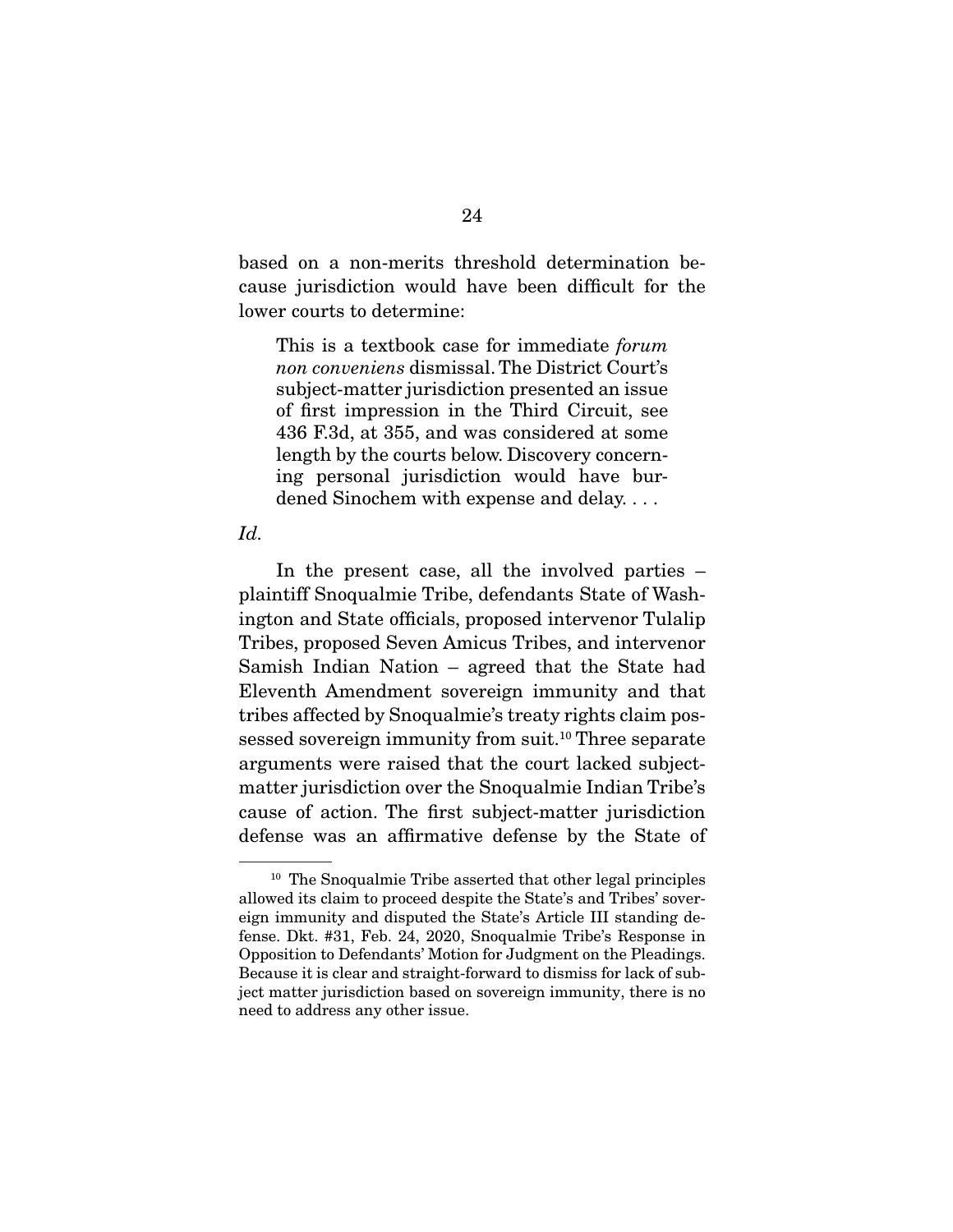based on a non-merits threshold determination because jurisdiction would have been difficult for the lower courts to determine:

This is a textbook case for immediate *forum* non conveniens dismissal. The District Court's subject-matter jurisdiction presented an issue of first impression in the Third Circuit, see 436 F.3d, at 355, and was considered at some length by the courts below. Discovery concerning personal jurisdiction would have burdened Sinochem with expense and delay. . . .

#### Id.

In the present case, all the involved parties – plaintiff Snoqualmie Tribe, defendants State of Washington and State officials, proposed intervenor Tulalip Tribes, proposed Seven Amicus Tribes, and intervenor Samish Indian Nation – agreed that the State had Eleventh Amendment sovereign immunity and that tribes affected by Snoqualmie's treaty rights claim possessed sovereign immunity from suit.<sup>10</sup> Three separate arguments were raised that the court lacked subjectmatter jurisdiction over the Snoqualmie Indian Tribe's cause of action. The first subject-matter jurisdiction defense was an affirmative defense by the State of

<sup>10</sup> The Snoqualmie Tribe asserted that other legal principles allowed its claim to proceed despite the State's and Tribes' sovereign immunity and disputed the State's Article III standing defense. Dkt. #31, Feb. 24, 2020, Snoqualmie Tribe's Response in Opposition to Defendants' Motion for Judgment on the Pleadings. Because it is clear and straight-forward to dismiss for lack of subject matter jurisdiction based on sovereign immunity, there is no need to address any other issue.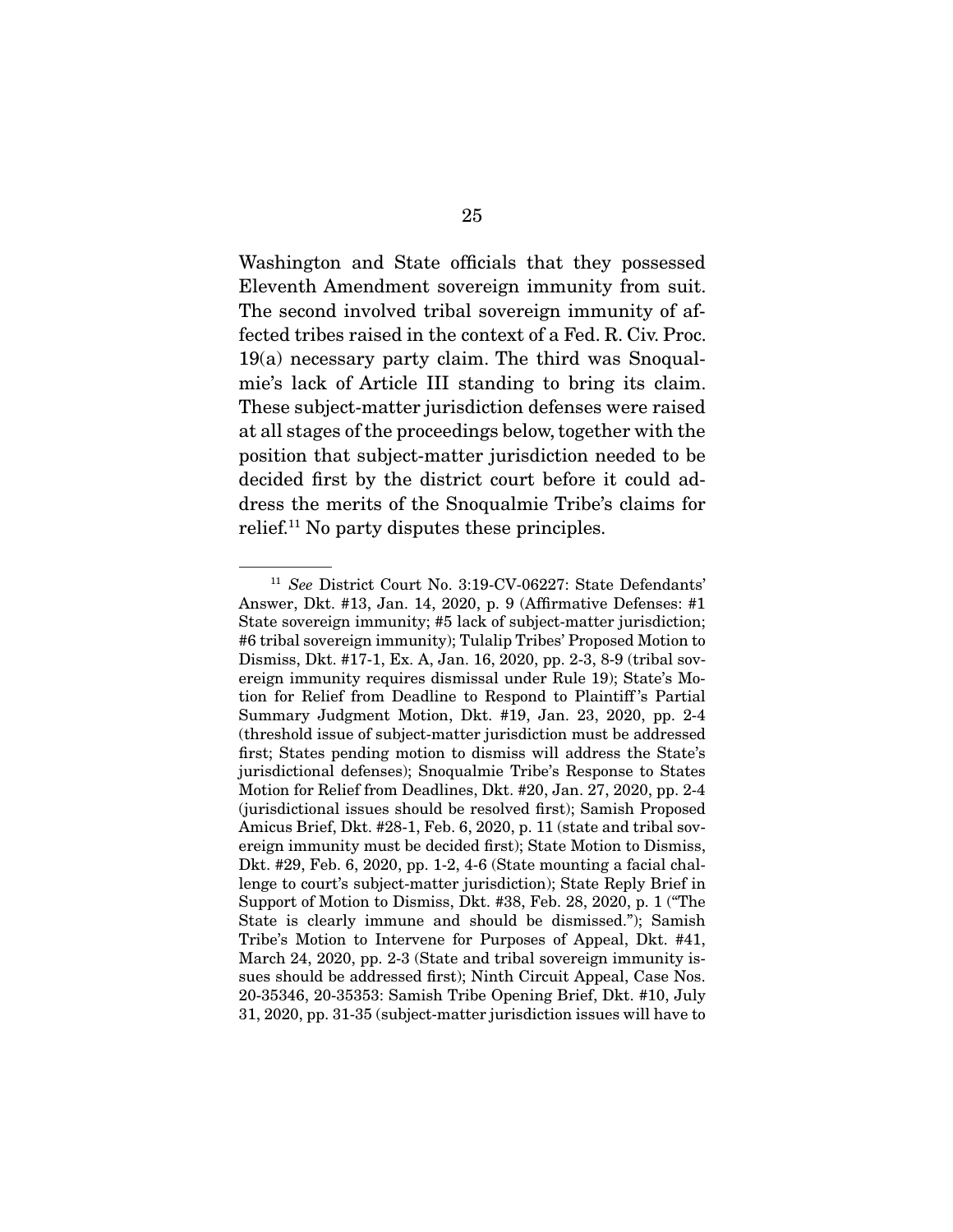Washington and State officials that they possessed Eleventh Amendment sovereign immunity from suit. The second involved tribal sovereign immunity of affected tribes raised in the context of a Fed. R. Civ. Proc. 19(a) necessary party claim. The third was Snoqualmie's lack of Article III standing to bring its claim. These subject-matter jurisdiction defenses were raised at all stages of the proceedings below, together with the position that subject-matter jurisdiction needed to be decided first by the district court before it could address the merits of the Snoqualmie Tribe's claims for relief.11 No party disputes these principles.

<sup>&</sup>lt;sup>11</sup> See District Court No. 3:19-CV-06227: State Defendants' Answer, Dkt. #13, Jan. 14, 2020, p. 9 (Affirmative Defenses: #1 State sovereign immunity; #5 lack of subject-matter jurisdiction; #6 tribal sovereign immunity); Tulalip Tribes' Proposed Motion to Dismiss, Dkt. #17-1, Ex. A, Jan. 16, 2020, pp. 2-3, 8-9 (tribal sovereign immunity requires dismissal under Rule 19); State's Motion for Relief from Deadline to Respond to Plaintiff 's Partial Summary Judgment Motion, Dkt. #19, Jan. 23, 2020, pp. 2-4 (threshold issue of subject-matter jurisdiction must be addressed first; States pending motion to dismiss will address the State's jurisdictional defenses); Snoqualmie Tribe's Response to States Motion for Relief from Deadlines, Dkt. #20, Jan. 27, 2020, pp. 2-4 (jurisdictional issues should be resolved first); Samish Proposed Amicus Brief, Dkt. #28-1, Feb. 6, 2020, p. 11 (state and tribal sovereign immunity must be decided first); State Motion to Dismiss, Dkt. #29, Feb. 6, 2020, pp. 1-2, 4-6 (State mounting a facial challenge to court's subject-matter jurisdiction); State Reply Brief in Support of Motion to Dismiss, Dkt. #38, Feb. 28, 2020, p. 1 ("The State is clearly immune and should be dismissed."); Samish Tribe's Motion to Intervene for Purposes of Appeal, Dkt. #41, March 24, 2020, pp. 2-3 (State and tribal sovereign immunity issues should be addressed first); Ninth Circuit Appeal, Case Nos. 20-35346, 20-35353: Samish Tribe Opening Brief, Dkt. #10, July 31, 2020, pp. 31-35 (subject-matter jurisdiction issues will have to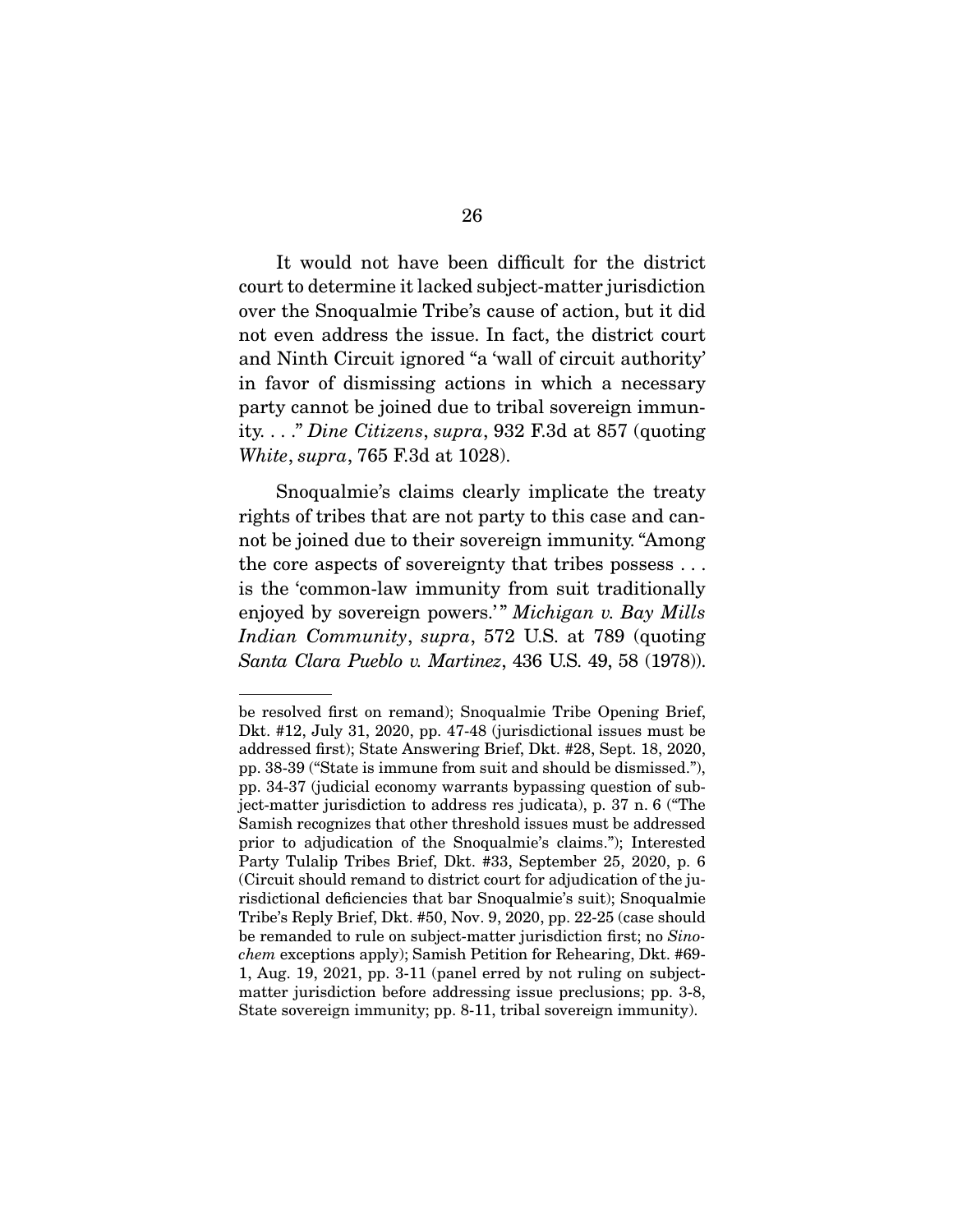It would not have been difficult for the district court to determine it lacked subject-matter jurisdiction over the Snoqualmie Tribe's cause of action, but it did not even address the issue. In fact, the district court and Ninth Circuit ignored "a 'wall of circuit authority' in favor of dismissing actions in which a necessary party cannot be joined due to tribal sovereign immunity. . . ." Dine Citizens, supra, 932 F.3d at 857 (quoting White, supra, 765 F.3d at 1028).

 Snoqualmie's claims clearly implicate the treaty rights of tribes that are not party to this case and cannot be joined due to their sovereign immunity. "Among the core aspects of sovereignty that tribes possess . . . is the 'common-law immunity from suit traditionally enjoyed by sovereign powers.'" Michigan v. Bay Mills Indian Community, supra, 572 U.S. at 789 (quoting Santa Clara Pueblo v. Martinez, 436 U.S. 49, 58 (1978)).

be resolved first on remand); Snoqualmie Tribe Opening Brief, Dkt. #12, July 31, 2020, pp. 47-48 (jurisdictional issues must be addressed first); State Answering Brief, Dkt. #28, Sept. 18, 2020, pp. 38-39 ("State is immune from suit and should be dismissed."), pp. 34-37 (judicial economy warrants bypassing question of subject-matter jurisdiction to address res judicata), p. 37 n. 6 ("The Samish recognizes that other threshold issues must be addressed prior to adjudication of the Snoqualmie's claims."); Interested Party Tulalip Tribes Brief, Dkt. #33, September 25, 2020, p. 6 (Circuit should remand to district court for adjudication of the jurisdictional deficiencies that bar Snoqualmie's suit); Snoqualmie Tribe's Reply Brief, Dkt. #50, Nov. 9, 2020, pp. 22-25 (case should be remanded to rule on subject-matter jurisdiction first; no Sinochem exceptions apply); Samish Petition for Rehearing, Dkt. #69- 1, Aug. 19, 2021, pp. 3-11 (panel erred by not ruling on subjectmatter jurisdiction before addressing issue preclusions; pp. 3-8, State sovereign immunity; pp. 8-11, tribal sovereign immunity).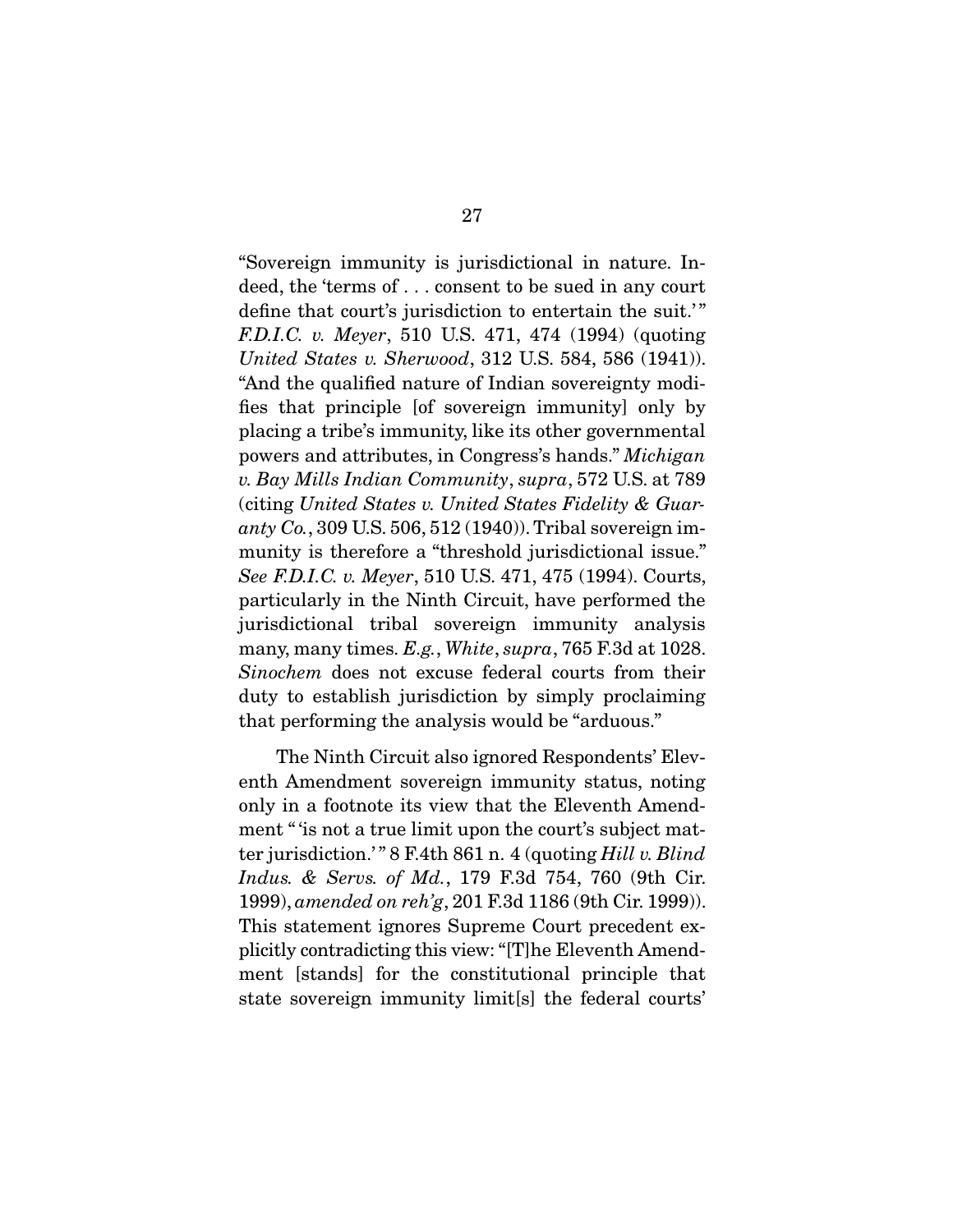"Sovereign immunity is jurisdictional in nature. Indeed, the 'terms of . . . consent to be sued in any court define that court's jurisdiction to entertain the suit.'" F.D.I.C. v. Meyer, 510 U.S. 471, 474 (1994) (quoting United States v. Sherwood, 312 U.S. 584, 586 (1941)). "And the qualified nature of Indian sovereignty modifies that principle [of sovereign immunity] only by placing a tribe's immunity, like its other governmental powers and attributes, in Congress's hands." Michigan v. Bay Mills Indian Community, supra, 572 U.S. at 789 (citing United States v. United States Fidelity & Guaranty  $Co.$ , 309 U.S. 506, 512 (1940)). Tribal sovereign immunity is therefore a "threshold jurisdictional issue." See F.D.I.C. v. Meyer, 510 U.S. 471, 475 (1994). Courts, particularly in the Ninth Circuit, have performed the jurisdictional tribal sovereign immunity analysis many, many times. E.g., White, supra, 765 F.3d at 1028. Sinochem does not excuse federal courts from their duty to establish jurisdiction by simply proclaiming that performing the analysis would be "arduous."

 The Ninth Circuit also ignored Respondents' Eleventh Amendment sovereign immunity status, noting only in a footnote its view that the Eleventh Amendment " is not a true limit upon the court's subject matter jurisdiction.'" 8 F.4th 861 n. 4 (quoting Hill v. Blind Indus. & Servs. of Md., 179 F.3d 754, 760 (9th Cir. 1999), amended on reh'g, 201 F.3d 1186 (9th Cir. 1999)). This statement ignores Supreme Court precedent explicitly contradicting this view: "[T]he Eleventh Amendment [stands] for the constitutional principle that state sovereign immunity limit[s] the federal courts'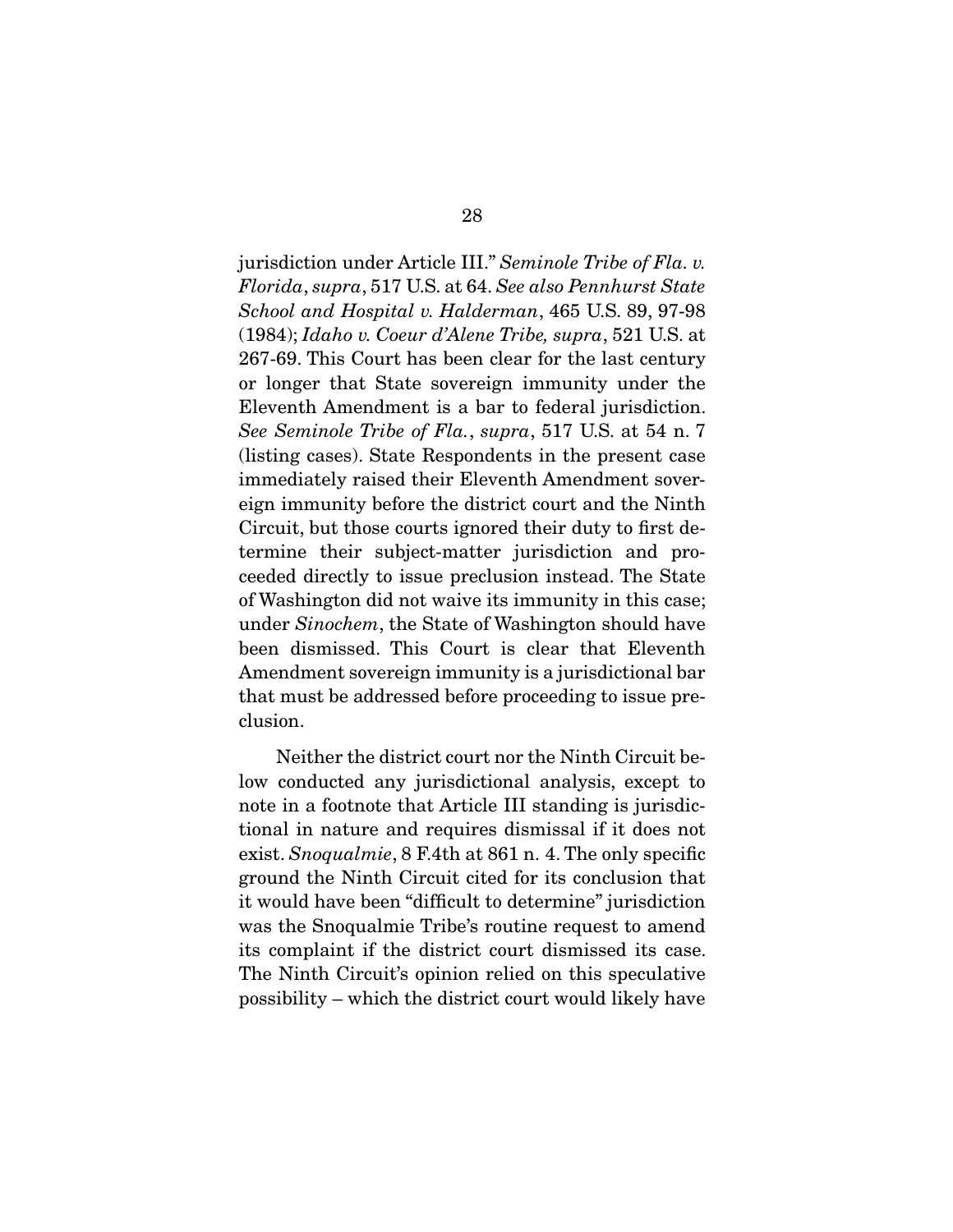jurisdiction under Article III." Seminole Tribe of Fla. v. Florida, supra, 517 U.S. at 64. See also Pennhurst State School and Hospital v. Halderman, 465 U.S. 89, 97-98 (1984); Idaho v. Coeur d'Alene Tribe, supra, 521 U.S. at 267-69. This Court has been clear for the last century or longer that State sovereign immunity under the Eleventh Amendment is a bar to federal jurisdiction. See Seminole Tribe of Fla., supra, 517 U.S. at 54 n. 7 (listing cases). State Respondents in the present case immediately raised their Eleventh Amendment sovereign immunity before the district court and the Ninth Circuit, but those courts ignored their duty to first determine their subject-matter jurisdiction and proceeded directly to issue preclusion instead. The State of Washington did not waive its immunity in this case; under Sinochem, the State of Washington should have been dismissed. This Court is clear that Eleventh Amendment sovereign immunity is a jurisdictional bar that must be addressed before proceeding to issue preclusion.

 Neither the district court nor the Ninth Circuit below conducted any jurisdictional analysis, except to note in a footnote that Article III standing is jurisdictional in nature and requires dismissal if it does not exist. Snoqualmie, 8 F.4th at 861 n. 4. The only specific ground the Ninth Circuit cited for its conclusion that it would have been "difficult to determine" jurisdiction was the Snoqualmie Tribe's routine request to amend its complaint if the district court dismissed its case. The Ninth Circuit's opinion relied on this speculative possibility – which the district court would likely have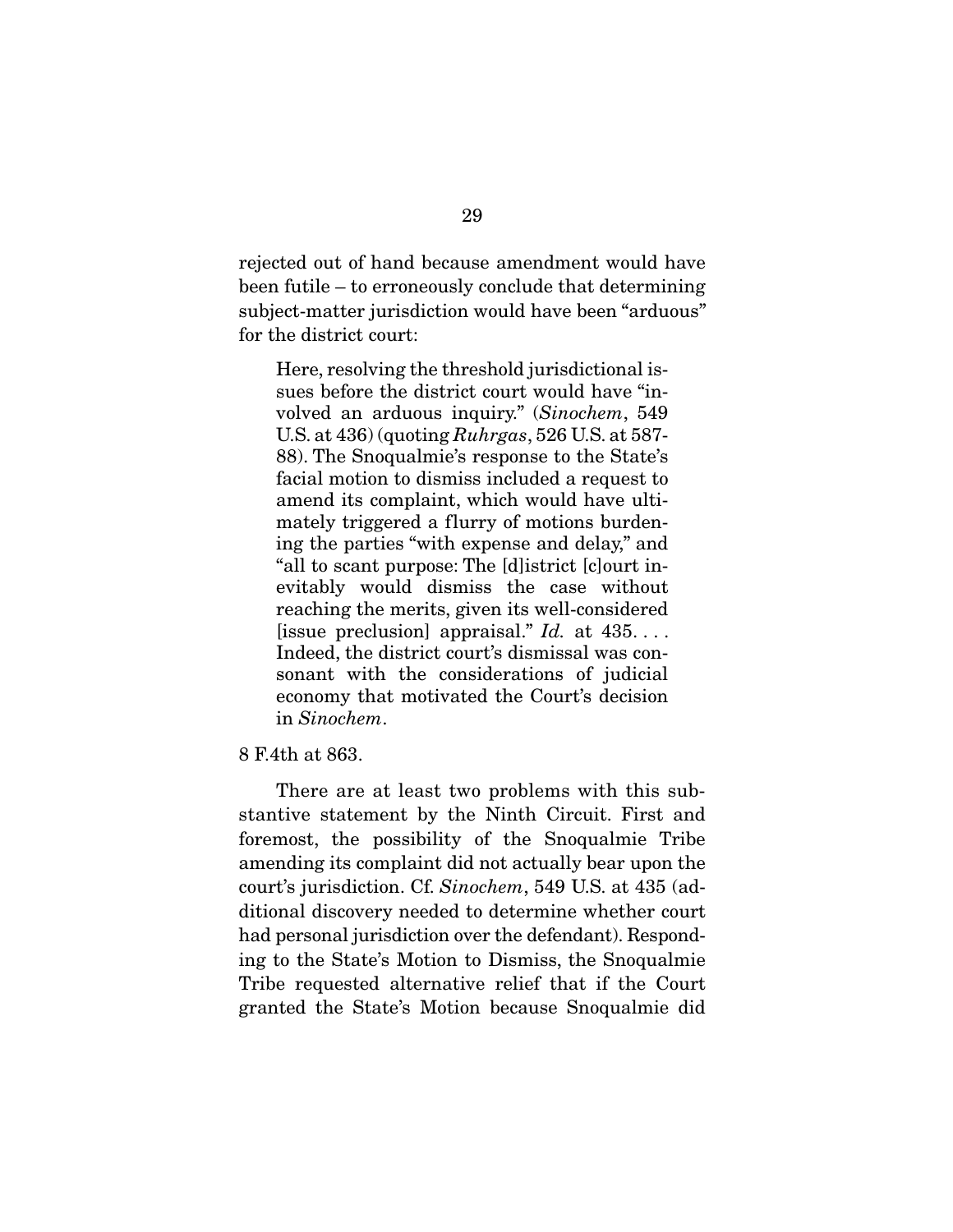rejected out of hand because amendment would have been futile – to erroneously conclude that determining subject-matter jurisdiction would have been "arduous" for the district court:

Here, resolving the threshold jurisdictional issues before the district court would have "involved an arduous inquiry." (Sinochem, 549 U.S. at 436) (quoting Ruhrgas, 526 U.S. at 587- 88). The Snoqualmie's response to the State's facial motion to dismiss included a request to amend its complaint, which would have ultimately triggered a flurry of motions burdening the parties "with expense and delay," and "all to scant purpose: The [d]istrict [c]ourt inevitably would dismiss the case without reaching the merits, given its well-considered [issue preclusion] appraisal."  $Id.$  at  $435...$ . Indeed, the district court's dismissal was consonant with the considerations of judicial economy that motivated the Court's decision in Sinochem.

8 F.4th at 863.

 There are at least two problems with this substantive statement by the Ninth Circuit. First and foremost, the possibility of the Snoqualmie Tribe amending its complaint did not actually bear upon the court's jurisdiction. Cf. Sinochem, 549 U.S. at 435 (additional discovery needed to determine whether court had personal jurisdiction over the defendant). Responding to the State's Motion to Dismiss, the Snoqualmie Tribe requested alternative relief that if the Court granted the State's Motion because Snoqualmie did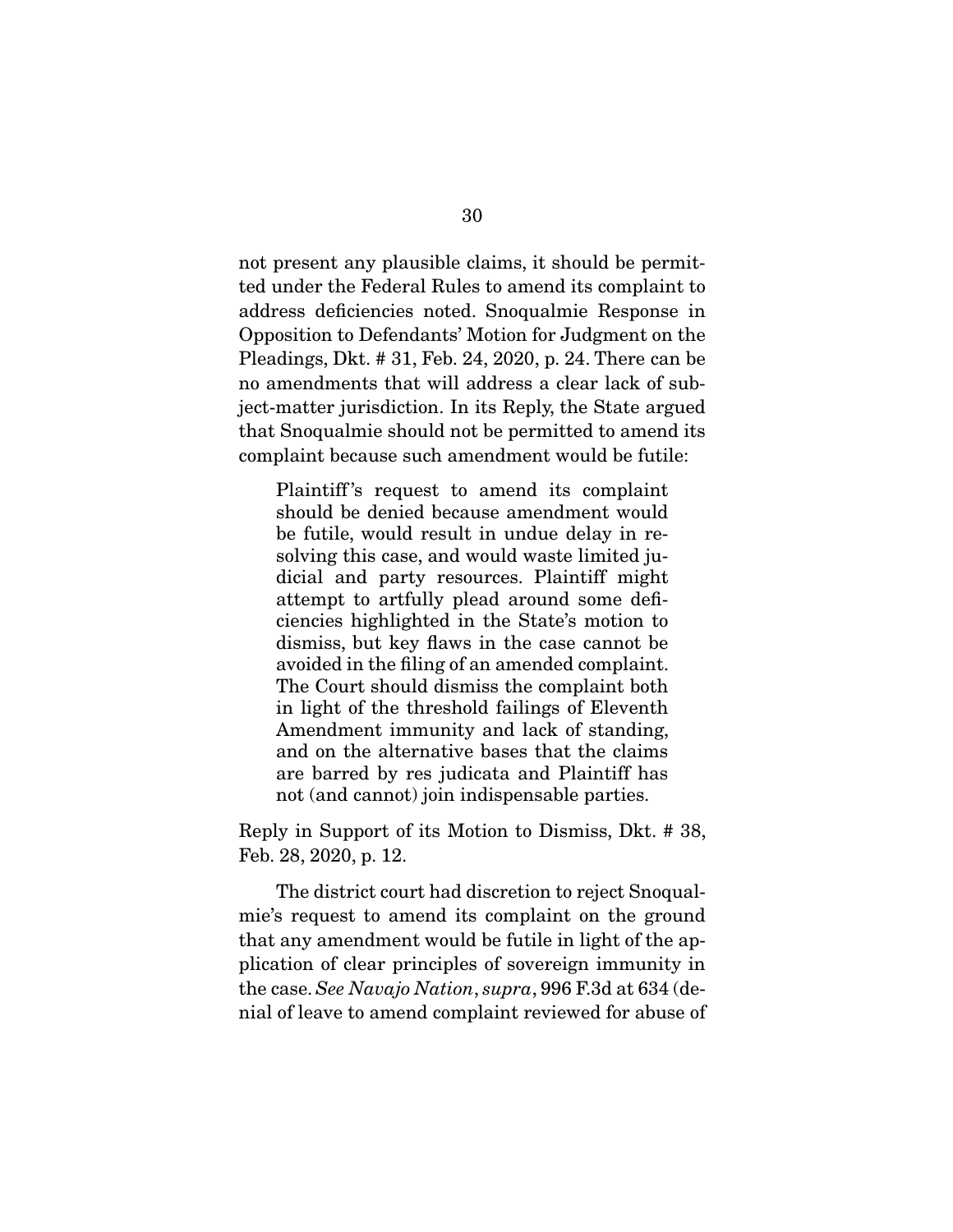not present any plausible claims, it should be permitted under the Federal Rules to amend its complaint to address deficiencies noted. Snoqualmie Response in Opposition to Defendants' Motion for Judgment on the Pleadings, Dkt. # 31, Feb. 24, 2020, p. 24. There can be no amendments that will address a clear lack of subject-matter jurisdiction. In its Reply, the State argued that Snoqualmie should not be permitted to amend its complaint because such amendment would be futile:

Plaintiff 's request to amend its complaint should be denied because amendment would be futile, would result in undue delay in resolving this case, and would waste limited judicial and party resources. Plaintiff might attempt to artfully plead around some deficiencies highlighted in the State's motion to dismiss, but key flaws in the case cannot be avoided in the filing of an amended complaint. The Court should dismiss the complaint both in light of the threshold failings of Eleventh Amendment immunity and lack of standing, and on the alternative bases that the claims are barred by res judicata and Plaintiff has not (and cannot) join indispensable parties.

Reply in Support of its Motion to Dismiss, Dkt. # 38, Feb. 28, 2020, p. 12.

 The district court had discretion to reject Snoqualmie's request to amend its complaint on the ground that any amendment would be futile in light of the application of clear principles of sovereign immunity in the case. See Navajo Nation, supra, 996 F.3d at 634 (denial of leave to amend complaint reviewed for abuse of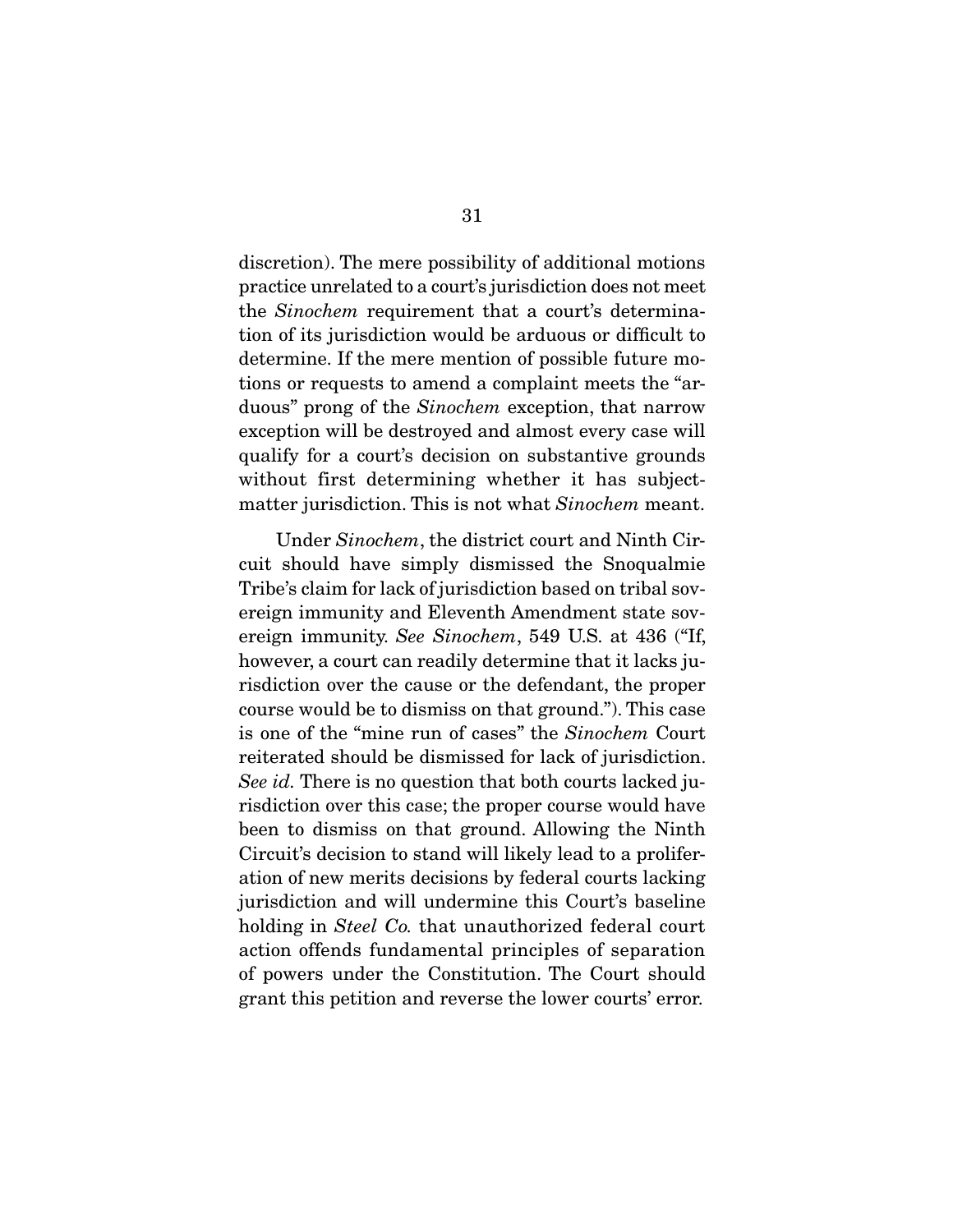discretion). The mere possibility of additional motions practice unrelated to a court's jurisdiction does not meet the Sinochem requirement that a court's determination of its jurisdiction would be arduous or difficult to determine. If the mere mention of possible future motions or requests to amend a complaint meets the "arduous" prong of the Sinochem exception, that narrow exception will be destroyed and almost every case will qualify for a court's decision on substantive grounds without first determining whether it has subjectmatter jurisdiction. This is not what *Sinochem* meant.

 Under Sinochem, the district court and Ninth Circuit should have simply dismissed the Snoqualmie Tribe's claim for lack of jurisdiction based on tribal sovereign immunity and Eleventh Amendment state sovereign immunity. See Sinochem, 549 U.S. at 436 ("If, however, a court can readily determine that it lacks jurisdiction over the cause or the defendant, the proper course would be to dismiss on that ground."). This case is one of the "mine run of cases" the Sinochem Court reiterated should be dismissed for lack of jurisdiction. See id. There is no question that both courts lacked jurisdiction over this case; the proper course would have been to dismiss on that ground. Allowing the Ninth Circuit's decision to stand will likely lead to a proliferation of new merits decisions by federal courts lacking jurisdiction and will undermine this Court's baseline holding in *Steel Co.* that unauthorized federal court action offends fundamental principles of separation of powers under the Constitution. The Court should grant this petition and reverse the lower courts' error.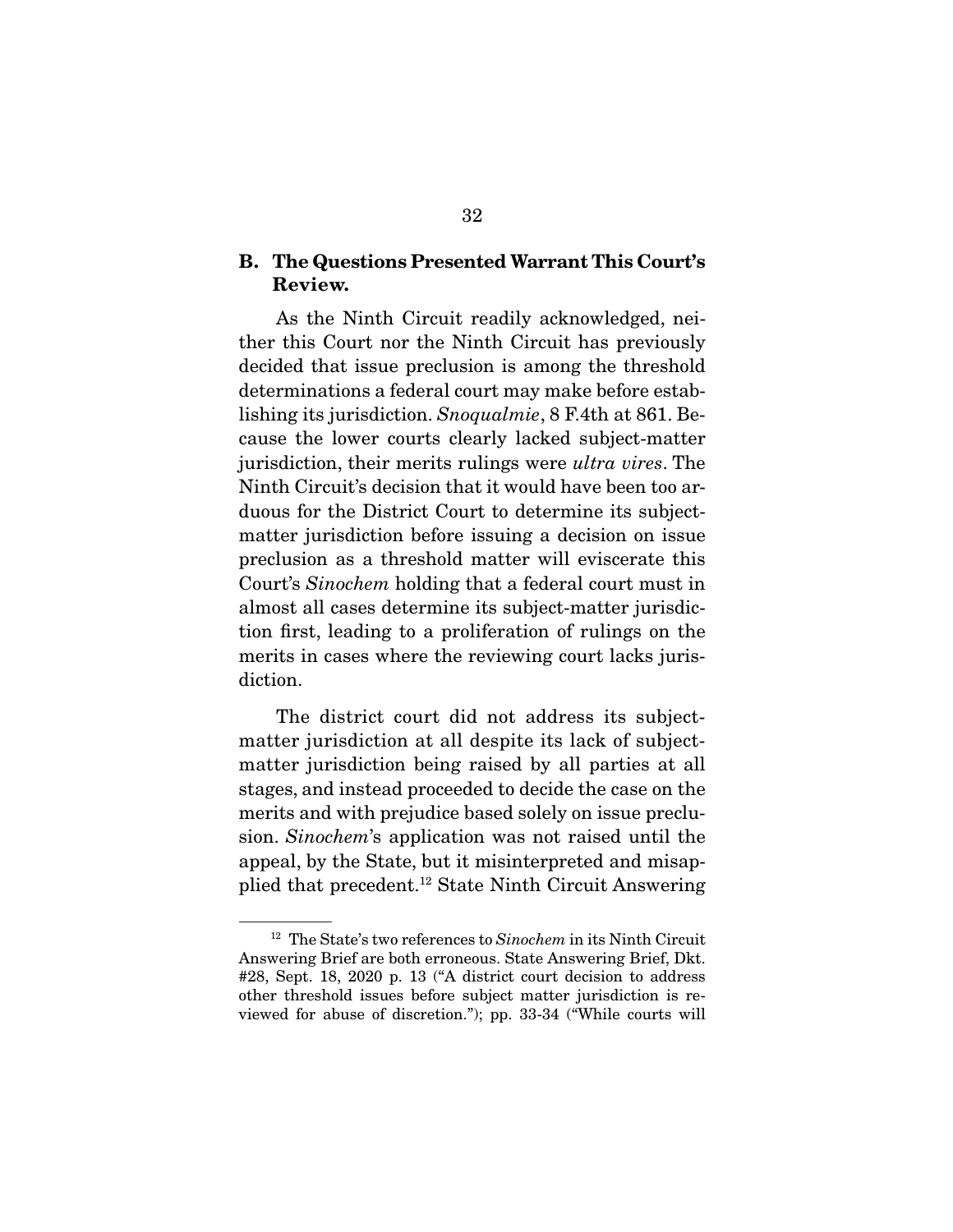### **B. The Questions Presented Warrant This Court's Review.**

As the Ninth Circuit readily acknowledged, neither this Court nor the Ninth Circuit has previously decided that issue preclusion is among the threshold determinations a federal court may make before establishing its jurisdiction. Snoqualmie, 8 F.4th at 861. Because the lower courts clearly lacked subject-matter jurisdiction, their merits rulings were *ultra vires*. The Ninth Circuit's decision that it would have been too arduous for the District Court to determine its subjectmatter jurisdiction before issuing a decision on issue preclusion as a threshold matter will eviscerate this Court's Sinochem holding that a federal court must in almost all cases determine its subject-matter jurisdiction first, leading to a proliferation of rulings on the merits in cases where the reviewing court lacks jurisdiction.

 The district court did not address its subjectmatter jurisdiction at all despite its lack of subjectmatter jurisdiction being raised by all parties at all stages, and instead proceeded to decide the case on the merits and with prejudice based solely on issue preclusion. Sinochem's application was not raised until the appeal, by the State, but it misinterpreted and misapplied that precedent.12 State Ninth Circuit Answering

 $12$  The State's two references to Sinochem in its Ninth Circuit Answering Brief are both erroneous. State Answering Brief, Dkt. #28, Sept. 18, 2020 p. 13 ("A district court decision to address other threshold issues before subject matter jurisdiction is reviewed for abuse of discretion."); pp. 33-34 ("While courts will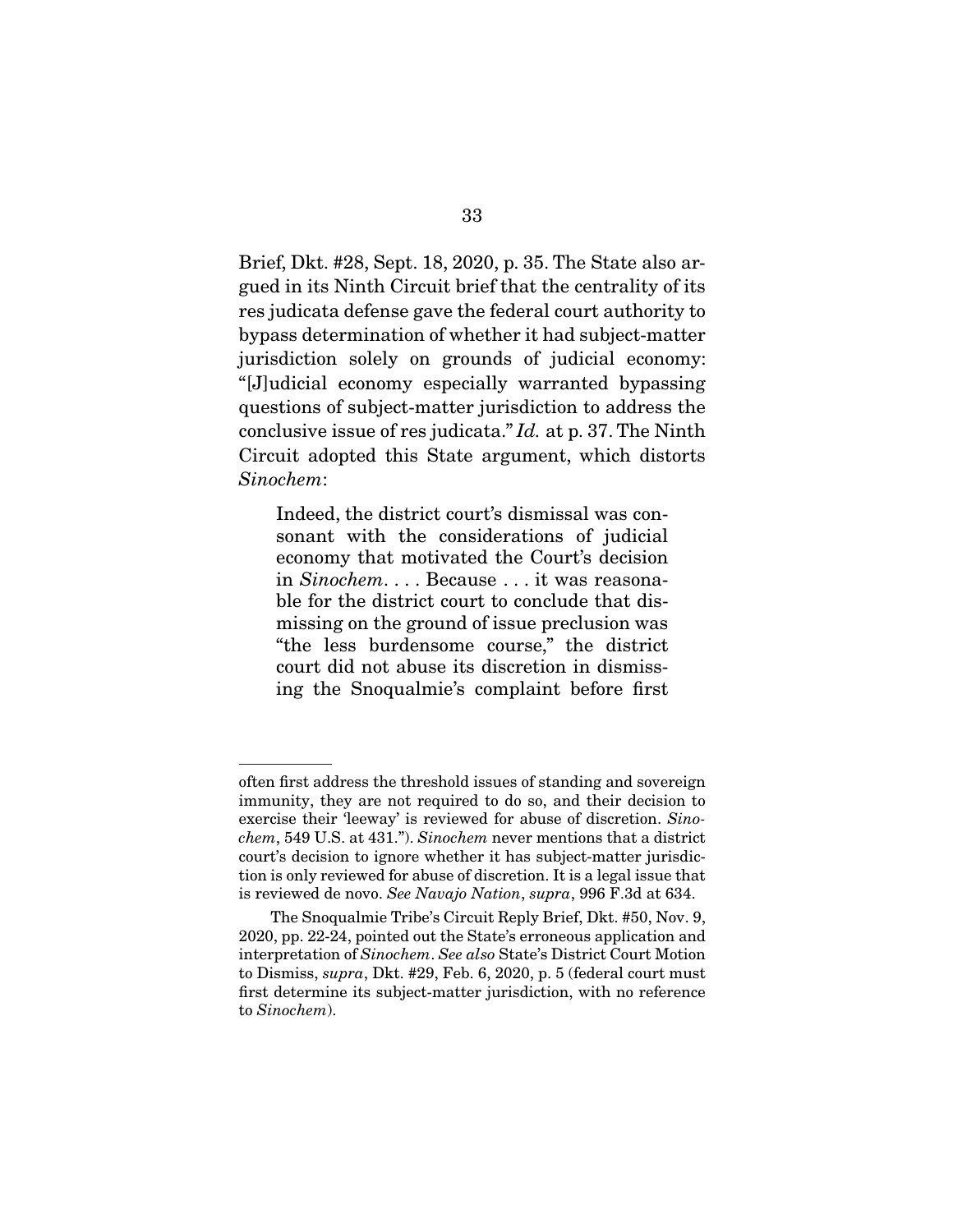Brief, Dkt. #28, Sept. 18, 2020, p. 35. The State also argued in its Ninth Circuit brief that the centrality of its res judicata defense gave the federal court authority to bypass determination of whether it had subject-matter jurisdiction solely on grounds of judicial economy: "[J]udicial economy especially warranted bypassing questions of subject-matter jurisdiction to address the conclusive issue of res judicata." Id. at p. 37. The Ninth Circuit adopted this State argument, which distorts Sinochem:

Indeed, the district court's dismissal was consonant with the considerations of judicial economy that motivated the Court's decision in Sinochem. . . . Because . . . it was reasonable for the district court to conclude that dismissing on the ground of issue preclusion was "the less burdensome course," the district court did not abuse its discretion in dismissing the Snoqualmie's complaint before first

often first address the threshold issues of standing and sovereign immunity, they are not required to do so, and their decision to exercise their 'leeway' is reviewed for abuse of discretion. Sinochem, 549 U.S. at 431."). Sinochem never mentions that a district court's decision to ignore whether it has subject-matter jurisdiction is only reviewed for abuse of discretion. It is a legal issue that is reviewed de novo. See Navajo Nation, supra, 996 F.3d at 634.

The Snoqualmie Tribe's Circuit Reply Brief, Dkt. #50, Nov. 9, 2020, pp. 22-24, pointed out the State's erroneous application and interpretation of Sinochem. See also State's District Court Motion to Dismiss, supra, Dkt. #29, Feb. 6, 2020, p. 5 (federal court must first determine its subject-matter jurisdiction, with no reference to Sinochem).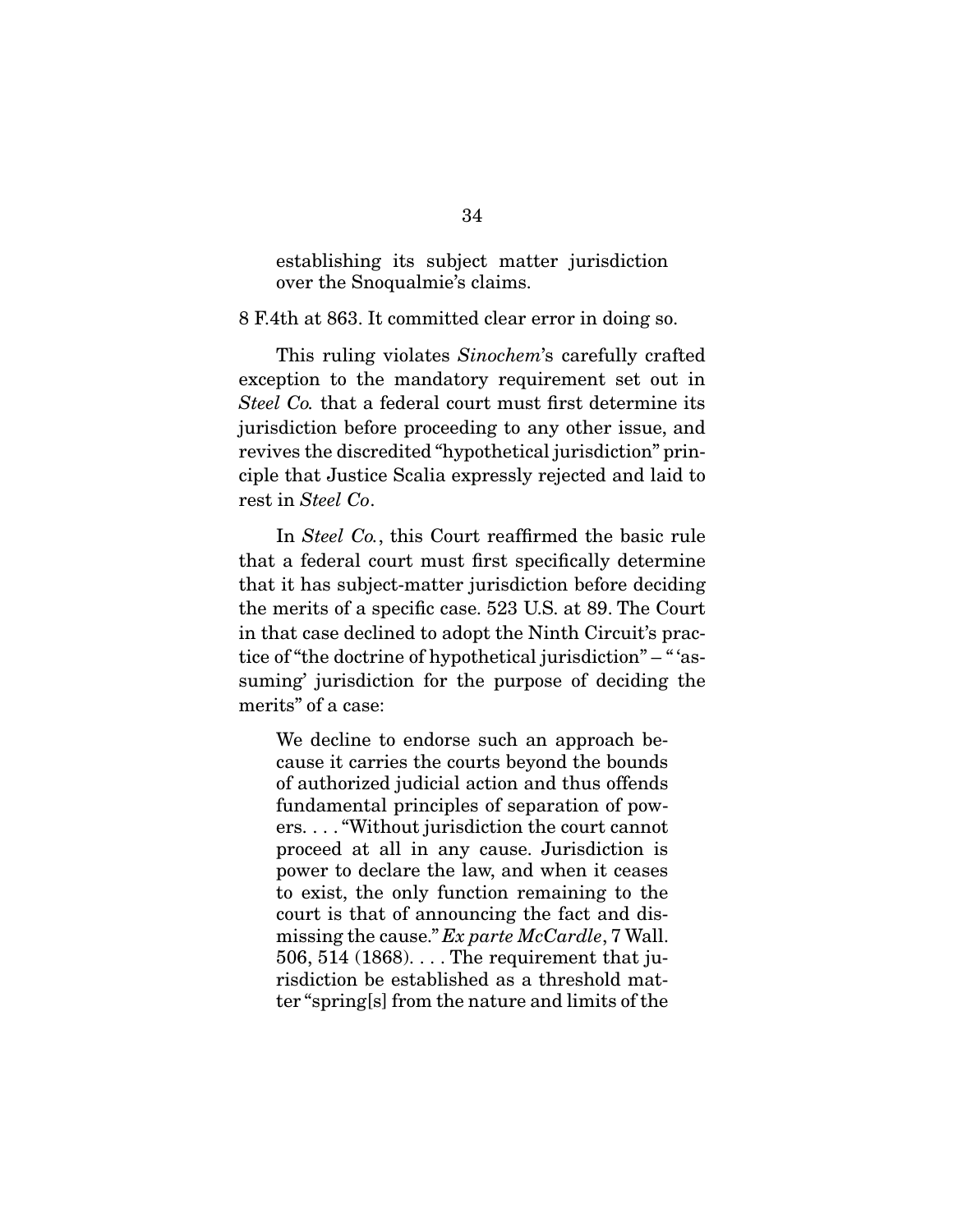establishing its subject matter jurisdiction over the Snoqualmie's claims.

8 F.4th at 863. It committed clear error in doing so.

 This ruling violates Sinochem's carefully crafted exception to the mandatory requirement set out in Steel Co. that a federal court must first determine its jurisdiction before proceeding to any other issue, and revives the discredited "hypothetical jurisdiction" principle that Justice Scalia expressly rejected and laid to rest in Steel Co.

In *Steel Co.*, this Court reaffirmed the basic rule that a federal court must first specifically determine that it has subject-matter jurisdiction before deciding the merits of a specific case. 523 U.S. at 89. The Court in that case declined to adopt the Ninth Circuit's practice of "the doctrine of hypothetical jurisdiction" – " 'assuming' jurisdiction for the purpose of deciding the merits" of a case:

We decline to endorse such an approach because it carries the courts beyond the bounds of authorized judicial action and thus offends fundamental principles of separation of powers. . . . "Without jurisdiction the court cannot proceed at all in any cause. Jurisdiction is power to declare the law, and when it ceases to exist, the only function remaining to the court is that of announcing the fact and dismissing the cause." Ex parte McCardle, 7 Wall. 506, 514 (1868). . . . The requirement that jurisdiction be established as a threshold matter "spring[s] from the nature and limits of the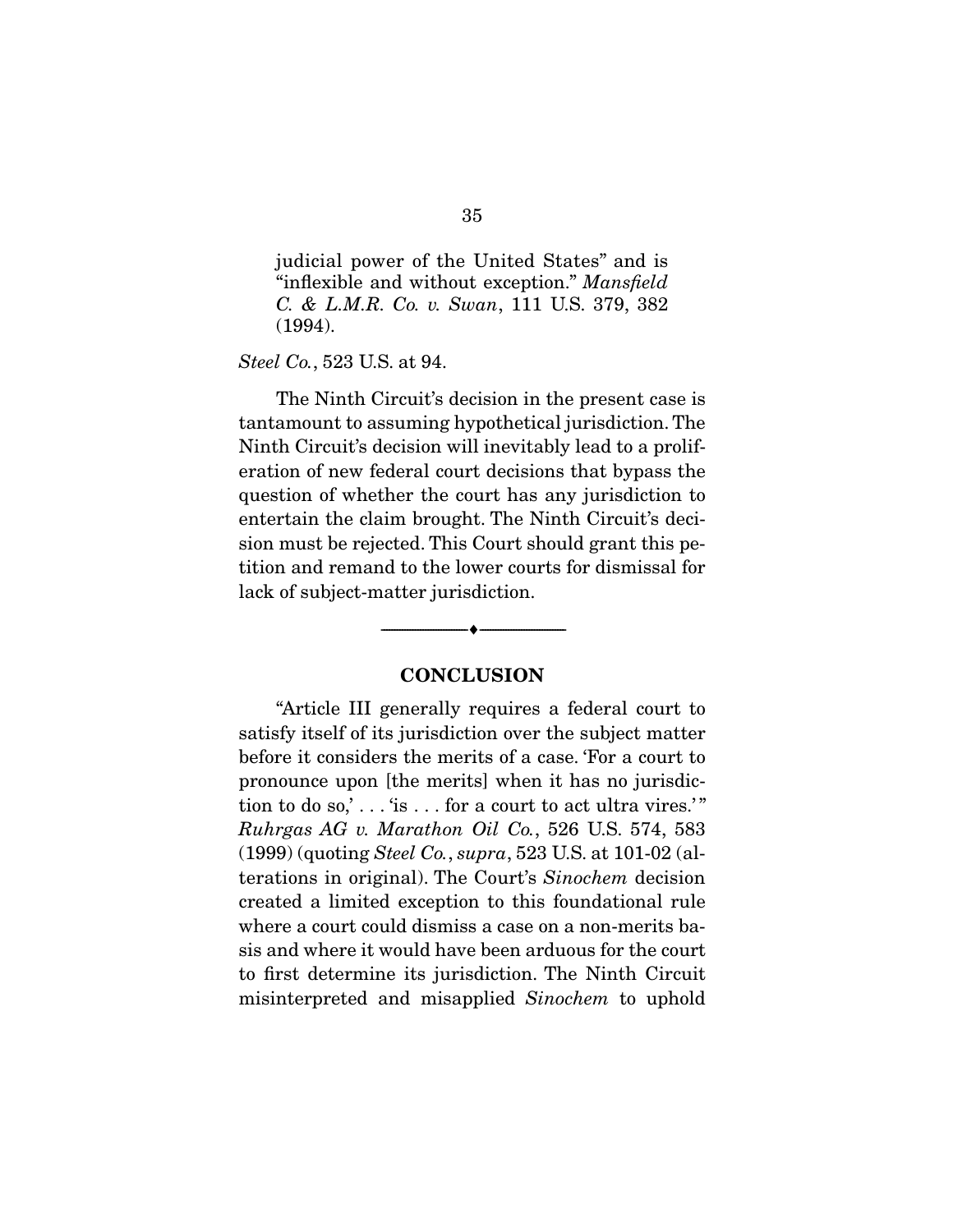judicial power of the United States" and is "inflexible and without exception." Mansfield C. & L.M.R. Co. v. Swan, 111 U.S. 379, 382 (1994).

Steel Co., 523 U.S. at 94.

 The Ninth Circuit's decision in the present case is tantamount to assuming hypothetical jurisdiction. The Ninth Circuit's decision will inevitably lead to a proliferation of new federal court decisions that bypass the question of whether the court has any jurisdiction to entertain the claim brought. The Ninth Circuit's decision must be rejected. This Court should grant this petition and remand to the lower courts for dismissal for lack of subject-matter jurisdiction.

#### **CONCLUSION**

--------------------------------- ♦ ---------------------------------

 "Article III generally requires a federal court to satisfy itself of its jurisdiction over the subject matter before it considers the merits of a case. 'For a court to pronounce upon [the merits] when it has no jurisdiction to do so,'...' is  $\dots$  for a court to act ultra vires.'" Ruhrgas AG v. Marathon Oil Co., 526 U.S. 574, 583 (1999) (quoting Steel Co., supra, 523 U.S. at 101-02 (alterations in original). The Court's Sinochem decision created a limited exception to this foundational rule where a court could dismiss a case on a non-merits basis and where it would have been arduous for the court to first determine its jurisdiction. The Ninth Circuit misinterpreted and misapplied Sinochem to uphold